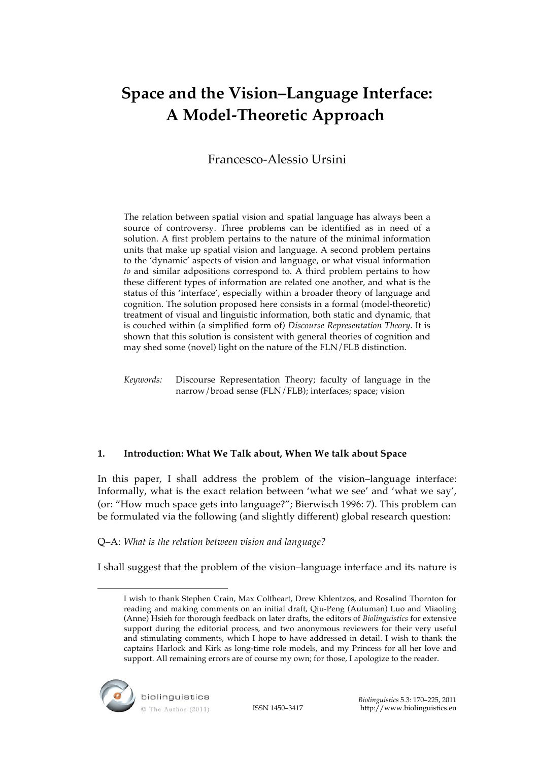# **Space and the Vision–Language Interface: A Model-Theoretic Approach**

Francesco-Alessio Ursini

The relation between spatial vision and spatial language has always been a source of controversy. Three problems can be identified as in need of a solution. A first problem pertains to the nature of the minimal information units that make up spatial vision and language. A second problem pertains to the 'dynamic' aspects of vision and language, or what visual information *to* and similar adpositions correspond to. A third problem pertains to how these different types of information are related one another, and what is the status of this 'interface', especially within a broader theory of language and cognition. The solution proposed here consists in a formal (model-theoretic) treatment of visual and linguistic information, both static and dynamic, that is couched within (a simplified form of) *Discourse Representation Theory*. It is shown that this solution is consistent with general theories of cognition and may shed some (novel) light on the nature of the FLN/FLB distinction.

*Keywords:* Discourse Representation Theory; faculty of language in the narrow/broad sense (FLN/FLB); interfaces; space; vision

# **1. Introduction: What We Talk about, When We talk about Space**

In this paper, I shall address the problem of the vision–language interface: Informally, what is the exact relation between 'what we see' and 'what we say', (or: "How much space gets into language?"; Bierwisch 1996: 7). This problem can be formulated via the following (and slightly different) global research question:

# Q–A: *What is the relation between vision and language?*

I shall suggest that the problem of the vision–language interface and its nature is

I wish to thank Stephen Crain, Max Coltheart, Drew Khlentzos, and Rosalind Thornton for reading and making comments on an initial draft, Qiu-Peng (Autuman) Luo and Miaoling (Anne) Hsieh for thorough feedback on later drafts, the editors of *Biolinguistics* for extensive support during the editorial process, and two anonymous reviewers for their very useful and stimulating comments, which I hope to have addressed in detail. I wish to thank the captains Harlock and Kirk as long-time role models, and my Princess for all her love and support. All remaining errors are of course my own; for those, I apologize to the reader.



 $\overline{a}$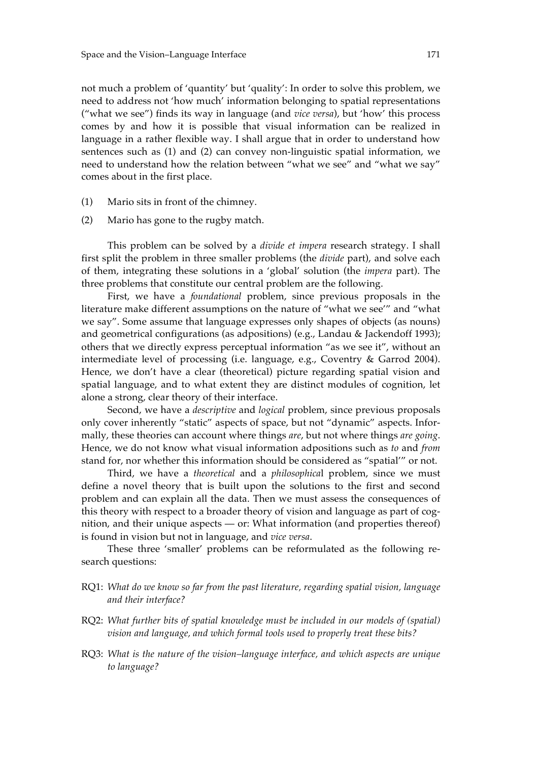not much a problem of 'quantity' but 'quality': In order to solve this problem, we need to address not 'how much' information belonging to spatial representations ("what we see") finds its way in language (and *vice versa*), but 'how' this process comes by and how it is possible that visual information can be realized in language in a rather flexible way. I shall argue that in order to understand how sentences such as (1) and (2) can convey non-linguistic spatial information, we need to understand how the relation between "what we see" and "what we say" comes about in the first place.

- (1) Mario sits in front of the chimney.
- (2) Mario has gone to the rugby match.

This problem can be solved by a *divide et impera* research strategy. I shall first split the problem in three smaller problems (the *divide* part), and solve each of them, integrating these solutions in a 'global' solution (the *impera* part). The three problems that constitute our central problem are the following.

First, we have a *foundational* problem, since previous proposals in the literature make different assumptions on the nature of "what we see'" and "what we say". Some assume that language expresses only shapes of objects (as nouns) and geometrical configurations (as adpositions) (e.g., Landau & Jackendoff 1993); others that we directly express perceptual information "as we see it", without an intermediate level of processing (i.e. language, e.g., Coventry & Garrod 2004). Hence, we don't have a clear (theoretical) picture regarding spatial vision and spatial language, and to what extent they are distinct modules of cognition, let alone a strong, clear theory of their interface.

Second, we have a *descriptive* and *logical* problem, since previous proposals only cover inherently "static" aspects of space, but not "dynamic" aspects. Informally, these theories can account where things *are*, but not where things *are going*. Hence, we do not know what visual information adpositions such as *to* and *from* stand for, nor whether this information should be considered as "spatial'" or not.

Third, we have a *theoretical* and a *philosophica*l problem, since we must define a novel theory that is built upon the solutions to the first and second problem and can explain all the data. Then we must assess the consequences of this theory with respect to a broader theory of vision and language as part of cognition, and their unique aspects — or: What information (and properties thereof) is found in vision but not in language, and *vice versa*.

These three 'smaller' problems can be reformulated as the following research questions:

- RQ1: *What do we know so far from the past literature, regarding spatial vision, language and their interface?*
- RQ2: *What further bits of spatial knowledge must be included in our models of (spatial) vision and language, and which formal tools used to properly treat these bits?*
- RQ3: *What is the nature of the vision–language interface, and which aspects are unique to language?*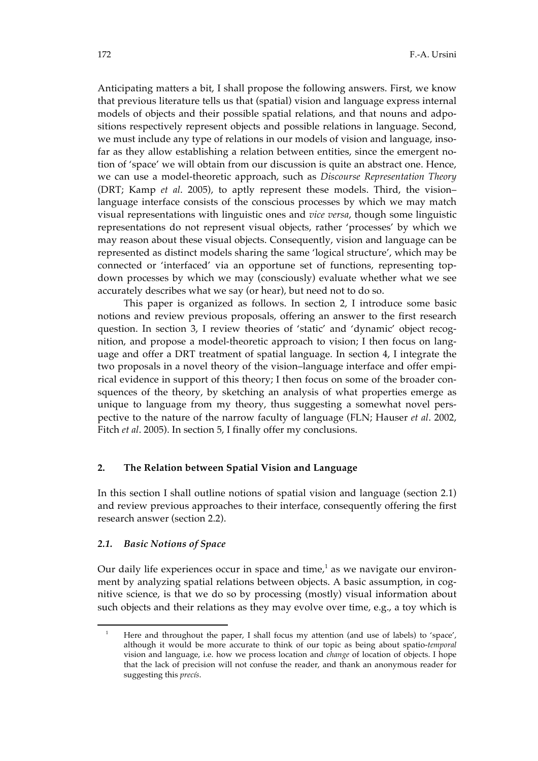Anticipating matters a bit, I shall propose the following answers. First, we know that previous literature tells us that (spatial) vision and language express internal models of objects and their possible spatial relations, and that nouns and adpositions respectively represent objects and possible relations in language. Second, we must include any type of relations in our models of vision and language, insofar as they allow establishing a relation between entities, since the emergent notion of 'space' we will obtain from our discussion is quite an abstract one. Hence, we can use a model-theoretic approach, such as *Discourse Representation Theory* (DRT; Kamp *et al*. 2005), to aptly represent these models. Third, the vision– language interface consists of the conscious processes by which we may match visual representations with linguistic ones and *vice versa*, though some linguistic representations do not represent visual objects, rather 'processes' by which we may reason about these visual objects. Consequently, vision and language can be represented as distinct models sharing the same 'logical structure', which may be connected or 'interfaced' via an opportune set of functions, representing topdown processes by which we may (consciously) evaluate whether what we see accurately describes what we say (or hear), but need not to do so.

This paper is organized as follows. In section 2, I introduce some basic notions and review previous proposals, offering an answer to the first research question. In section 3, I review theories of 'static' and 'dynamic' object recognition, and propose a model-theoretic approach to vision; I then focus on language and offer a DRT treatment of spatial language. In section 4, I integrate the two proposals in a novel theory of the vision–language interface and offer empirical evidence in support of this theory; I then focus on some of the broader consquences of the theory, by sketching an analysis of what properties emerge as unique to language from my theory, thus suggesting a somewhat novel perspective to the nature of the narrow faculty of language (FLN; Hauser *et al*. 2002, Fitch *et al*. 2005). In section 5, I finally offer my conclusions.

#### **2. The Relation between Spatial Vision and Language**

In this section I shall outline notions of spatial vision and language (section 2.1) and review previous approaches to their interface, consequently offering the first research answer (section 2.2).

#### *2.1. Basic Notions of Space*

 $\overline{a}$ 

Our daily life experiences occur in space and time, $1$  as we navigate our environment by analyzing spatial relations between objects. A basic assumption, in cognitive science, is that we do so by processing (mostly) visual information about such objects and their relations as they may evolve over time, e.g., a toy which is

<sup>&</sup>lt;sup>1</sup> Here and throughout the paper, I shall focus my attention (and use of labels) to 'space', although it would be more accurate to think of our topic as being about spatio-*temporal* vision and language, i.e. how we process location and *change* of location of objects. I hope that the lack of precision will not confuse the reader, and thank an anonymous reader for suggesting this *precís*.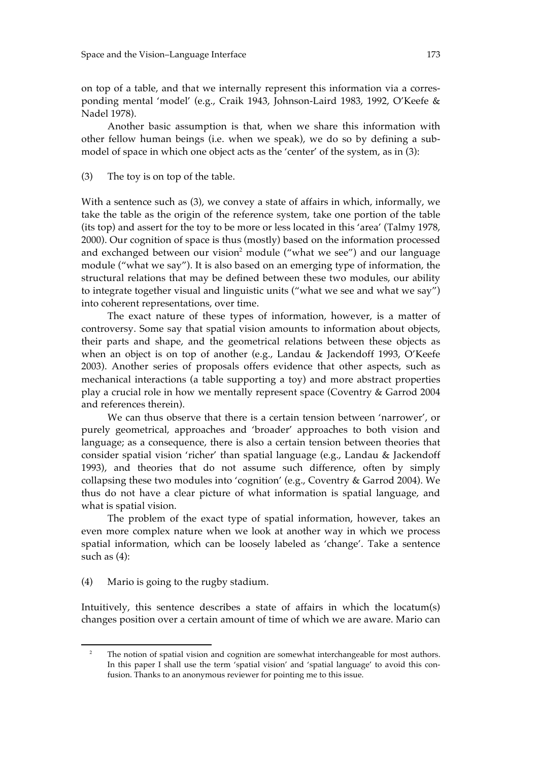on top of a table, and that we internally represent this information via a corresponding mental 'model' (e.g., Craik 1943, Johnson-Laird 1983, 1992, O'Keefe & Nadel 1978).

Another basic assumption is that, when we share this information with other fellow human beings (i.e. when we speak), we do so by defining a submodel of space in which one object acts as the 'center' of the system, as in (3):

(3) The toy is on top of the table.

With a sentence such as (3), we convey a state of affairs in which, informally, we take the table as the origin of the reference system, take one portion of the table (its top) and assert for the toy to be more or less located in this 'area' (Talmy 1978, 2000). Our cognition of space is thus (mostly) based on the information processed and exchanged between our vision<sup>2</sup> module ("what we see") and our language module ("what we say"). It is also based on an emerging type of information, the structural relations that may be defined between these two modules, our ability to integrate together visual and linguistic units ("what we see and what we say") into coherent representations, over time.

The exact nature of these types of information, however, is a matter of controversy. Some say that spatial vision amounts to information about objects, their parts and shape, and the geometrical relations between these objects as when an object is on top of another (e.g., Landau & Jackendoff 1993, O'Keefe 2003). Another series of proposals offers evidence that other aspects, such as mechanical interactions (a table supporting a toy) and more abstract properties play a crucial role in how we mentally represent space (Coventry & Garrod 2004 and references therein).

We can thus observe that there is a certain tension between 'narrower', or purely geometrical, approaches and 'broader' approaches to both vision and language; as a consequence, there is also a certain tension between theories that consider spatial vision 'richer' than spatial language (e.g., Landau & Jackendoff 1993), and theories that do not assume such difference, often by simply collapsing these two modules into 'cognition' (e.g., Coventry & Garrod 2004). We thus do not have a clear picture of what information is spatial language, and what is spatial vision.

The problem of the exact type of spatial information, however, takes an even more complex nature when we look at another way in which we process spatial information, which can be loosely labeled as 'change'. Take a sentence such as (4):

(4) Mario is going to the rugby stadium.

-

Intuitively, this sentence describes a state of affairs in which the locatum(s) changes position over a certain amount of time of which we are aware. Mario can

<sup>&</sup>lt;sup>2</sup> The notion of spatial vision and cognition are somewhat interchangeable for most authors. In this paper I shall use the term 'spatial vision' and 'spatial language' to avoid this confusion. Thanks to an anonymous reviewer for pointing me to this issue.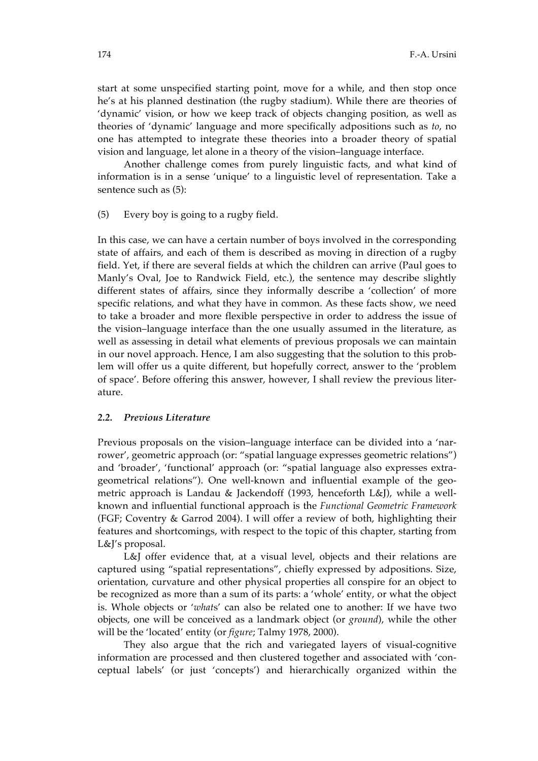start at some unspecified starting point, move for a while, and then stop once he's at his planned destination (the rugby stadium). While there are theories of 'dynamic' vision, or how we keep track of objects changing position, as well as theories of 'dynamic' language and more specifically adpositions such as *to*, no one has attempted to integrate these theories into a broader theory of spatial vision and language, let alone in a theory of the vision–language interface.

Another challenge comes from purely linguistic facts, and what kind of information is in a sense 'unique' to a linguistic level of representation. Take a sentence such as (5):

(5) Every boy is going to a rugby field.

In this case, we can have a certain number of boys involved in the corresponding state of affairs, and each of them is described as moving in direction of a rugby field. Yet, if there are several fields at which the children can arrive (Paul goes to Manly's Oval, Joe to Randwick Field, etc.), the sentence may describe slightly different states of affairs, since they informally describe a 'collection' of more specific relations, and what they have in common. As these facts show, we need to take a broader and more flexible perspective in order to address the issue of the vision–language interface than the one usually assumed in the literature, as well as assessing in detail what elements of previous proposals we can maintain in our novel approach. Hence, I am also suggesting that the solution to this problem will offer us a quite different, but hopefully correct, answer to the 'problem of space'. Before offering this answer, however, I shall review the previous literature.

#### *2.2. Previous Literature*

Previous proposals on the vision–language interface can be divided into a 'narrower', geometric approach (or: "spatial language expresses geometric relations") and 'broader', 'functional' approach (or: "spatial language also expresses extrageometrical relations"). One well-known and influential example of the geometric approach is Landau & Jackendoff (1993, henceforth L&J), while a wellknown and influential functional approach is the *Functional Geometric Framework* (FGF; Coventry & Garrod 2004). I will offer a review of both, highlighting their features and shortcomings, with respect to the topic of this chapter, starting from L&J's proposal.

L&J offer evidence that, at a visual level, objects and their relations are captured using "spatial representations", chiefly expressed by adpositions. Size, orientation, curvature and other physical properties all conspire for an object to be recognized as more than a sum of its parts: a 'whole' entity, or what the object is. Whole objects or '*what*s' can also be related one to another: If we have two objects, one will be conceived as a landmark object (or *ground*), while the other will be the 'located' entity (or *figure*; Talmy 1978, 2000).

They also argue that the rich and variegated layers of visual-cognitive information are processed and then clustered together and associated with 'conceptual labels' (or just 'concepts') and hierarchically organized within the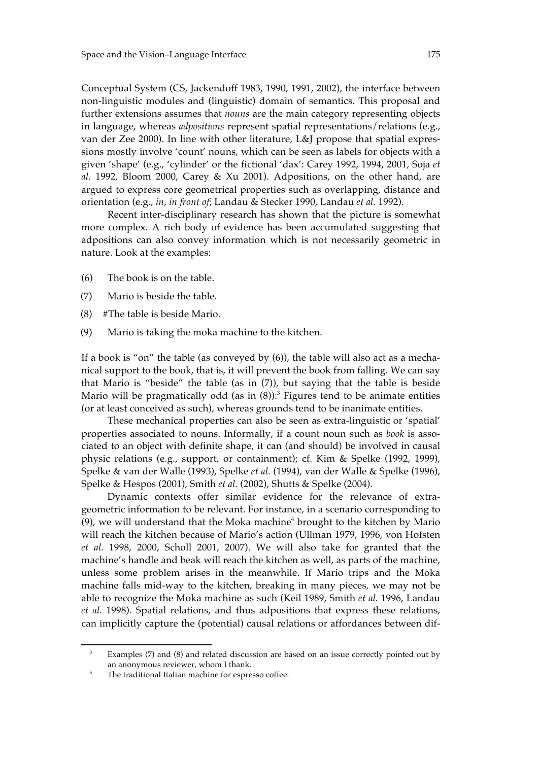Conceptual System (CS, Jackendoff 1983, 1990, 1991, 2002), the interface between non-linguistic modules and (linguistic) domain of semantics. This proposal and further extensions assumes that *nouns* are the main category representing objects in language, whereas *adpositions* represent spatial representations/relations (e.g., van der Zee 2000). In line with other literature, L&J propose that spatial expressions mostly involve 'count' nouns, which can be seen as labels for objects with a given 'shape' (e.g., 'cylinder' or the fictional 'dax': Carey 1992, 1994, 2001, Soja *et al.* 1992, Bloom 2000, Carey & Xu 2001). Adpositions, on the other hand, are argued to express core geometrical properties such as overlapping, distance and orientation (e.g., *in*, *in front of*; Landau & Stecker 1990, Landau *et al.* 1992).

Recent inter-disciplinary research has shown that the picture is somewhat more complex. A rich body of evidence has been accumulated suggesting that adpositions can also convey information which is not necessarily geometric in nature. Look at the examples:

- (6) The book is on the table.
- (7) Mario is beside the table.
- (8) #The table is beside Mario.
- (9) Mario is taking the moka machine to the kitchen.

If a book is "on" the table (as conveyed by (6)), the table will also act as a mechanical support to the book, that is, it will prevent the book from falling. We can say that Mario is "beside" the table (as in (7)), but saying that the table is beside Mario will be pragmatically odd (as in  $(8)$ ):<sup>3</sup> Figures tend to be animate entities (or at least conceived as such), whereas grounds tend to be inanimate entities.

These mechanical properties can also be seen as extra-linguistic or 'spatial' properties associated to nouns. Informally, if a count noun such as *book* is associated to an object with definite shape, it can (and should) be involved in causal physic relations (e.g., support, or containment); cf. Kim & Spelke (1992, 1999), Spelke & van der Walle (1993), Spelke *et al.* (1994), van der Walle & Spelke (1996), Spelke & Hespos (2001), Smith *et al.* (2002), Shutts & Spelke (2004).

Dynamic contexts offer similar evidence for the relevance of extrageometric information to be relevant. For instance, in a scenario corresponding to (9), we will understand that the Moka machine<sup>4</sup> brought to the kitchen by Mario will reach the kitchen because of Mario's action (Ullman 1979, 1996, von Hofsten *et al.* 1998, 2000, Scholl 2001, 2007). We will also take for granted that the machine's handle and beak will reach the kitchen as well, as parts of the machine, unless some problem arises in the meanwhile. If Mario trips and the Moka machine falls mid-way to the kitchen, breaking in many pieces, we may not be able to recognize the Moka machine as such (Keil 1989, Smith *et al.* 1996, Landau *et al.* 1998). Spatial relations, and thus adpositions that express these relations, can implicitly capture the (potential) causal relations or affordances between dif-

 $\ddot{ }$ 

<sup>&</sup>lt;sup>3</sup> Examples (7) and (8) and related discussion are based on an issue correctly pointed out by an anonymous reviewer, whom I thank.

The traditional Italian machine for espresso coffee.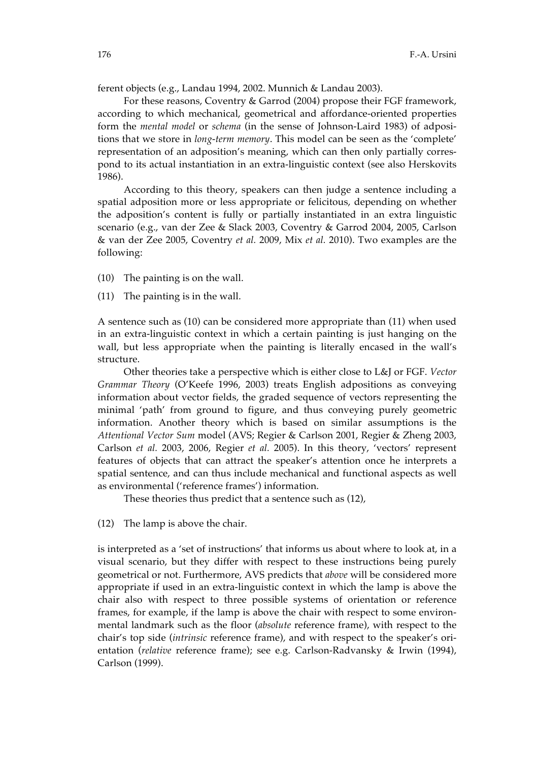ferent objects (e.g., Landau 1994, 2002. Munnich & Landau 2003).

For these reasons, Coventry & Garrod (2004) propose their FGF framework, according to which mechanical, geometrical and affordance-oriented properties form the *mental model* or *schema* (in the sense of Johnson-Laird 1983) of adpositions that we store in *long-term memory*. This model can be seen as the 'complete' representation of an adposition's meaning, which can then only partially correspond to its actual instantiation in an extra-linguistic context (see also Herskovits 1986).

According to this theory, speakers can then judge a sentence including a spatial adposition more or less appropriate or felicitous, depending on whether the adposition's content is fully or partially instantiated in an extra linguistic scenario (e.g., van der Zee & Slack 2003, Coventry & Garrod 2004, 2005, Carlson & van der Zee 2005, Coventry *et al.* 2009, Mix *et al.* 2010). Two examples are the following:

(10) The painting is on the wall.

(11) The painting is in the wall.

A sentence such as (10) can be considered more appropriate than (11) when used in an extra-linguistic context in which a certain painting is just hanging on the wall, but less appropriate when the painting is literally encased in the wall's structure.

Other theories take a perspective which is either close to L&J or FGF. *Vector Grammar Theory* (O'Keefe 1996, 2003) treats English adpositions as conveying information about vector fields, the graded sequence of vectors representing the minimal 'path' from ground to figure, and thus conveying purely geometric information. Another theory which is based on similar assumptions is the *Attentional Vector Sum* model (AVS; Regier & Carlson 2001, Regier & Zheng 2003, Carlson *et al.* 2003, 2006, Regier *et al.* 2005). In this theory, 'vectors' represent features of objects that can attract the speaker's attention once he interprets a spatial sentence, and can thus include mechanical and functional aspects as well as environmental ('reference frames') information.

These theories thus predict that a sentence such as (12),

(12) The lamp is above the chair.

is interpreted as a 'set of instructions' that informs us about where to look at, in a visual scenario, but they differ with respect to these instructions being purely geometrical or not. Furthermore, AVS predicts that *above* will be considered more appropriate if used in an extra-linguistic context in which the lamp is above the chair also with respect to three possible systems of orientation or reference frames, for example, if the lamp is above the chair with respect to some environmental landmark such as the floor (*absolute* reference frame), with respect to the chair's top side (*intrinsic* reference frame), and with respect to the speaker's orientation (*relative* reference frame); see e.g. Carlson-Radvansky & Irwin (1994), Carlson (1999).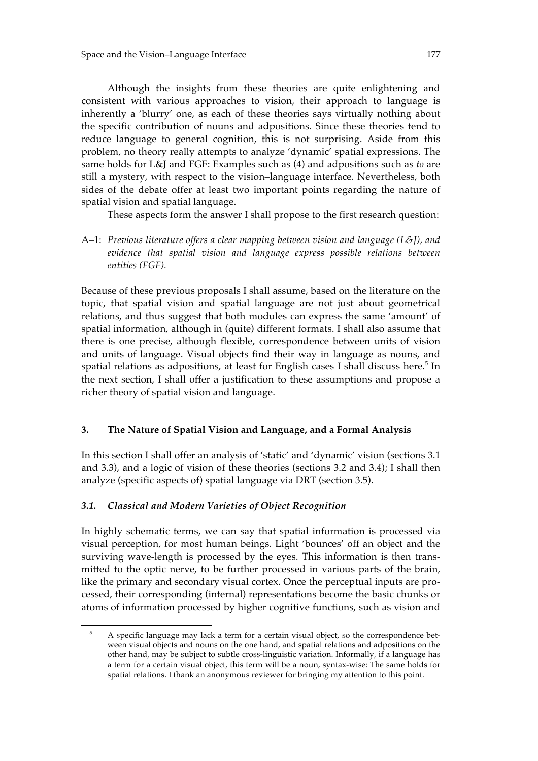Although the insights from these theories are quite enlightening and consistent with various approaches to vision, their approach to language is inherently a 'blurry' one, as each of these theories says virtually nothing about the specific contribution of nouns and adpositions. Since these theories tend to reduce language to general cognition, this is not surprising. Aside from this problem, no theory really attempts to analyze 'dynamic' spatial expressions. The same holds for L&J and FGF: Examples such as (4) and adpositions such as *to* are still a mystery, with respect to the vision–language interface. Nevertheless, both sides of the debate offer at least two important points regarding the nature of spatial vision and spatial language.

These aspects form the answer I shall propose to the first research question:

A–1: *Previous literature offers a clear mapping between vision and language (L&J), and evidence that spatial vision and language express possible relations between entities (FGF).*

Because of these previous proposals I shall assume, based on the literature on the topic, that spatial vision and spatial language are not just about geometrical relations, and thus suggest that both modules can express the same 'amount' of spatial information, although in (quite) different formats. I shall also assume that there is one precise, although flexible, correspondence between units of vision and units of language. Visual objects find their way in language as nouns, and spatial relations as adpositions, at least for English cases I shall discuss here. $5$  In the next section, I shall offer a justification to these assumptions and propose a richer theory of spatial vision and language.

## **3. The Nature of Spatial Vision and Language, and a Formal Analysis**

In this section I shall offer an analysis of 'static' and 'dynamic' vision (sections 3.1 and 3.3), and a logic of vision of these theories (sections 3.2 and 3.4); I shall then analyze (specific aspects of) spatial language via DRT (section 3.5).

## *3.1. Classical and Modern Varieties of Object Recognition*

 $\overline{a}$ 

In highly schematic terms, we can say that spatial information is processed via visual perception, for most human beings. Light 'bounces' off an object and the surviving wave-length is processed by the eyes. This information is then transmitted to the optic nerve, to be further processed in various parts of the brain, like the primary and secondary visual cortex. Once the perceptual inputs are processed, their corresponding (internal) representations become the basic chunks or atoms of information processed by higher cognitive functions, such as vision and

<sup>&</sup>lt;sup>5</sup> A specific language may lack a term for a certain visual object, so the correspondence between visual objects and nouns on the one hand, and spatial relations and adpositions on the other hand, may be subject to subtle cross-linguistic variation. Informally, if a language has a term for a certain visual object, this term will be a noun, syntax-wise: The same holds for spatial relations. I thank an anonymous reviewer for bringing my attention to this point.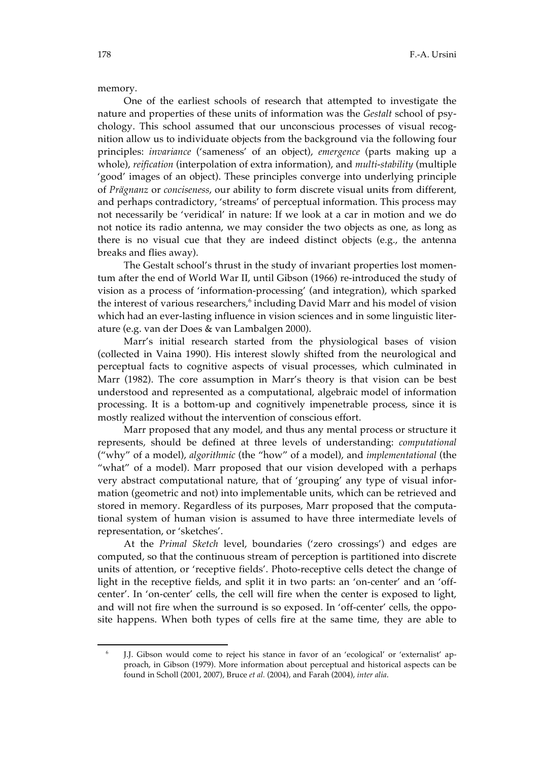#### memory.

One of the earliest schools of research that attempted to investigate the nature and properties of these units of information was the *Gestalt* school of psychology. This school assumed that our unconscious processes of visual recognition allow us to individuate objects from the background via the following four principles: *invariance* ('sameness' of an object), *emergence* (parts making up a whole), *reification* (interpolation of extra information), and *multi-stability* (multiple 'good' images of an object). These principles converge into underlying principle of *Prägnanz* or *conciseness*, our ability to form discrete visual units from different, and perhaps contradictory, 'streams' of perceptual information. This process may not necessarily be 'veridical' in nature: If we look at a car in motion and we do not notice its radio antenna, we may consider the two objects as one, as long as there is no visual cue that they are indeed distinct objects (e.g., the antenna breaks and flies away).

The Gestalt school's thrust in the study of invariant properties lost momentum after the end of World War II, until Gibson (1966) re-introduced the study of vision as a process of 'information-processing' (and integration), which sparked the interest of various researchers,<sup>6</sup> including David Marr and his model of vision which had an ever-lasting influence in vision sciences and in some linguistic literature (e.g. van der Does & van Lambalgen 2000).

Marr's initial research started from the physiological bases of vision (collected in Vaina 1990). His interest slowly shifted from the neurological and perceptual facts to cognitive aspects of visual processes, which culminated in Marr (1982). The core assumption in Marr's theory is that vision can be best understood and represented as a computational, algebraic model of information processing. It is a bottom-up and cognitively impenetrable process, since it is mostly realized without the intervention of conscious effort.

Marr proposed that any model, and thus any mental process or structure it represents, should be defined at three levels of understanding: *computational*  ("why" of a model), *algorithmic* (the "how" of a model), and *implementational* (the "what" of a model). Marr proposed that our vision developed with a perhaps very abstract computational nature, that of 'grouping' any type of visual information (geometric and not) into implementable units, which can be retrieved and stored in memory. Regardless of its purposes, Marr proposed that the computational system of human vision is assumed to have three intermediate levels of representation, or 'sketches'.

At the *Primal Sketch* level, boundaries ('zero crossings') and edges are computed, so that the continuous stream of perception is partitioned into discrete units of attention, or 'receptive fields'. Photo-receptive cells detect the change of light in the receptive fields, and split it in two parts: an 'on-center' and an 'offcenter'. In 'on-center' cells, the cell will fire when the center is exposed to light, and will not fire when the surround is so exposed. In 'off-center' cells, the opposite happens. When both types of cells fire at the same time, they are able to

-

J.J. Gibson would come to reject his stance in favor of an 'ecological' or 'externalist' approach, in Gibson (1979). More information about perceptual and historical aspects can be found in Scholl (2001, 2007), Bruce *et al.* (2004), and Farah (2004), *inter alia*.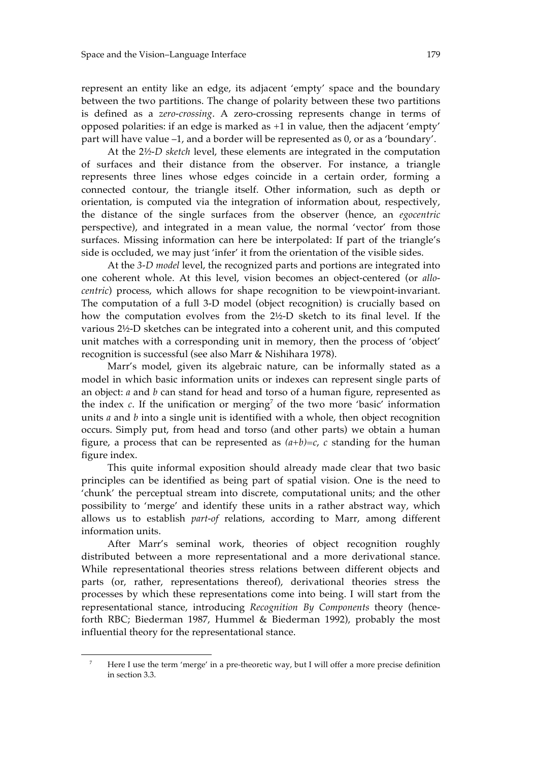represent an entity like an edge, its adjacent 'empty' space and the boundary between the two partitions. The change of polarity between these two partitions is defined as a *zero-crossing*. A zero-crossing represents change in terms of opposed polarities: if an edge is marked as +1 in value, then the adjacent 'empty' part will have value –1, and a border will be represented as 0, or as a 'boundary'.

At the 2*½-D sketch* level, these elements are integrated in the computation of surfaces and their distance from the observer. For instance, a triangle represents three lines whose edges coincide in a certain order, forming a connected contour, the triangle itself. Other information, such as depth or orientation, is computed via the integration of information about, respectively, the distance of the single surfaces from the observer (hence, an *egocentric* perspective), and integrated in a mean value, the normal 'vector' from those surfaces. Missing information can here be interpolated: If part of the triangle's side is occluded, we may just 'infer' it from the orientation of the visible sides.

At the *3-D model* level, the recognized parts and portions are integrated into one coherent whole. At this level, vision becomes an object-centered (or *allocentric*) process, which allows for shape recognition to be viewpoint-invariant. The computation of a full 3-D model (object recognition) is crucially based on how the computation evolves from the 2½-D sketch to its final level. If the various 2½-D sketches can be integrated into a coherent unit, and this computed unit matches with a corresponding unit in memory, then the process of 'object' recognition is successful (see also Marr & Nishihara 1978).

Marr's model, given its algebraic nature, can be informally stated as a model in which basic information units or indexes can represent single parts of an object: *a* and *b* can stand for head and torso of a human figure, represented as the index  $c$ . If the unification or merging<sup>7</sup> of the two more 'basic' information units *a* and *b* into a single unit is identified with a whole, then object recognition occurs. Simply put, from head and torso (and other parts) we obtain a human figure, a process that can be represented as  $(a+b)=c$ , *c* standing for the human figure index.

This quite informal exposition should already made clear that two basic principles can be identified as being part of spatial vision. One is the need to 'chunk' the perceptual stream into discrete, computational units; and the other possibility to 'merge' and identify these units in a rather abstract way, which allows us to establish *part-of* relations, according to Marr, among different information units.

After Marr's seminal work, theories of object recognition roughly distributed between a more representational and a more derivational stance. While representational theories stress relations between different objects and parts (or, rather, representations thereof), derivational theories stress the processes by which these representations come into being. I will start from the representational stance, introducing *Recognition By Components* theory (henceforth RBC; Biederman 1987, Hummel & Biederman 1992), probably the most influential theory for the representational stance.

1

Here I use the term 'merge' in a pre-theoretic way, but I will offer a more precise definition in section 3.3.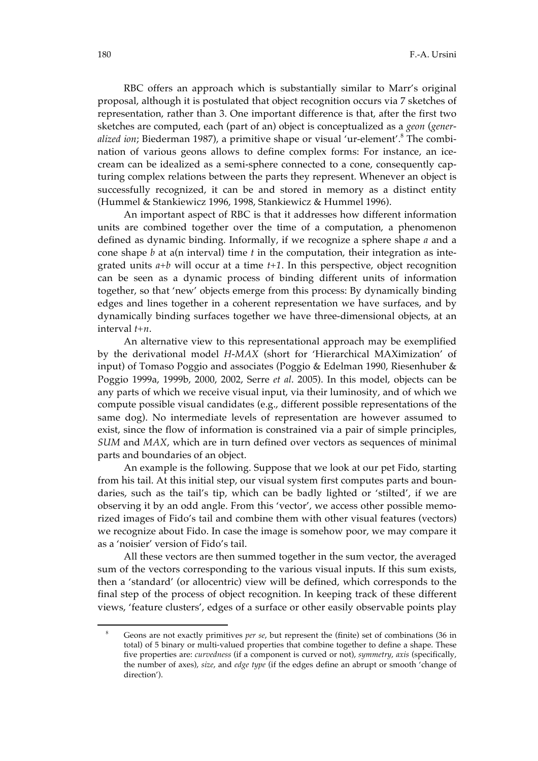RBC offers an approach which is substantially similar to Marr's original proposal, although it is postulated that object recognition occurs via 7 sketches of representation, rather than 3. One important difference is that, after the first two sketches are computed, each (part of an) object is conceptualized as a *geon* (*gener*alized ion; Biederman 1987), a primitive shape or visual 'ur-element'.<sup>8</sup> The combination of various geons allows to define complex forms: For instance, an icecream can be idealized as a semi-sphere connected to a cone, consequently capturing complex relations between the parts they represent. Whenever an object is successfully recognized, it can be and stored in memory as a distinct entity (Hummel & Stankiewicz 1996, 1998, Stankiewicz & Hummel 1996).

An important aspect of RBC is that it addresses how different information units are combined together over the time of a computation, a phenomenon defined as dynamic binding. Informally, if we recognize a sphere shape *a* and a cone shape *b* at a(n interval) time *t* in the computation, their integration as integrated units *a+b* will occur at a time *t+1*. In this perspective, object recognition can be seen as a dynamic process of binding different units of information together, so that 'new' objects emerge from this process: By dynamically binding edges and lines together in a coherent representation we have surfaces, and by dynamically binding surfaces together we have three-dimensional objects, at an interval *t+n*.

An alternative view to this representational approach may be exemplified by the derivational model *H-MAX* (short for 'Hierarchical MAXimization' of input) of Tomaso Poggio and associates (Poggio & Edelman 1990, Riesenhuber & Poggio 1999a, 1999b, 2000, 2002, Serre *et al*. 2005). In this model, objects can be any parts of which we receive visual input, via their luminosity, and of which we compute possible visual candidates (e.g., different possible representations of the same dog). No intermediate levels of representation are however assumed to exist, since the flow of information is constrained via a pair of simple principles, *SUM* and *MAX*, which are in turn defined over vectors as sequences of minimal parts and boundaries of an object.

An example is the following. Suppose that we look at our pet Fido, starting from his tail. At this initial step, our visual system first computes parts and boundaries, such as the tail's tip, which can be badly lighted or 'stilted', if we are observing it by an odd angle. From this 'vector', we access other possible memorized images of Fido's tail and combine them with other visual features (vectors) we recognize about Fido. In case the image is somehow poor, we may compare it as a 'noisier' version of Fido's tail.

All these vectors are then summed together in the sum vector, the averaged sum of the vectors corresponding to the various visual inputs. If this sum exists, then a 'standard' (or allocentric) view will be defined, which corresponds to the final step of the process of object recognition. In keeping track of these different views, 'feature clusters', edges of a surface or other easily observable points play

 $\overline{a}$ 

<sup>8</sup> Geons are not exactly primitives *per se*, but represent the (finite) set of combinations (36 in total) of 5 binary or multi-valued properties that combine together to define a shape. These five properties are: *curvedness* (if a component is curved or not), *symmetry*, *axis* (specifically, the number of axes), *size*, and *edge type* (if the edges define an abrupt or smooth 'change of direction').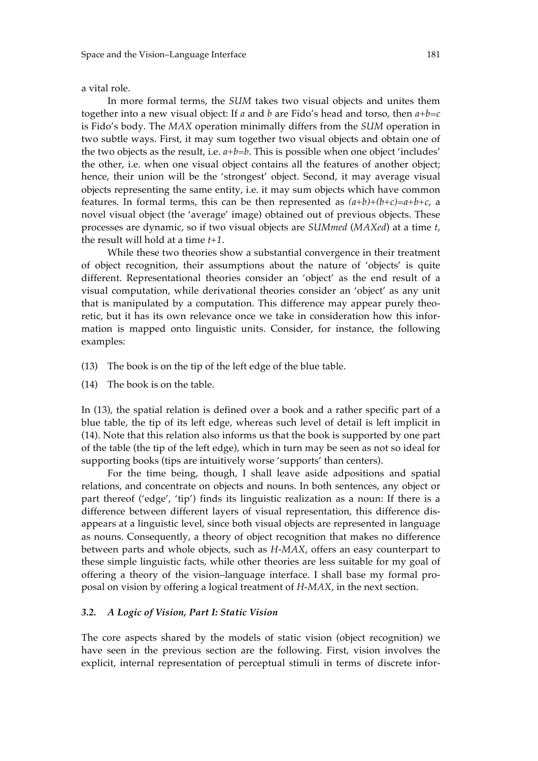a vital role.

In more formal terms, the *SUM* takes two visual objects and unites them together into a new visual object: If *a* and *b* are Fido's head and torso, then *a+b=c* is Fido's body. The *MAX* operation minimally differs from the *SUM* operation in two subtle ways. First, it may sum together two visual objects and obtain one of the two objects as the result, i.e. *a+b=b*. This is possible when one object 'includes' the other, i.e. when one visual object contains all the features of another object; hence, their union will be the 'strongest' object. Second, it may average visual objects representing the same entity, i.e. it may sum objects which have common features. In formal terms, this can be then represented as  $(a+b)+(b+c)=a+b+c$ , a novel visual object (the 'average' image) obtained out of previous objects. These processes are dynamic, so if two visual objects are *SUMmed* (*MAXed*) at a time *t*, the result will hold at a time *t+1*.

While these two theories show a substantial convergence in their treatment of object recognition, their assumptions about the nature of 'objects' is quite different. Representational theories consider an 'object' as the end result of a visual computation, while derivational theories consider an 'object' as any unit that is manipulated by a computation. This difference may appear purely theoretic, but it has its own relevance once we take in consideration how this information is mapped onto linguistic units. Consider, for instance, the following examples:

- (13) The book is on the tip of the left edge of the blue table.
- (14) The book is on the table.

In (13), the spatial relation is defined over a book and a rather specific part of a blue table, the tip of its left edge, whereas such level of detail is left implicit in (14). Note that this relation also informs us that the book is supported by one part of the table (the tip of the left edge), which in turn may be seen as not so ideal for supporting books (tips are intuitively worse 'supports' than centers).

For the time being, though, I shall leave aside adpositions and spatial relations, and concentrate on objects and nouns. In both sentences, any object or part thereof ('edge', 'tip') finds its linguistic realization as a noun: If there is a difference between different layers of visual representation, this difference disappears at a linguistic level, since both visual objects are represented in language as nouns. Consequently, a theory of object recognition that makes no difference between parts and whole objects, such as *H-MAX*, offers an easy counterpart to these simple linguistic facts, while other theories are less suitable for my goal of offering a theory of the vision–language interface. I shall base my formal proposal on vision by offering a logical treatment of *H-MAX*, in the next section.

#### *3.2. A Logic of Vision, Part I: Static Vision*

The core aspects shared by the models of static vision (object recognition) we have seen in the previous section are the following. First, vision involves the explicit, internal representation of perceptual stimuli in terms of discrete infor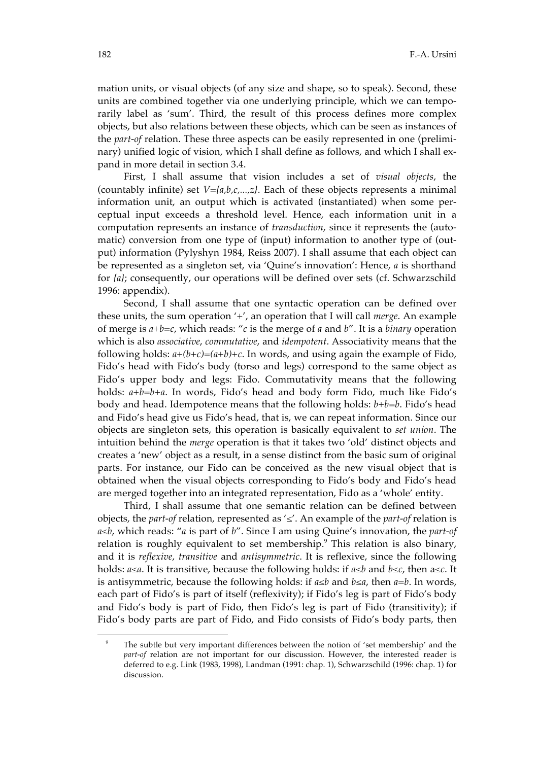mation units, or visual objects (of any size and shape, so to speak). Second, these units are combined together via one underlying principle, which we can temporarily label as 'sum'. Third, the result of this process defines more complex objects, but also relations between these objects, which can be seen as instances of the *part-of* relation. These three aspects can be easily represented in one (preliminary) unified logic of vision, which I shall define as follows, and which I shall expand in more detail in section 3.4.

First, I shall assume that vision includes a set of *visual objects*, the (countably infinite) set *V={a,b,c,...,z}*. Each of these objects represents a minimal information unit, an output which is activated (instantiated) when some perceptual input exceeds a threshold level. Hence, each information unit in a computation represents an instance of *transduction*, since it represents the (automatic) conversion from one type of (input) information to another type of (output) information (Pylyshyn 1984, Reiss 2007). I shall assume that each object can be represented as a singleton set, via 'Quine's innovation': Hence, *a* is shorthand for *{a}*; consequently, our operations will be defined over sets (cf. Schwarzschild 1996: appendix).

Second, I shall assume that one syntactic operation can be defined over these units, the sum operation '+', an operation that I will call *merge*. An example of merge is *a+b=c*, which reads: "*c* is the merge of *a* and *b*". It is a *binary* operation which is also *associative*, *commutative*, and *idempotent*. Associativity means that the following holds:  $a+(b+c)=(a+b)+c$ . In words, and using again the example of Fido, Fido's head with Fido's body (torso and legs) correspond to the same object as Fido's upper body and legs: Fido. Commutativity means that the following holds: *a+b=b+a*. In words, Fido's head and body form Fido, much like Fido's body and head. Idempotence means that the following holds: *b+b=b*. Fido's head and Fido's head give us Fido's head, that is, we can repeat information. Since our objects are singleton sets, this operation is basically equivalent to *set union*. The intuition behind the *merge* operation is that it takes two 'old' distinct objects and creates a 'new' object as a result, in a sense distinct from the basic sum of original parts. For instance, our Fido can be conceived as the new visual object that is obtained when the visual objects corresponding to Fido's body and Fido's head are merged together into an integrated representation, Fido as a 'whole' entity.

Third, I shall assume that one semantic relation can be defined between objects, the *part-of* relation, represented as '≤'. An example of the *part-of* relation is *a≤b*, which reads: "*a* is part of *b*". Since I am using Quine's innovation, the *part-of* relation is roughly equivalent to set membership.<sup>9</sup> This relation is also binary, and it is *reflexive*, *transitive* and *antisymmetric*. It is reflexive, since the following holds: *a≤a*. It is transitive, because the following holds: if *a≤b* and *b≤c*, then a*≤c*. It is antisymmetric, because the following holds: if *a≤b* and *b≤a*, then *a=b*. In words, each part of Fido's is part of itself (reflexivity); if Fido's leg is part of Fido's body and Fido's body is part of Fido, then Fido's leg is part of Fido (transitivity); if Fido's body parts are part of Fido, and Fido consists of Fido's body parts, then

 $\overline{a}$ 

The subtle but very important differences between the notion of 'set membership' and the *part-of* relation are not important for our discussion. However, the interested reader is deferred to e.g. Link (1983, 1998), Landman (1991: chap. 1), Schwarzschild (1996: chap. 1) for discussion.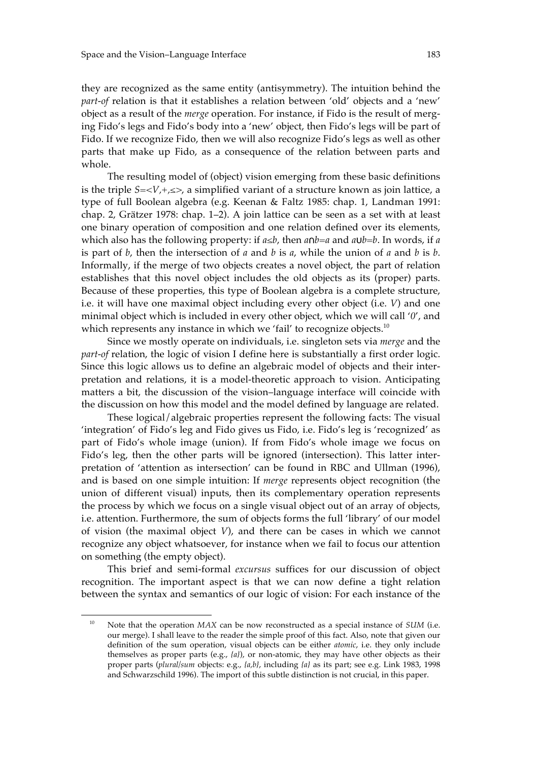they are recognized as the same entity (antisymmetry). The intuition behind the *part-of* relation is that it establishes a relation between 'old' objects and a 'new' object as a result of the *merge* operation. For instance, if Fido is the result of merging Fido's legs and Fido's body into a 'new' object, then Fido's legs will be part of Fido. If we recognize Fido, then we will also recognize Fido's legs as well as other parts that make up Fido, as a consequence of the relation between parts and whole.

The resulting model of (object) vision emerging from these basic definitions is the triple *S=<V,+,≤>*, a simplified variant of a structure known as join lattice, a type of full Boolean algebra (e.g. Keenan & Faltz 1985: chap. 1, Landman 1991: chap. 2, Grätzer 1978: chap. 1–2). A join lattice can be seen as a set with at least one binary operation of composition and one relation defined over its elements, which also has the following property: if *a≤b*, then *a*∩*b=a* and *a*∪*b=b*. In words, if *a* is part of *b*, then the intersection of *a* and *b* is *a*, while the union of *a* and *b* is *b*. Informally, if the merge of two objects creates a novel object, the part of relation establishes that this novel object includes the old objects as its (proper) parts. Because of these properties, this type of Boolean algebra is a complete structure, i.e. it will have one maximal object including every other object (i.e. *V*) and one minimal object which is included in every other object, which we will call '*0*', and which represents any instance in which we 'fail' to recognize objects. $^{10}$ 

Since we mostly operate on individuals, i.e. singleton sets via *merge* and the *part-of* relation, the logic of vision I define here is substantially a first order logic. Since this logic allows us to define an algebraic model of objects and their interpretation and relations, it is a model-theoretic approach to vision. Anticipating matters a bit, the discussion of the vision–language interface will coincide with the discussion on how this model and the model defined by language are related.

These logical/algebraic properties represent the following facts: The visual 'integration' of Fido's leg and Fido gives us Fido, i.e. Fido's leg is 'recognized' as part of Fido's whole image (union). If from Fido's whole image we focus on Fido's leg, then the other parts will be ignored (intersection). This latter interpretation of 'attention as intersection' can be found in RBC and Ullman (1996), and is based on one simple intuition: If *merge* represents object recognition (the union of different visual) inputs, then its complementary operation represents the process by which we focus on a single visual object out of an array of objects, i.e. attention. Furthermore, the sum of objects forms the full 'library' of our model of vision (the maximal object *V*), and there can be cases in which we cannot recognize any object whatsoever, for instance when we fail to focus our attention on something (the empty object).

This brief and semi-formal *excursus* suffices for our discussion of object recognition. The important aspect is that we can now define a tight relation between the syntax and semantics of our logic of vision: For each instance of the

-

<sup>&</sup>lt;sup>10</sup> Note that the operation *MAX* can be now reconstructed as a special instance of *SUM* (i.e. our merge). I shall leave to the reader the simple proof of this fact. Also, note that given our definition of the sum operation, visual objects can be either *atomic*, i.e. they only include themselves as proper parts (e.g., *{a}*), or non-atomic, they may have other objects as their proper parts (*plural/sum* objects: e.g., *{a,b}*, including *{a}* as its part; see e.g. Link 1983, 1998 and Schwarzschild 1996). The import of this subtle distinction is not crucial, in this paper.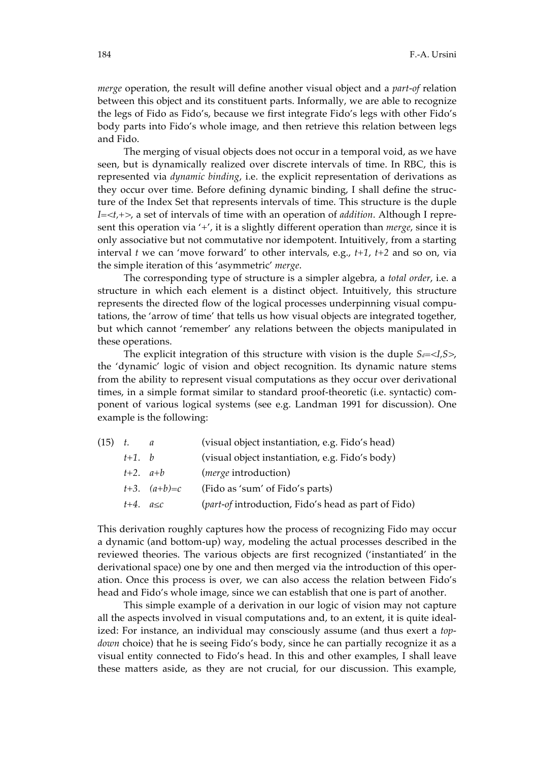*merge* operation, the result will define another visual object and a *part-of* relation between this object and its constituent parts. Informally, we are able to recognize the legs of Fido as Fido's, because we first integrate Fido's legs with other Fido's body parts into Fido's whole image, and then retrieve this relation between legs and Fido.

The merging of visual objects does not occur in a temporal void, as we have seen, but is dynamically realized over discrete intervals of time. In RBC, this is represented via *dynamic binding*, i.e. the explicit representation of derivations as they occur over time. Before defining dynamic binding, I shall define the structure of the Index Set that represents intervals of time. This structure is the duple *I=<t,+>*, a set of intervals of time with an operation of *addition*. Although I represent this operation via '+', it is a slightly different operation than *merge*, since it is only associative but not commutative nor idempotent. Intuitively, from a starting interval *t* we can 'move forward' to other intervals, e.g., *t+1*, *t+2* and so on, via the simple iteration of this 'asymmetric' *merge*.

The corresponding type of structure is a simpler algebra, a *total order*, i.e. a structure in which each element is a distinct object. Intuitively, this structure represents the directed flow of the logical processes underpinning visual computations, the 'arrow of time' that tells us how visual objects are integrated together, but which cannot 'remember' any relations between the objects manipulated in these operations.

The explicit integration of this structure with vision is the duple  $S_d = \langle I, S \rangle$ , the 'dynamic' logic of vision and object recognition. Its dynamic nature stems from the ability to represent visual computations as they occur over derivational times, in a simple format similar to standard proof-theoretic (i.e. syntactic) component of various logical systems (see e.g. Landman 1991 for discussion). One example is the following:

| $(15)$ t. |                    | a                | (visual object instantiation, e.g. Fido's head)     |
|-----------|--------------------|------------------|-----------------------------------------------------|
|           | $t+1$ , b          |                  | (visual object instantiation, e.g. Fido's body)     |
|           | $t+2$ . $a+b$      |                  | ( <i>merge</i> introduction)                        |
|           |                    | $t+3.$ $(a+b)=c$ | (Fido as 'sum' of Fido's parts)                     |
|           | $t+4$ , $a \leq c$ |                  | (part-of introduction, Fido's head as part of Fido) |

This derivation roughly captures how the process of recognizing Fido may occur a dynamic (and bottom-up) way, modeling the actual processes described in the reviewed theories. The various objects are first recognized ('instantiated' in the derivational space) one by one and then merged via the introduction of this operation. Once this process is over, we can also access the relation between Fido's head and Fido's whole image, since we can establish that one is part of another.

This simple example of a derivation in our logic of vision may not capture all the aspects involved in visual computations and, to an extent, it is quite idealized: For instance, an individual may consciously assume (and thus exert a *topdown* choice) that he is seeing Fido's body, since he can partially recognize it as a visual entity connected to Fido's head. In this and other examples, I shall leave these matters aside, as they are not crucial, for our discussion. This example,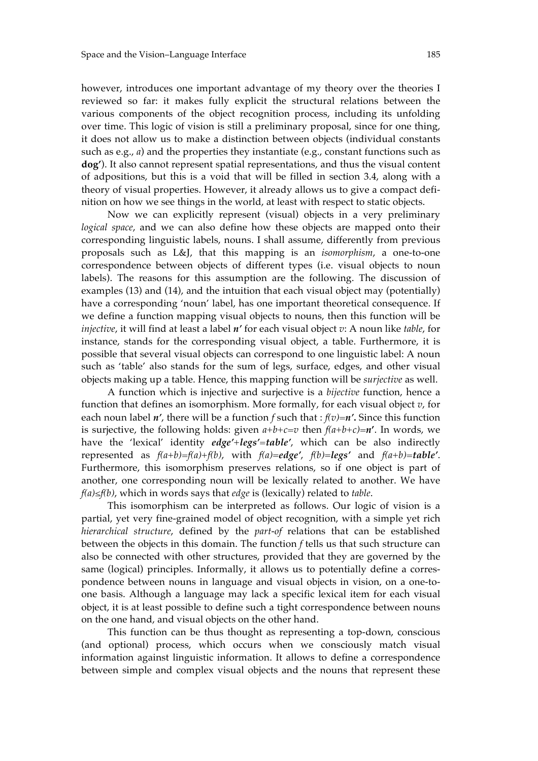however, introduces one important advantage of my theory over the theories I reviewed so far: it makes fully explicit the structural relations between the various components of the object recognition process, including its unfolding over time. This logic of vision is still a preliminary proposal, since for one thing, it does not allow us to make a distinction between objects (individual constants such as e.g., *a*) and the properties they instantiate (e.g., constant functions such as **dog'**). It also cannot represent spatial representations, and thus the visual content of adpositions, but this is a void that will be filled in section 3.4, along with a theory of visual properties. However, it already allows us to give a compact definition on how we see things in the world, at least with respect to static objects.

Now we can explicitly represent (visual) objects in a very preliminary *logical space*, and we can also define how these objects are mapped onto their corresponding linguistic labels, nouns. I shall assume, differently from previous proposals such as L&J, that this mapping is an *isomorphism*, a one-to-one correspondence between objects of different types (i.e. visual objects to noun labels). The reasons for this assumption are the following. The discussion of examples (13) and (14), and the intuition that each visual object may (potentially) have a corresponding 'noun' label, has one important theoretical consequence. If we define a function mapping visual objects to nouns, then this function will be *injective*, it will find at least a label *n'* for each visual object *v*: A noun like *table*, for instance, stands for the corresponding visual object, a table. Furthermore, it is possible that several visual objects can correspond to one linguistic label: A noun such as 'table' also stands for the sum of legs, surface, edges, and other visual objects making up a table. Hence, this mapping function will be *surjective* as well.

A function which is injective and surjective is a *bijective* function, hence a function that defines an isomorphism. More formally, for each visual object *v*, for each noun label *n'*, there will be a function *f* such that : *f(v)=n'***.** Since this function is surjective, the following holds: given  $a+b+c=v$  then  $f(a+b+c)=n'$ . In words, we have the 'lexical' identity *edge'+legs'=table'*, which can be also indirectly represented as *f(a+b)=f(a)+f(b)*, with *f(a)*=*edge'*, *f(b)*=*legs'* and *f(a+b)=table'*. Furthermore, this isomorphism preserves relations, so if one object is part of another, one corresponding noun will be lexically related to another. We have *f(a)≤f(b)*, which in words says that *edge* is (lexically) related to *table*.

This isomorphism can be interpreted as follows. Our logic of vision is a partial, yet very fine-grained model of object recognition, with a simple yet rich *hierarchical structure*, defined by the *part-of* relations that can be established between the objects in this domain. The function *f* tells us that such structure can also be connected with other structures, provided that they are governed by the same (logical) principles. Informally, it allows us to potentially define a correspondence between nouns in language and visual objects in vision, on a one-toone basis. Although a language may lack a specific lexical item for each visual object, it is at least possible to define such a tight correspondence between nouns on the one hand, and visual objects on the other hand.

This function can be thus thought as representing a top-down, conscious (and optional) process, which occurs when we consciously match visual information against linguistic information. It allows to define a correspondence between simple and complex visual objects and the nouns that represent these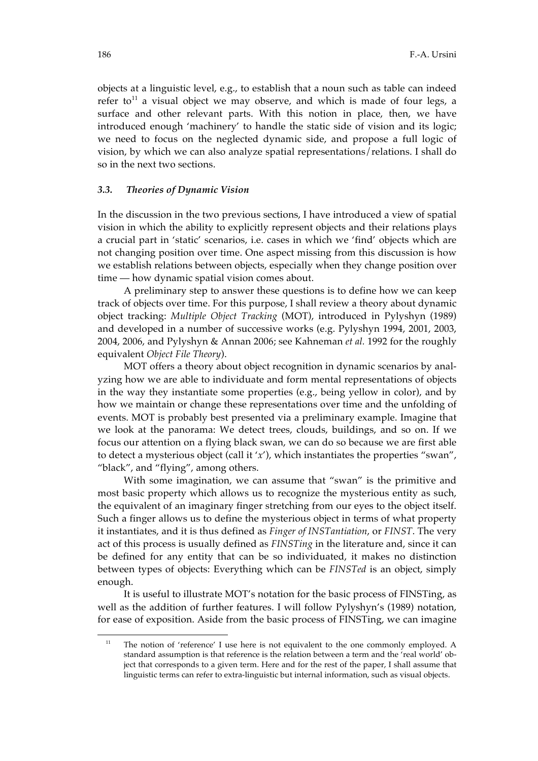objects at a linguistic level, e.g., to establish that a noun such as table can indeed refer to<sup>11</sup> a visual object we may observe, and which is made of four legs, a surface and other relevant parts. With this notion in place, then, we have introduced enough 'machinery' to handle the static side of vision and its logic; we need to focus on the neglected dynamic side, and propose a full logic of vision, by which we can also analyze spatial representations/relations. I shall do so in the next two sections.

#### *3.3. Theories of Dynamic Vision*

In the discussion in the two previous sections, I have introduced a view of spatial vision in which the ability to explicitly represent objects and their relations plays a crucial part in 'static' scenarios, i.e. cases in which we 'find' objects which are not changing position over time. One aspect missing from this discussion is how we establish relations between objects, especially when they change position over time — how dynamic spatial vision comes about.

A preliminary step to answer these questions is to define how we can keep track of objects over time. For this purpose, I shall review a theory about dynamic object tracking: *Multiple Object Tracking* (MOT), introduced in Pylyshyn (1989) and developed in a number of successive works (e.g. Pylyshyn 1994, 2001, 2003, 2004, 2006, and Pylyshyn & Annan 2006; see Kahneman *et al.* 1992 for the roughly equivalent *Object File Theory*).

MOT offers a theory about object recognition in dynamic scenarios by analyzing how we are able to individuate and form mental representations of objects in the way they instantiate some properties (e.g., being yellow in color), and by how we maintain or change these representations over time and the unfolding of events. MOT is probably best presented via a preliminary example. Imagine that we look at the panorama: We detect trees, clouds, buildings, and so on. If we focus our attention on a flying black swan, we can do so because we are first able to detect a mysterious object (call it '*x*'), which instantiates the properties "swan", "black", and "flying", among others.

With some imagination, we can assume that "swan" is the primitive and most basic property which allows us to recognize the mysterious entity as such, the equivalent of an imaginary finger stretching from our eyes to the object itself. Such a finger allows us to define the mysterious object in terms of what property it instantiates, and it is thus defined as *Finger of INSTantiation*, or *FINST*. The very act of this process is usually defined as *FINSTing* in the literature and, since it can be defined for any entity that can be so individuated, it makes no distinction between types of objects: Everything which can be *FINSTed* is an object, simply enough.

It is useful to illustrate MOT's notation for the basic process of FINSTing, as well as the addition of further features. I will follow Pylyshyn's (1989) notation, for ease of exposition. Aside from the basic process of FINSTing, we can imagine

 $\overline{a}$ 

<sup>&</sup>lt;sup>11</sup> The notion of 'reference' I use here is not equivalent to the one commonly employed. A standard assumption is that reference is the relation between a term and the 'real world' object that corresponds to a given term. Here and for the rest of the paper, I shall assume that linguistic terms can refer to extra-linguistic but internal information, such as visual objects.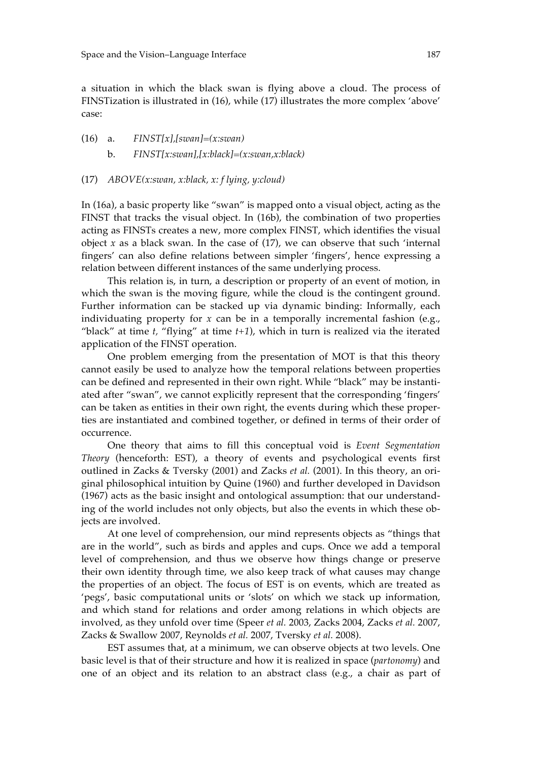a situation in which the black swan is flying above a cloud. The process of FINSTization is illustrated in (16), while (17) illustrates the more complex 'above' case:

(16) a. *FINST[x],[swan]=(x:swan)* b. *FINST[x:swan],[x:black]=(x:swan,x:black)*

#### (17) *ABOVE(x:swan, x:black, x: f lying, y:cloud)*

In (16a), a basic property like "swan" is mapped onto a visual object, acting as the FINST that tracks the visual object. In (16b), the combination of two properties acting as FINSTs creates a new, more complex FINST, which identifies the visual object  $x$  as a black swan. In the case of  $(17)$ , we can observe that such 'internal fingers' can also define relations between simpler 'fingers', hence expressing a relation between different instances of the same underlying process.

This relation is, in turn, a description or property of an event of motion, in which the swan is the moving figure, while the cloud is the contingent ground. Further information can be stacked up via dynamic binding: Informally, each individuating property for *x* can be in a temporally incremental fashion (e.g., "black" at time *t,* "flying" at time *t+1*), which in turn is realized via the iterated application of the FINST operation.

One problem emerging from the presentation of MOT is that this theory cannot easily be used to analyze how the temporal relations between properties can be defined and represented in their own right. While "black" may be instantiated after "swan", we cannot explicitly represent that the corresponding 'fingers' can be taken as entities in their own right, the events during which these properties are instantiated and combined together, or defined in terms of their order of occurrence.

One theory that aims to fill this conceptual void is *Event Segmentation Theory* (henceforth: EST), a theory of events and psychological events first outlined in Zacks & Tversky (2001) and Zacks *et al.* (2001). In this theory, an original philosophical intuition by Quine (1960) and further developed in Davidson (1967) acts as the basic insight and ontological assumption: that our understanding of the world includes not only objects, but also the events in which these objects are involved.

At one level of comprehension, our mind represents objects as "things that are in the world", such as birds and apples and cups. Once we add a temporal level of comprehension, and thus we observe how things change or preserve their own identity through time, we also keep track of what causes may change the properties of an object. The focus of EST is on events, which are treated as 'pegs', basic computational units or 'slots' on which we stack up information, and which stand for relations and order among relations in which objects are involved, as they unfold over time (Speer *et al.* 2003, Zacks 2004, Zacks *et al.* 2007, Zacks & Swallow 2007, Reynolds *et al.* 2007, Tversky *et al.* 2008).

EST assumes that, at a minimum, we can observe objects at two levels. One basic level is that of their structure and how it is realized in space (*partonomy*) and one of an object and its relation to an abstract class (e.g., a chair as part of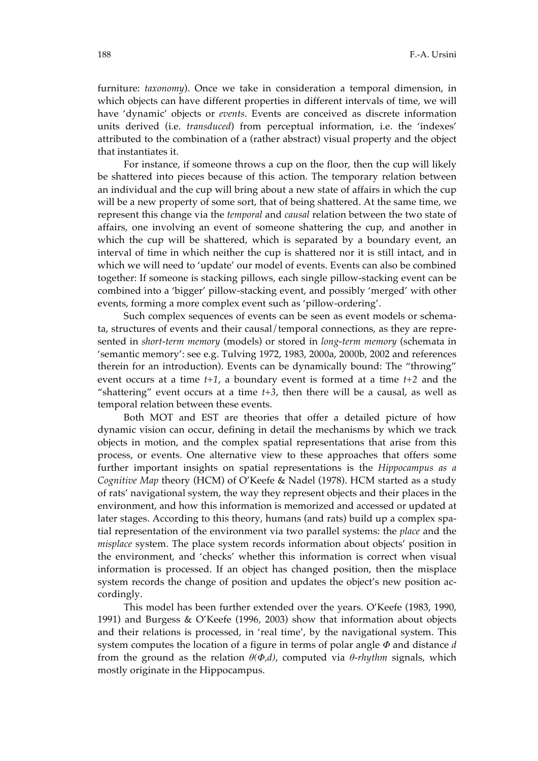furniture: *taxonomy*). Once we take in consideration a temporal dimension, in which objects can have different properties in different intervals of time, we will have 'dynamic' objects or *events*. Events are conceived as discrete information units derived (i.e. *transduced*) from perceptual information, i.e. the 'indexes' attributed to the combination of a (rather abstract) visual property and the object that instantiates it.

For instance, if someone throws a cup on the floor, then the cup will likely be shattered into pieces because of this action. The temporary relation between an individual and the cup will bring about a new state of affairs in which the cup will be a new property of some sort, that of being shattered. At the same time, we represent this change via the *temporal* and *causal* relation between the two state of affairs, one involving an event of someone shattering the cup, and another in which the cup will be shattered, which is separated by a boundary event, an interval of time in which neither the cup is shattered nor it is still intact, and in which we will need to 'update' our model of events. Events can also be combined together: If someone is stacking pillows, each single pillow-stacking event can be combined into a 'bigger' pillow-stacking event, and possibly 'merged' with other events, forming a more complex event such as 'pillow-ordering'.

Such complex sequences of events can be seen as event models or schemata, structures of events and their causal/temporal connections, as they are represented in *short-term memory* (models) or stored in *long-term memory* (schemata in 'semantic memory': see e.g. Tulving 1972, 1983, 2000a, 2000b, 2002 and references therein for an introduction). Events can be dynamically bound: The "throwing" event occurs at a time *t+1*, a boundary event is formed at a time *t+2* and the "shattering" event occurs at a time  $t+3$ , then there will be a causal, as well as temporal relation between these events.

Both MOT and EST are theories that offer a detailed picture of how dynamic vision can occur, defining in detail the mechanisms by which we track objects in motion, and the complex spatial representations that arise from this process, or events. One alternative view to these approaches that offers some further important insights on spatial representations is the *Hippocampus as a Cognitive Map* theory (HCM) of O'Keefe & Nadel (1978). HCM started as a study of rats' navigational system, the way they represent objects and their places in the environment, and how this information is memorized and accessed or updated at later stages. According to this theory, humans (and rats) build up a complex spatial representation of the environment via two parallel systems: the *place* and the *misplace* system. The place system records information about objects' position in the environment, and 'checks' whether this information is correct when visual information is processed. If an object has changed position, then the misplace system records the change of position and updates the object's new position accordingly.

This model has been further extended over the years. O'Keefe (1983, 1990, 1991) and Burgess & O'Keefe (1996, 2003) show that information about objects and their relations is processed, in 'real time', by the navigational system. This system computes the location of a figure in terms of polar angle *Φ* and distance *d* from the ground as the relation  $\theta(\Phi, d)$ , computed via  $\theta$ *-rhythm* signals, which mostly originate in the Hippocampus.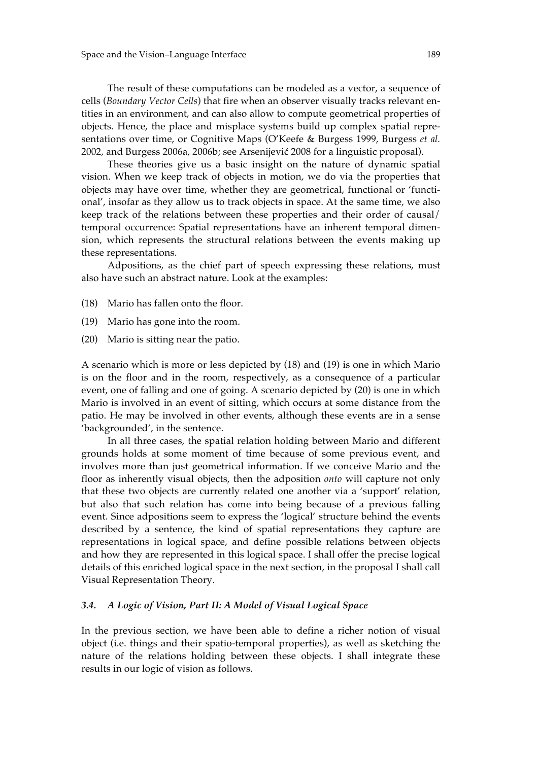The result of these computations can be modeled as a vector, a sequence of cells (*Boundary Vector Cells*) that fire when an observer visually tracks relevant entities in an environment, and can also allow to compute geometrical properties of objects. Hence, the place and misplace systems build up complex spatial representations over time, or Cognitive Maps (O'Keefe & Burgess 1999, Burgess *et al.* 2002, and Burgess 2006a, 2006b; see Arsenijević 2008 for a linguistic proposal).

These theories give us a basic insight on the nature of dynamic spatial vision. When we keep track of objects in motion, we do via the properties that objects may have over time, whether they are geometrical, functional or 'functional', insofar as they allow us to track objects in space. At the same time, we also keep track of the relations between these properties and their order of causal/ temporal occurrence: Spatial representations have an inherent temporal dimension, which represents the structural relations between the events making up these representations.

Adpositions, as the chief part of speech expressing these relations, must also have such an abstract nature. Look at the examples:

- (18) Mario has fallen onto the floor.
- (19) Mario has gone into the room.
- (20) Mario is sitting near the patio.

A scenario which is more or less depicted by (18) and (19) is one in which Mario is on the floor and in the room, respectively, as a consequence of a particular event, one of falling and one of going. A scenario depicted by (20) is one in which Mario is involved in an event of sitting, which occurs at some distance from the patio. He may be involved in other events, although these events are in a sense 'backgrounded', in the sentence.

In all three cases, the spatial relation holding between Mario and different grounds holds at some moment of time because of some previous event, and involves more than just geometrical information. If we conceive Mario and the floor as inherently visual objects, then the adposition *onto* will capture not only that these two objects are currently related one another via a 'support' relation, but also that such relation has come into being because of a previous falling event. Since adpositions seem to express the 'logical' structure behind the events described by a sentence, the kind of spatial representations they capture are representations in logical space, and define possible relations between objects and how they are represented in this logical space. I shall offer the precise logical details of this enriched logical space in the next section, in the proposal I shall call Visual Representation Theory.

#### *3.4. A Logic of Vision, Part II: A Model of Visual Logical Space*

In the previous section, we have been able to define a richer notion of visual object (i.e. things and their spatio-temporal properties), as well as sketching the nature of the relations holding between these objects. I shall integrate these results in our logic of vision as follows.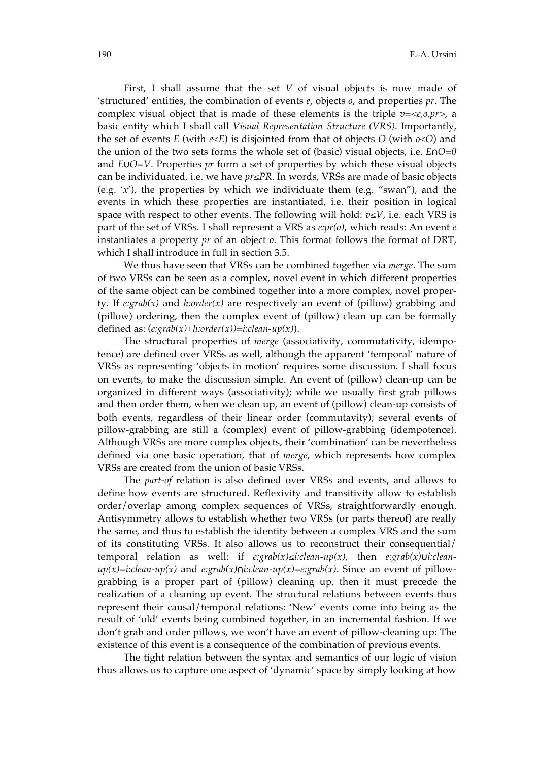First, I shall assume that the set *V* of visual objects is now made of 'structured' entities, the combination of events *e*, objects *o*, and properties *pr*. The complex visual object that is made of these elements is the triple *v=<e,o,pr>*, a basic entity which I shall call *Visual Representation Structure (VRS)*. Importantly, the set of events *E* (with  $e \le E$ ) is disjointed from that of objects *O* (with  $o \le O$ ) and the union of the two sets forms the whole set of (basic) visual objects, i.e. *E*∩*O=0* and *E*∪*O=V*. Properties *pr* form a set of properties by which these visual objects can be individuated, i.e. we have *pr≤PR*. In words, VRSs are made of basic objects (e.g. '*x*'), the properties by which we individuate them (e.g. "swan"), and the events in which these properties are instantiated, i.e. their position in logical space with respect to other events. The following will hold:  $v \leq V$ , i.e. each VRS is part of the set of VRSs. I shall represent a VRS as *e:pr(o)*, which reads: An event *e* instantiates a property *pr* of an object *o*. This format follows the format of DRT, which I shall introduce in full in section 3.5.

We thus have seen that VRSs can be combined together via *merge*. The sum of two VRSs can be seen as a complex, novel event in which different properties of the same object can be combined together into a more complex, novel property. If *e:grab(x)* and *h:order(x)* are respectively an event of (pillow) grabbing and (pillow) ordering, then the complex event of (pillow) clean up can be formally defined as: (*e:grab(x)+h:order(x))=i:clean-up(x)*).

The structural properties of *merge* (associativity, commutativity, idempotence) are defined over VRSs as well, although the apparent 'temporal' nature of VRSs as representing 'objects in motion' requires some discussion. I shall focus on events, to make the discussion simple. An event of (pillow) clean-up can be organized in different ways (associativity); while we usually first grab pillows and then order them, when we clean up, an event of (pillow) clean-up consists of both events, regardless of their linear order (commutavity); several events of pillow-grabbing are still a (complex) event of pillow-grabbing (idempotence). Although VRSs are more complex objects, their 'combination' can be nevertheless defined via one basic operation, that of *merge*, which represents how complex VRSs are created from the union of basic VRSs.

The *part-of* relation is also defined over VRSs and events, and allows to define how events are structured. Reflexivity and transitivity allow to establish order/overlap among complex sequences of VRSs, straightforwardly enough. Antisymmetry allows to establish whether two VRSs (or parts thereof) are really the same, and thus to establish the identity between a complex VRS and the sum of its constituting VRSs*.* It also allows us to reconstruct their consequential/ temporal relation as well: if *e:grab(x)≤i:clean-up(x)*, then *e:grab(x)*∪*i:cleanup(x)=i:clean-up(x)* and *e:grab(x)*∩*i:clean-up(x)=e:grab(x)*. Since an event of pillowgrabbing is a proper part of (pillow) cleaning up, then it must precede the realization of a cleaning up event. The structural relations between events thus represent their causal/temporal relations: 'New' events come into being as the result of 'old' events being combined together, in an incremental fashion. If we don't grab and order pillows, we won't have an event of pillow-cleaning up: The existence of this event is a consequence of the combination of previous events.

The tight relation between the syntax and semantics of our logic of vision thus allows us to capture one aspect of 'dynamic' space by simply looking at how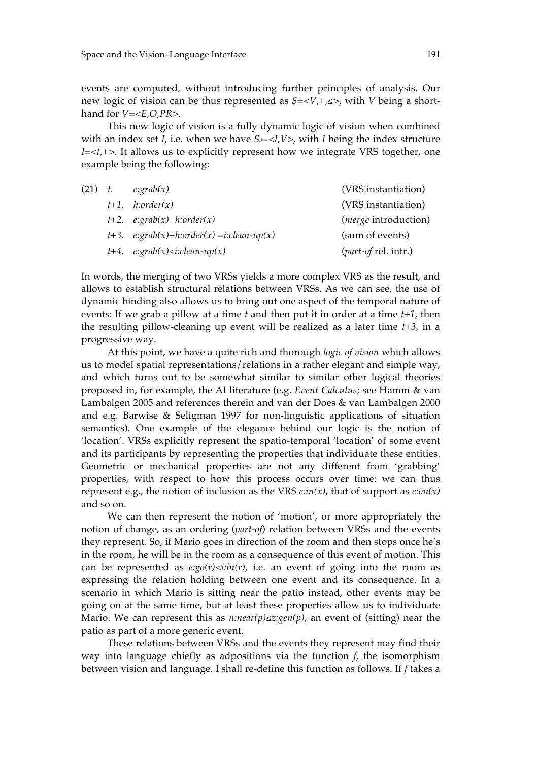events are computed, without introducing further principles of analysis. Our new logic of vision can be thus represented as *S=<V,+,≤>*, with *V* being a shorthand for *V=<E,O,PR>*.

This new logic of vision is a fully dynamic logic of vision when combined with an index set *I*, i.e. when we have  $S_d = \langle I, V \rangle$ , with *I* being the index structure *I=<t,+>*. It allows us to explicitly represent how we integrate VRS together, one example being the following:

| $(21)$ t. | $e: \text{grad}(x)$                             | (VRS instantiation)           |
|-----------|-------------------------------------------------|-------------------------------|
|           | $t+1$ . <i>h</i> :order(x)                      | (VRS instantiation)           |
|           | $t+2.$ e:grab $(x)+h:order(x)$                  | ( <i>merge</i> introduction)  |
|           | $t+3$ . $e:graph(x)+h:order(x) = i:clean-up(x)$ | (sum of events)               |
|           | $t+4$ . $e:graph(x) \leq i:clean-up(x)$         | ( <i>part-of rel. intr.</i> ) |

In words, the merging of two VRSs yields a more complex VRS as the result, and allows to establish structural relations between VRSs. As we can see, the use of dynamic binding also allows us to bring out one aspect of the temporal nature of events: If we grab a pillow at a time *t* and then put it in order at a time *t+1*, then the resulting pillow-cleaning up event will be realized as a later time *t+3*, in a progressive way.

At this point, we have a quite rich and thorough *logic of vision* which allows us to model spatial representations/relations in a rather elegant and simple way, and which turns out to be somewhat similar to similar other logical theories proposed in, for example, the AI literature (e.g. *Event Calculus*; see Hamm & van Lambalgen 2005 and references therein and van der Does & van Lambalgen 2000 and e.g. Barwise & Seligman 1997 for non-linguistic applications of situation semantics). One example of the elegance behind our logic is the notion of 'location'. VRSs explicitly represent the spatio-temporal 'location' of some event and its participants by representing the properties that individuate these entities. Geometric or mechanical properties are not any different from 'grabbing' properties, with respect to how this process occurs over time: we can thus represent e.g., the notion of inclusion as the VRS *e:in(x)*, that of support as *e:on(x)* and so on.

We can then represent the notion of 'motion', or more appropriately the notion of change, as an ordering (*part-of*) relation between VRSs and the events they represent. So, if Mario goes in direction of the room and then stops once he's in the room, he will be in the room as a consequence of this event of motion. This can be represented as  $e:go(r) \leq i:in(r)$ , i.e. an event of going into the room as expressing the relation holding between one event and its consequence. In a scenario in which Mario is sitting near the patio instead, other events may be going on at the same time, but at least these properties allow us to individuate Mario. We can represent this as *n:near(p)≤z:gen(p)*, an event of (sitting) near the patio as part of a more generic event.

These relations between VRSs and the events they represent may find their way into language chiefly as adpositions via the function *f*, the isomorphism between vision and language. I shall re-define this function as follows. If *f* takes a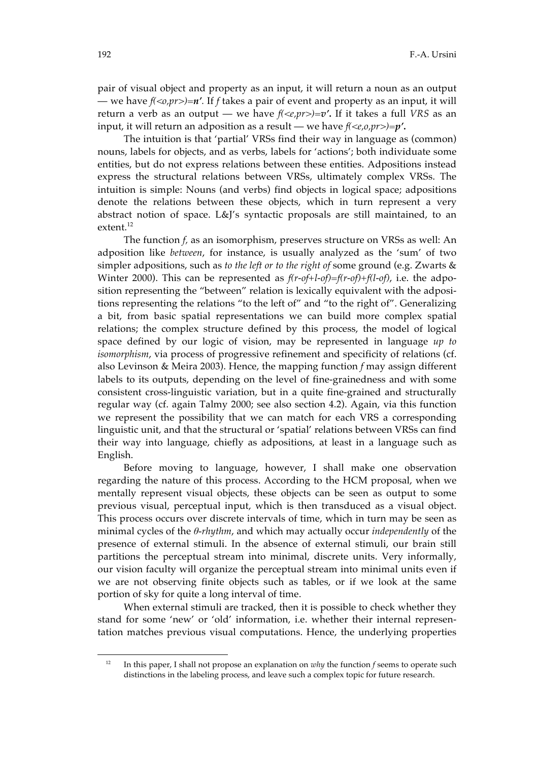pair of visual object and property as an input, it will return a noun as an output — we have  $f(\langle 0, pr \rangle) = n'$ . If f takes a pair of event and property as an input, it will return a verb as an output — we have *f(<e,pr>)=v'***.** If it takes a full *VRS* as an input, it will return an adposition as a result — we have *f(<e,o,pr>)=p'***.**

The intuition is that 'partial' VRSs find their way in language as (common) nouns, labels for objects, and as verbs, labels for 'actions'; both individuate some entities, but do not express relations between these entities. Adpositions instead express the structural relations between VRSs, ultimately complex VRSs. The intuition is simple: Nouns (and verbs) find objects in logical space; adpositions denote the relations between these objects, which in turn represent a very abstract notion of space. L&J's syntactic proposals are still maintained, to an extent.<sup>12</sup>

The function *f,* as an isomorphism, preserves structure on VRSs as well: An adposition like *between*, for instance, is usually analyzed as the 'sum' of two simpler adpositions, such as *to the left or to the right of* some ground (e.g. Zwarts & Winter 2000). This can be represented as *f(r-of+l-of)=f(r-of)+f(l-of)*, i.e. the adposition representing the "between" relation is lexically equivalent with the adpositions representing the relations "to the left of" and "to the right of". Generalizing a bit, from basic spatial representations we can build more complex spatial relations; the complex structure defined by this process, the model of logical space defined by our logic of vision, may be represented in language *up to isomorphism*, via process of progressive refinement and specificity of relations (cf. also Levinson & Meira 2003). Hence, the mapping function *f* may assign different labels to its outputs, depending on the level of fine-grainedness and with some consistent cross-linguistic variation, but in a quite fine-grained and structurally regular way (cf. again Talmy 2000; see also section 4.2). Again, via this function we represent the possibility that we can match for each VRS a corresponding linguistic unit, and that the structural or 'spatial' relations between VRSs can find their way into language, chiefly as adpositions, at least in a language such as English.

Before moving to language, however, I shall make one observation regarding the nature of this process. According to the HCM proposal, when we mentally represent visual objects, these objects can be seen as output to some previous visual, perceptual input, which is then transduced as a visual object. This process occurs over discrete intervals of time, which in turn may be seen as minimal cycles of the *θ-rhythm*, and which may actually occur *independently* of the presence of external stimuli. In the absence of external stimuli, our brain still partitions the perceptual stream into minimal, discrete units. Very informally, our vision faculty will organize the perceptual stream into minimal units even if we are not observing finite objects such as tables, or if we look at the same portion of sky for quite a long interval of time.

When external stimuli are tracked, then it is possible to check whether they stand for some 'new' or 'old' information, i.e. whether their internal representation matches previous visual computations. Hence, the underlying properties

-

<sup>&</sup>lt;sup>12</sup> In this paper, I shall not propose an explanation on *why* the function *f* seems to operate such distinctions in the labeling process, and leave such a complex topic for future research.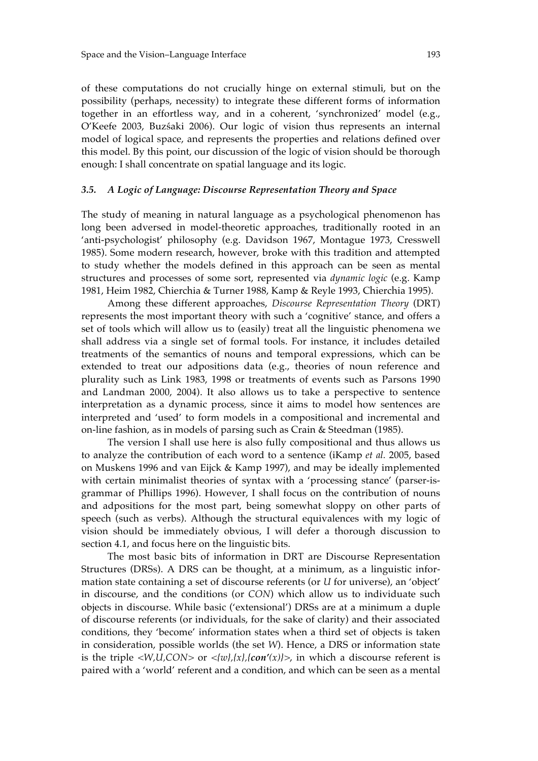of these computations do not crucially hinge on external stimuli, but on the possibility (perhaps, necessity) to integrate these different forms of information together in an effortless way, and in a coherent, 'synchronized' model (e.g., O'Keefe 2003, Buzśaki 2006). Our logic of vision thus represents an internal model of logical space, and represents the properties and relations defined over this model. By this point, our discussion of the logic of vision should be thorough enough: I shall concentrate on spatial language and its logic.

#### *3.5. A Logic of Language: Discourse Representation Theory and Space*

The study of meaning in natural language as a psychological phenomenon has long been adversed in model-theoretic approaches, traditionally rooted in an 'anti-psychologist' philosophy (e.g. Davidson 1967, Montague 1973, Cresswell 1985). Some modern research, however, broke with this tradition and attempted to study whether the models defined in this approach can be seen as mental structures and processes of some sort, represented via *dynamic logic* (e.g. Kamp 1981, Heim 1982, Chierchia & Turner 1988, Kamp & Reyle 1993, Chierchia 1995).

Among these different approaches, *Discourse Representation Theory* (DRT) represents the most important theory with such a 'cognitive' stance, and offers a set of tools which will allow us to (easily) treat all the linguistic phenomena we shall address via a single set of formal tools. For instance, it includes detailed treatments of the semantics of nouns and temporal expressions, which can be extended to treat our adpositions data (e.g., theories of noun reference and plurality such as Link 1983, 1998 or treatments of events such as Parsons 1990 and Landman 2000, 2004). It also allows us to take a perspective to sentence interpretation as a dynamic process, since it aims to model how sentences are interpreted and 'used' to form models in a compositional and incremental and on-line fashion, as in models of parsing such as Crain & Steedman (1985).

The version I shall use here is also fully compositional and thus allows us to analyze the contribution of each word to a sentence (iKamp *et al.* 2005, based on Muskens 1996 and van Eijck & Kamp 1997), and may be ideally implemented with certain minimalist theories of syntax with a 'processing stance' (parser-isgrammar of Phillips 1996). However, I shall focus on the contribution of nouns and adpositions for the most part, being somewhat sloppy on other parts of speech (such as verbs). Although the structural equivalences with my logic of vision should be immediately obvious, I will defer a thorough discussion to section 4.1, and focus here on the linguistic bits.

The most basic bits of information in DRT are Discourse Representation Structures (DRSs). A DRS can be thought, at a minimum, as a linguistic information state containing a set of discourse referents (or *U* for universe), an 'object' in discourse, and the conditions (or *CON*) which allow us to individuate such objects in discourse. While basic ('extensional') DRSs are at a minimum a duple of discourse referents (or individuals, for the sake of clarity) and their associated conditions, they 'become' information states when a third set of objects is taken in consideration, possible worlds (the set *W*). Hence, a DRS or information state is the triple  $\langle W, U, CON \rangle$  or  $\langle \{w\}, \{x\}, \{con'(x)\}\rangle$ , in which a discourse referent is paired with a 'world' referent and a condition, and which can be seen as a mental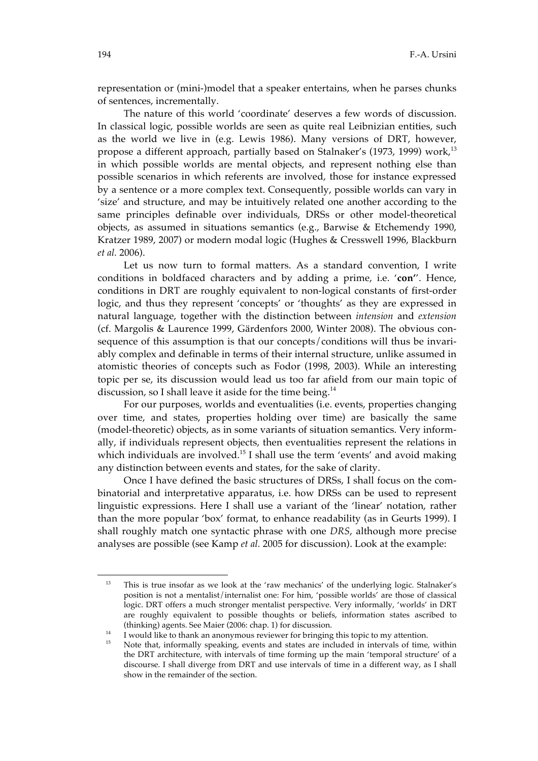representation or (mini-)model that a speaker entertains, when he parses chunks of sentences, incrementally.

The nature of this world 'coordinate' deserves a few words of discussion. In classical logic, possible worlds are seen as quite real Leibnizian entities, such as the world we live in (e.g. Lewis 1986). Many versions of DRT, however, propose a different approach, partially based on Stalnaker's (1973, 1999) work,<sup>13</sup> in which possible worlds are mental objects, and represent nothing else than possible scenarios in which referents are involved, those for instance expressed by a sentence or a more complex text. Consequently, possible worlds can vary in 'size' and structure, and may be intuitively related one another according to the same principles definable over individuals, DRSs or other model-theoretical objects, as assumed in situations semantics (e.g., Barwise & Etchemendy 1990, Kratzer 1989, 2007) or modern modal logic (Hughes & Cresswell 1996, Blackburn *et al.* 2006).

Let us now turn to formal matters. As a standard convention, I write conditions in boldfaced characters and by adding a prime, i.e. '**con'**'. Hence, conditions in DRT are roughly equivalent to non-logical constants of first-order logic, and thus they represent 'concepts' or 'thoughts' as they are expressed in natural language, together with the distinction between *intension* and *extension* (cf. Margolis & Laurence 1999, Gärdenfors 2000, Winter 2008). The obvious consequence of this assumption is that our concepts/conditions will thus be invariably complex and definable in terms of their internal structure, unlike assumed in atomistic theories of concepts such as Fodor (1998, 2003). While an interesting topic per se, its discussion would lead us too far afield from our main topic of discussion, so I shall leave it aside for the time being.<sup>14</sup>

For our purposes, worlds and eventualities (i.e. events, properties changing over time, and states, properties holding over time) are basically the same (model-theoretic) objects, as in some variants of situation semantics. Very informally, if individuals represent objects, then eventualities represent the relations in which individuals are involved.<sup>15</sup> I shall use the term 'events' and avoid making any distinction between events and states, for the sake of clarity.

Once I have defined the basic structures of DRSs, I shall focus on the combinatorial and interpretative apparatus, i.e. how DRSs can be used to represent linguistic expressions. Here I shall use a variant of the 'linear' notation, rather than the more popular 'box' format, to enhance readability (as in Geurts 1999). I shall roughly match one syntactic phrase with one *DRS*, although more precise analyses are possible (see Kamp *et al.* 2005 for discussion). Look at the example:

1

<sup>13</sup> This is true insofar as we look at the 'raw mechanics' of the underlying logic. Stalnaker's position is not a mentalist/internalist one: For him, 'possible worlds' are those of classical logic. DRT offers a much stronger mentalist perspective. Very informally, 'worlds' in DRT are roughly equivalent to possible thoughts or beliefs, information states ascribed to (thinking) agents. See Maier (2006: chap. 1) for discussion.

<sup>&</sup>lt;sup>14</sup> I would like to thank an anonymous reviewer for bringing this topic to my attention.

Note that, informally speaking, events and states are included in intervals of time, within the DRT architecture, with intervals of time forming up the main 'temporal structure' of a discourse. I shall diverge from DRT and use intervals of time in a different way, as I shall show in the remainder of the section.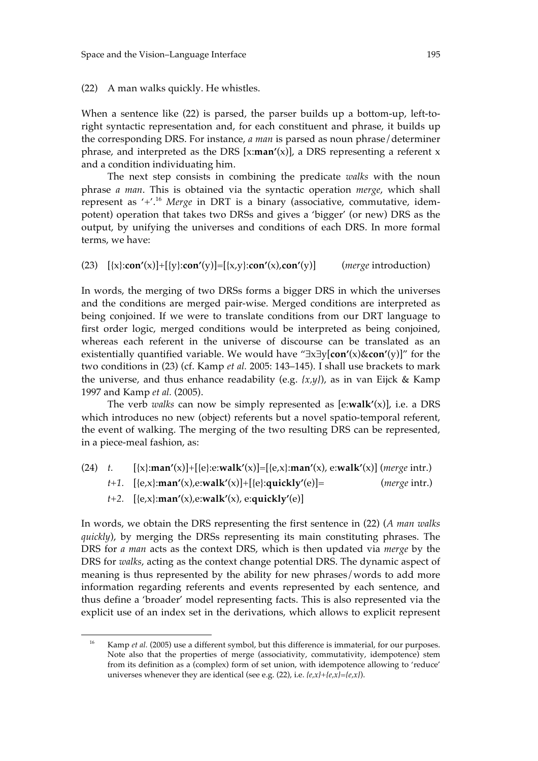(22) A man walks quickly. He whistles.

When a sentence like (22) is parsed, the parser builds up a bottom-up, left-toright syntactic representation and, for each constituent and phrase, it builds up the corresponding DRS. For instance, *a man* is parsed as noun phrase/determiner phrase, and interpreted as the DRS [x:**man'**(x)], a DRS representing a referent x and a condition individuating him.

The next step consists in combining the predicate *walks* with the noun phrase *a man*. This is obtained via the syntactic operation *merge*, which shall represent as '+'. <sup>16</sup> *Merge* in DRT is a binary (associative, commutative, idempotent) operation that takes two DRSs and gives a 'bigger' (or new) DRS as the output, by unifying the universes and conditions of each DRS. In more formal terms, we have:

(23) [{x}:**con'**(x)]+[{y}:**con'**(y)]=[{x,y}:**con'**(x),**con'**(y)] (*merge* introduction)

In words, the merging of two DRSs forms a bigger DRS in which the universes and the conditions are merged pair-wise. Merged conditions are interpreted as being conjoined. If we were to translate conditions from our DRT language to first order logic, merged conditions would be interpreted as being conjoined, whereas each referent in the universe of discourse can be translated as an existentially quantified variable. We would have "∃x∃y[**con'**(x)&**con'**(y)]" for the two conditions in (23) (cf. Kamp *et al.* 2005: 143–145). I shall use brackets to mark the universe, and thus enhance readability (e.g. *{x,y}*), as in van Eijck & Kamp 1997 and Kamp *et al.* (2005).

The verb *walks* can now be simply represented as [e:**walk'**(x)], i.e. a DRS which introduces no new (object) referents but a novel spatio-temporal referent, the event of walking. The merging of the two resulting DRS can be represented, in a piece-meal fashion, as:

(24) *t.* [{x}:**man'**(x)]+[{e}:e:**walk'**(x)]=[{e,x}:**man'**(x), e:**walk'**(x)] (*merge* intr.) *t+1.* [{e,x}:**man'**(x),e:**walk'**(x)]+[{e}:**quickly'**(e)]= (*merge* intr.) *t+2.* [{e,x}:**man'**(x),e:**walk'**(x), e:**quickly'**(e)]

In words, we obtain the DRS representing the first sentence in (22) (*A man walks quickly*), by merging the DRSs representing its main constituting phrases. The DRS for *a man* acts as the context DRS, which is then updated via *merge* by the DRS for *walks*, acting as the context change potential DRS. The dynamic aspect of meaning is thus represented by the ability for new phrases/words to add more information regarding referents and events represented by each sentence, and thus define a 'broader' model representing facts. This is also represented via the explicit use of an index set in the derivations, which allows to explicit represent

<u>.</u>

<sup>&</sup>lt;sup>16</sup> Kamp *et al.* (2005) use a different symbol, but this difference is immaterial, for our purposes. Note also that the properties of merge (associativity, commutativity, idempotence) stem from its definition as a (complex) form of set union, with idempotence allowing to 'reduce' universes whenever they are identical (see e.g. (22), i.e. *{e,x}+{e,x}={e,x}*).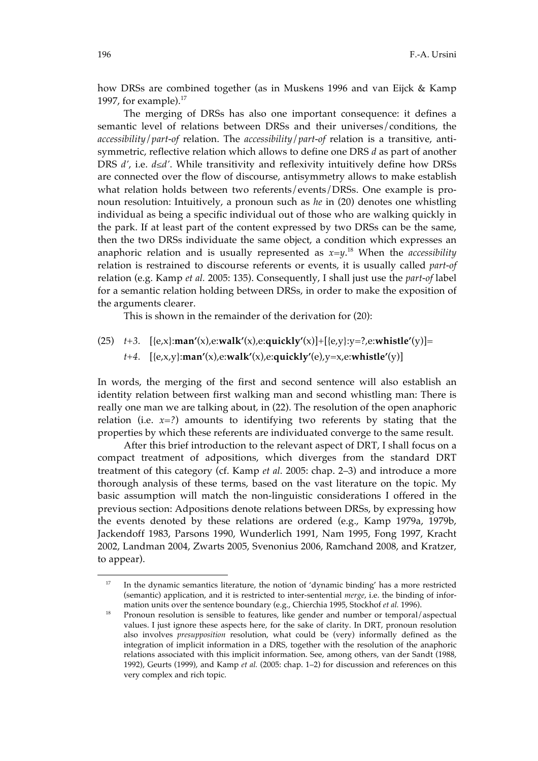how DRSs are combined together (as in Muskens 1996 and van Eijck & Kamp 1997, for example). $17$ 

The merging of DRSs has also one important consequence: it defines a semantic level of relations between DRSs and their universes/conditions, the *accessibility*/*part-of* relation. The *accessibility*/*part-of* relation is a transitive, antisymmetric, reflective relation which allows to define one DRS *d* as part of another DRS *d'*, i.e. *d≤d'*. While transitivity and reflexivity intuitively define how DRSs are connected over the flow of discourse, antisymmetry allows to make establish what relation holds between two referents/events/DRSs. One example is pronoun resolution: Intuitively, a pronoun such as *he* in (20) denotes one whistling individual as being a specific individual out of those who are walking quickly in the park. If at least part of the content expressed by two DRSs can be the same, then the two DRSs individuate the same object, a condition which expresses an anaphoric relation and is usually represented as *x=y*. 18 When the *accessibility* relation is restrained to discourse referents or events, it is usually called *part-of* relation (e.g. Kamp *et al.* 2005: 135). Consequently, I shall just use the *part-of* label for a semantic relation holding between DRSs, in order to make the exposition of the arguments clearer.

This is shown in the remainder of the derivation for (20):

(25) *t+3.* [{e,x}:**man'**(x),e:**walk'**(x),e:**quickly'**(x)]+[{e,y}:y=?,e:**whistle'**(y)]= *t+4.* [{e,x,y}:**man'**(x),e:**walk'**(x),e:**quickly'**(e),y=x,e:**whistle'**(y)]

In words, the merging of the first and second sentence will also establish an identity relation between first walking man and second whistling man: There is really one man we are talking about, in (22). The resolution of the open anaphoric relation (i.e.  $x=?)$ ) amounts to identifying two referents by stating that the properties by which these referents are individuated converge to the same result.

After this brief introduction to the relevant aspect of DRT, I shall focus on a compact treatment of adpositions, which diverges from the standard DRT treatment of this category (cf. Kamp *et al.* 2005: chap. 2–3) and introduce a more thorough analysis of these terms, based on the vast literature on the topic. My basic assumption will match the non-linguistic considerations I offered in the previous section: Adpositions denote relations between DRSs, by expressing how the events denoted by these relations are ordered (e.g., Kamp 1979a, 1979b, Jackendoff 1983, Parsons 1990, Wunderlich 1991, Nam 1995, Fong 1997, Kracht 2002, Landman 2004, Zwarts 2005, Svenonius 2006, Ramchand 2008, and Kratzer, to appear).

-

<sup>17</sup> In the dynamic semantics literature, the notion of 'dynamic binding' has a more restricted (semantic) application, and it is restricted to inter-sentential *merge*, i.e. the binding of information units over the sentence boundary (e.g., Chierchia 1995, Stockhof *et al.* 1996).

<sup>&</sup>lt;sup>18</sup> Pronoun resolution is sensible to features, like gender and number or temporal/aspectual values. I just ignore these aspects here, for the sake of clarity. In DRT, pronoun resolution also involves *presupposition* resolution, what could be (very) informally defined as the integration of implicit information in a DRS, together with the resolution of the anaphoric relations associated with this implicit information. See, among others, van der Sandt (1988, 1992), Geurts (1999), and Kamp *et al.* (2005: chap. 1–2) for discussion and references on this very complex and rich topic.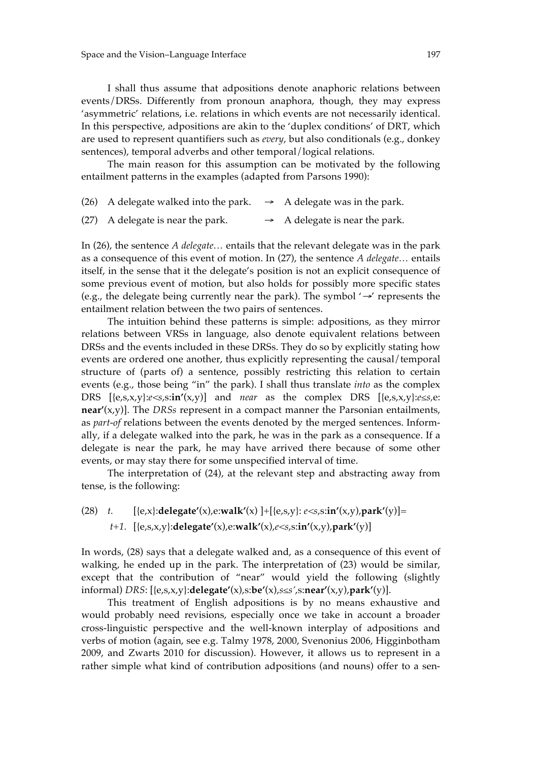I shall thus assume that adpositions denote anaphoric relations between events/DRSs. Differently from pronoun anaphora, though, they may express 'asymmetric' relations, i.e. relations in which events are not necessarily identical. In this perspective, adpositions are akin to the 'duplex conditions' of DRT, which are used to represent quantifiers such as *every*, but also conditionals (e.g., donkey sentences), temporal adverbs and other temporal/logical relations.

The main reason for this assumption can be motivated by the following entailment patterns in the examples (adapted from Parsons 1990):

- (26) A delegate walked into the park.  $\rightarrow$  A delegate was in the park.
- (27) A delegate is near the park.  $\rightarrow$  A delegate is near the park.

In (26), the sentence *A delegate…* entails that the relevant delegate was in the park as a consequence of this event of motion. In (27), the sentence *A delegate…* entails itself, in the sense that it the delegate's position is not an explicit consequence of some previous event of motion, but also holds for possibly more specific states (e.g., the delegate being currently near the park). The symbol '→' represents the entailment relation between the two pairs of sentences.

The intuition behind these patterns is simple: adpositions, as they mirror relations between VRSs in language, also denote equivalent relations between DRSs and the events included in these DRSs. They do so by explicitly stating how events are ordered one another, thus explicitly representing the causal/temporal structure of (parts of) a sentence, possibly restricting this relation to certain events (e.g., those being "in" the park). I shall thus translate *into* as the complex DRS  $[\{e,s,x,y\}:e\leq s,s:\mathbf{in}'(x,y)]$  and *near* as the complex DRS  $[\{e,s,x,y\}:e\leq s,e:\mathbf{in}'(x,y)]$ **near'**(x,y)]. The *DRSs* represent in a compact manner the Parsonian entailments, as *part-of* relations between the events denoted by the merged sentences. Informally, if a delegate walked into the park, he was in the park as a consequence. If a delegate is near the park, he may have arrived there because of some other events, or may stay there for some unspecified interval of time.

The interpretation of (24), at the relevant step and abstracting away from tense, is the following:

(28) *t.* [{e,x}:**delegate'**(x),e:**walk'**(x) ]+[{e,s,y}: *e<s*,s:**in'**(x,y),**park'**(y)]= *t+1.* [{e,s,x,y}:**delegate'**(x),e:**walk'**(x),*e<s*,s:**in'**(x,y),**park'**(y)]

In words, (28) says that a delegate walked and, as a consequence of this event of walking, he ended up in the park. The interpretation of (23) would be similar, except that the contribution of "near" would yield the following (slightly informal) *DRS*: [{e,s,x,y}:**delegate'**(x),s:**be'**(x),*s≤s'*,s:**near'**(x,y),**park'**(y)].

This treatment of English adpositions is by no means exhaustive and would probably need revisions, especially once we take in account a broader cross-linguistic perspective and the well-known interplay of adpositions and verbs of motion (again, see e.g. Talmy 1978, 2000, Svenonius 2006, Higginbotham 2009, and Zwarts 2010 for discussion). However, it allows us to represent in a rather simple what kind of contribution adpositions (and nouns) offer to a sen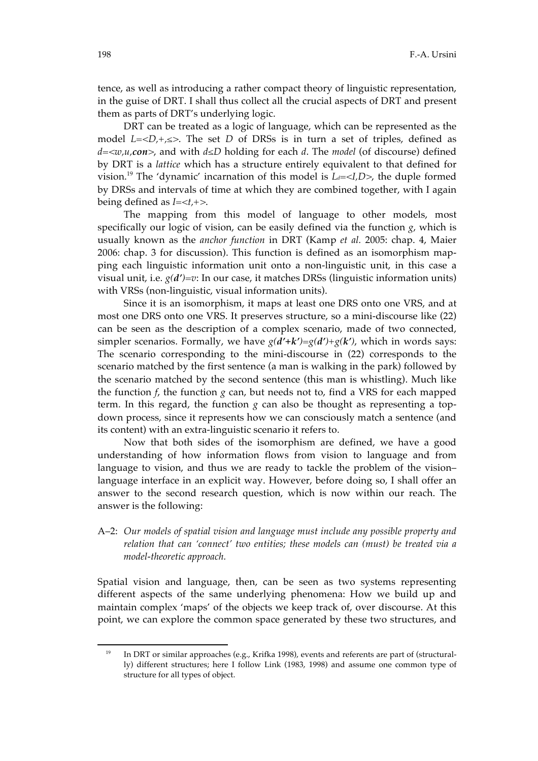tence, as well as introducing a rather compact theory of linguistic representation, in the guise of DRT. I shall thus collect all the crucial aspects of DRT and present them as parts of DRT's underlying logic.

DRT can be treated as a logic of language, which can be represented as the model  $L=$ . The set *D* of DRSs is in turn a set of triples, defined as *d=<w,u,con>*, and with *d≤D* holding for each *d*. The *model* (of discourse) defined by DRT is a *lattice* which has a structure entirely equivalent to that defined for vision.<sup>19</sup> The 'dynamic' incarnation of this model is  $L =$ , the duple formed by DRSs and intervals of time at which they are combined together, with I again being defined as *I=<t,+>*.

The mapping from this model of language to other models, most specifically our logic of vision, can be easily defined via the function *g*, which is usually known as the *anchor function* in DRT (Kamp *et al.* 2005: chap. 4, Maier 2006: chap. 3 for discussion). This function is defined as an isomorphism mapping each linguistic information unit onto a non-linguistic unit, in this case a visual unit, i.e. *g(d')=v*: In our case, it matches DRSs (linguistic information units) with VRSs (non-linguistic, visual information units).

Since it is an isomorphism, it maps at least one DRS onto one VRS, and at most one DRS onto one VRS. It preserves structure, so a mini-discourse like (22) can be seen as the description of a complex scenario, made of two connected, simpler scenarios. Formally, we have  $g(d'+k')=g(d')+g(k')$ , which in words says: The scenario corresponding to the mini-discourse in (22) corresponds to the scenario matched by the first sentence (a man is walking in the park) followed by the scenario matched by the second sentence (this man is whistling). Much like the function *f*, the function *g* can, but needs not to, find a VRS for each mapped term. In this regard, the function  $g$  can also be thought as representing a topdown process, since it represents how we can consciously match a sentence (and its content) with an extra-linguistic scenario it refers to.

Now that both sides of the isomorphism are defined, we have a good understanding of how information flows from vision to language and from language to vision, and thus we are ready to tackle the problem of the vision– language interface in an explicit way. However, before doing so, I shall offer an answer to the second research question, which is now within our reach. The answer is the following:

## A–2: *Our models of spatial vision and language must include any possible property and relation that can 'connect' two entities; these models can (must) be treated via a model-theoretic approach.*

Spatial vision and language, then, can be seen as two systems representing different aspects of the same underlying phenomena: How we build up and maintain complex 'maps' of the objects we keep track of, over discourse. At this point, we can explore the common space generated by these two structures, and

-

In DRT or similar approaches (e.g., Krifka 1998), events and referents are part of (structurally) different structures; here I follow Link (1983, 1998) and assume one common type of structure for all types of object.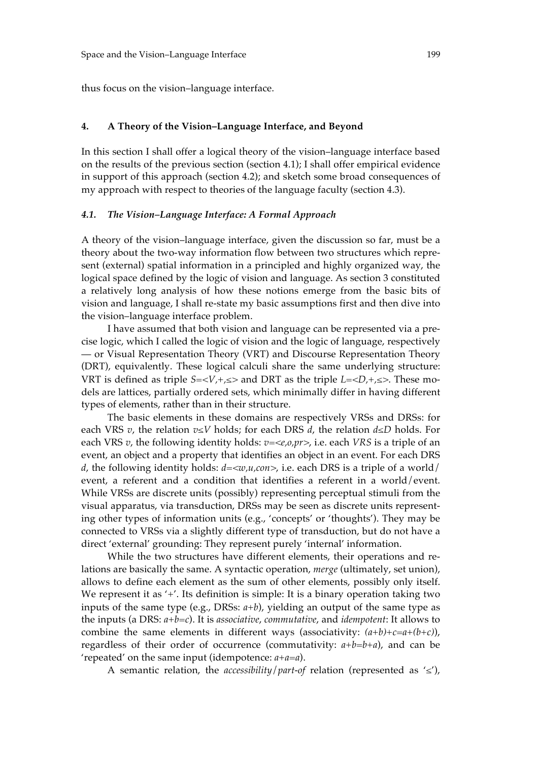thus focus on the vision–language interface.

#### **4. A Theory of the Vision–Language Interface, and Beyond**

In this section I shall offer a logical theory of the vision–language interface based on the results of the previous section (section 4.1); I shall offer empirical evidence in support of this approach (section 4.2); and sketch some broad consequences of my approach with respect to theories of the language faculty (section 4.3).

#### *4.1. The Vision–Language Interface: A Formal Approach*

A theory of the vision–language interface, given the discussion so far, must be a theory about the two-way information flow between two structures which represent (external) spatial information in a principled and highly organized way, the logical space defined by the logic of vision and language. As section 3 constituted a relatively long analysis of how these notions emerge from the basic bits of vision and language, I shall re-state my basic assumptions first and then dive into the vision–language interface problem.

I have assumed that both vision and language can be represented via a precise logic, which I called the logic of vision and the logic of language, respectively — or Visual Representation Theory (VRT) and Discourse Representation Theory (DRT), equivalently. These logical calculi share the same underlying structure: VRT is defined as triple  $S = \langle V, +\rangle \leq \rangle$  and DRT as the triple  $L = \langle D, +\rangle \leq \rangle$ . These models are lattices, partially ordered sets, which minimally differ in having different types of elements, rather than in their structure.

The basic elements in these domains are respectively VRSs and DRSs: for each VRS *v*, the relation *v≤V* holds; for each DRS *d*, the relation *d≤D* holds. For each VRS *v*, the following identity holds: *v=<e,o,pr>*, i.e. each *VRS* is a triple of an event, an object and a property that identifies an object in an event. For each DRS *d*, the following identity holds: *d=<w,u,con>*, i.e. each DRS is a triple of a world/ event, a referent and a condition that identifies a referent in a world/event. While VRSs are discrete units (possibly) representing perceptual stimuli from the visual apparatus, via transduction, DRSs may be seen as discrete units representing other types of information units (e.g., 'concepts' or 'thoughts'). They may be connected to VRSs via a slightly different type of transduction, but do not have a direct 'external' grounding: They represent purely 'internal' information.

While the two structures have different elements, their operations and relations are basically the same. A syntactic operation, *merge* (ultimately, set union), allows to define each element as the sum of other elements, possibly only itself. We represent it as '+'. Its definition is simple: It is a binary operation taking two inputs of the same type (e.g., DRSs: *a+b*), yielding an output of the same type as the inputs (a DRS: *a+b=c*). It is *associative*, *commutative*, and *idempotent*: It allows to combine the same elements in different ways (associativity:  $(a+b)+c=a+(b+c)$ ), regardless of their order of occurrence (commutativity: *a+b=b+a*), and can be 'repeated' on the same input (idempotence: *a+a=a*).

A semantic relation, the *accessibility*/*part-of* relation (represented as '*≤*'),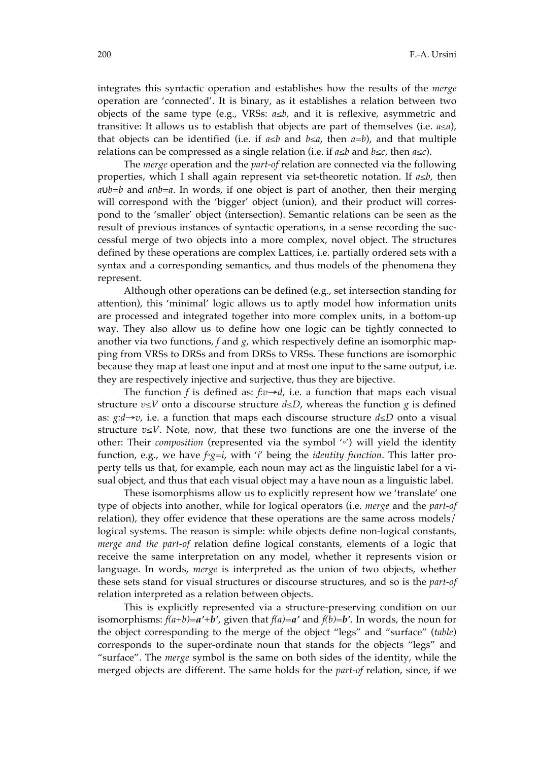integrates this syntactic operation and establishes how the results of the *merge*  operation are 'connected'. It is binary, as it establishes a relation between two objects of the same type (e.g., VRSs: *a≤b*, and it is reflexive, asymmetric and transitive: It allows us to establish that objects are part of themselves (i.e. *a≤a*), that objects can be identified (i.e. if *a≤b* and *b≤a*, then *a=b*), and that multiple relations can be compressed as a single relation (i.e. if *a≤b* and *b≤c*, then *a≤c*).

The *merge* operation and the *part-of* relation are connected via the following properties, which I shall again represent via set-theoretic notation. If *a*≤*b*, then *a*∪*b*=*b* and *a*∩*b*=*a*. In words, if one object is part of another, then their merging will correspond with the 'bigger' object (union), and their product will correspond to the 'smaller' object (intersection). Semantic relations can be seen as the result of previous instances of syntactic operations, in a sense recording the successful merge of two objects into a more complex, novel object. The structures defined by these operations are complex Lattices, i.e. partially ordered sets with a syntax and a corresponding semantics, and thus models of the phenomena they represent.

Although other operations can be defined (e.g., set intersection standing for attention), this 'minimal' logic allows us to aptly model how information units are processed and integrated together into more complex units, in a bottom-up way. They also allow us to define how one logic can be tightly connected to another via two functions, *f* and *g*, which respectively define an isomorphic mapping from VRSs to DRSs and from DRSs to VRSs. These functions are isomorphic because they map at least one input and at most one input to the same output, i.e. they are respectively injective and surjective, thus they are bijective.

The function *f* is defined as:  $f: v \rightarrow d$ , i.e. a function that maps each visual structure  $v \leq V$  onto a discourse structure  $d \leq D$ , whereas the function *g* is defined as: *g:d*→*v*, i.e. a function that maps each discourse structure *d≤D* onto a visual structure *v≤V*. Note, now, that these two functions are one the inverse of the other: Their *composition* (represented via the symbol '*◦*') will yield the identity function, e.g., we have *f◦g=i*, with '*i*' being the *identity function*. This latter property tells us that, for example, each noun may act as the linguistic label for a visual object, and thus that each visual object may a have noun as a linguistic label.

These isomorphisms allow us to explicitly represent how we 'translate' one type of objects into another, while for logical operators (i.e. *merge* and the *part-of* relation), they offer evidence that these operations are the same across models/ logical systems. The reason is simple: while objects define non-logical constants, *merge and the part-of* relation define logical constants, elements of a logic that receive the same interpretation on any model, whether it represents vision or language. In words, *merge* is interpreted as the union of two objects, whether these sets stand for visual structures or discourse structures, and so is the *part-of* relation interpreted as a relation between objects.

This is explicitly represented via a structure-preserving condition on our isomorphisms: *f(a+b)=a'+b'*, given that *f(a)=a'* and *f(b)=b'*. In words, the noun for the object corresponding to the merge of the object "legs" and "surface" (*table*) corresponds to the super-ordinate noun that stands for the objects "legs" and "surface". The *merge* symbol is the same on both sides of the identity, while the merged objects are different. The same holds for the *part-of* relation, since, if we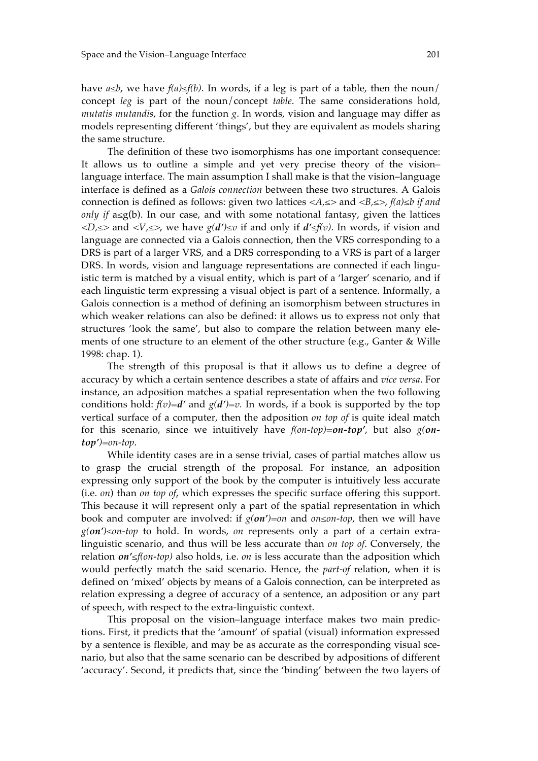have  $a \leq b$ , we have  $f(a) \leq f(b)$ . In words, if a leg is part of a table, then the noun/ concept *leg* is part of the noun/concept *table*. The same considerations hold, *mutatis mutandis*, for the function *g*. In words, vision and language may differ as models representing different 'things', but they are equivalent as models sharing the same structure.

The definition of these two isomorphisms has one important consequence: It allows us to outline a simple and yet very precise theory of the vision– language interface. The main assumption I shall make is that the vision–language interface is defined as a *Galois connection* between these two structures. A Galois connection is defined as follows: given two lattices *<A,≤>* and *<B,≤>*, *f(a)≤b if and only if* a≤g(b). In our case, and with some notational fantasy, given the lattices *<D,≤>* and *<V,≤>*, we have *g(d')≤v* if and only if *d'≤f(v)*. In words, if vision and language are connected via a Galois connection, then the VRS corresponding to a DRS is part of a larger VRS, and a DRS corresponding to a VRS is part of a larger DRS. In words, vision and language representations are connected if each linguistic term is matched by a visual entity, which is part of a 'larger' scenario, and if each linguistic term expressing a visual object is part of a sentence. Informally, a Galois connection is a method of defining an isomorphism between structures in which weaker relations can also be defined: it allows us to express not only that structures 'look the same', but also to compare the relation between many elements of one structure to an element of the other structure (e.g., Ganter & Wille 1998: chap. 1).

The strength of this proposal is that it allows us to define a degree of accuracy by which a certain sentence describes a state of affairs and *vice versa*. For instance, an adposition matches a spatial representation when the two following conditions hold:  $f(v)=d'$  and  $g(d')=v$ . In words, if a book is supported by the top vertical surface of a computer, then the adposition *on top of* is quite ideal match for this scenario, since we intuitively have *f(on-top)=on-top'*, but also *g(ontop')=on-top*.

While identity cases are in a sense trivial, cases of partial matches allow us to grasp the crucial strength of the proposal. For instance, an adposition expressing only support of the book by the computer is intuitively less accurate (i.e. *on*) than *on top of*, which expresses the specific surface offering this support. This because it will represent only a part of the spatial representation in which book and computer are involved: if *g(on')=on* and *on≤on-top*, then we will have *g(on')≤on-top* to hold. In words, *on* represents only a part of a certain extralinguistic scenario, and thus will be less accurate than *on top of*. Conversely, the relation *on'≤f(on-top)* also holds, i.e. *on* is less accurate than the adposition which would perfectly match the said scenario. Hence, the *part-of* relation, when it is defined on 'mixed' objects by means of a Galois connection, can be interpreted as relation expressing a degree of accuracy of a sentence, an adposition or any part of speech, with respect to the extra-linguistic context.

This proposal on the vision–language interface makes two main predictions. First, it predicts that the 'amount' of spatial (visual) information expressed by a sentence is flexible, and may be as accurate as the corresponding visual scenario, but also that the same scenario can be described by adpositions of different 'accuracy'. Second, it predicts that, since the 'binding' between the two layers of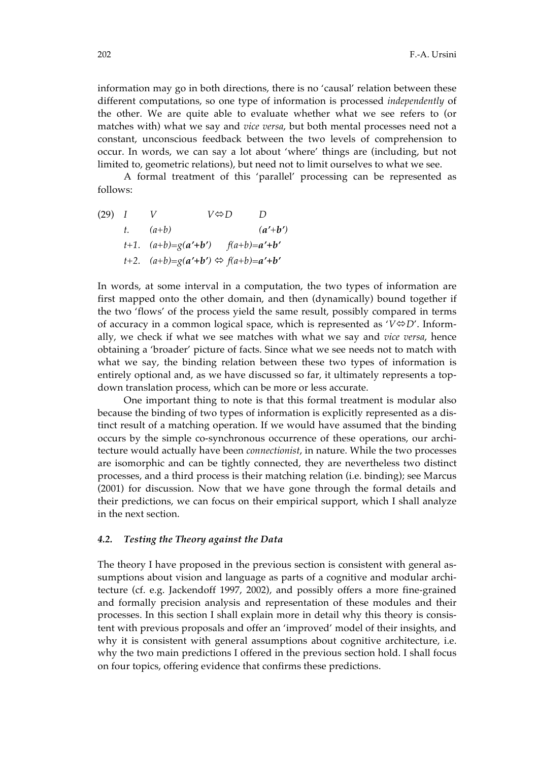information may go in both directions, there is no 'causal' relation between these different computations, so one type of information is processed *independently* of the other. We are quite able to evaluate whether what we see refers to (or matches with) what we say and *vice versa*, but both mental processes need not a constant, unconscious feedback between the two levels of comprehension to occur. In words, we can say a lot about 'where' things are (including, but not limited to, geometric relations), but need not to limit ourselves to what we see.

A formal treatment of this 'parallel' processing can be represented as follows:

(29) I V 
$$
V\Leftrightarrow D
$$
 D  
\n $t$ .  $(a+b)$   $(a'+b')$   
\n $t+1$ .  $(a+b)=g(a'+b')$   $f(a+b)=a'+b'$   
\n $t+2$ .  $(a+b)=g(a'+b') \Leftrightarrow f(a+b)=a'+b'$ 

In words, at some interval in a computation, the two types of information are first mapped onto the other domain, and then (dynamically) bound together if the two 'flows' of the process yield the same result, possibly compared in terms of accuracy in a common logical space, which is represented as  $V \oplus D'$ . Informally, we check if what we see matches with what we say and *vice versa*, hence obtaining a 'broader' picture of facts. Since what we see needs not to match with what we say, the binding relation between these two types of information is entirely optional and, as we have discussed so far, it ultimately represents a topdown translation process, which can be more or less accurate.

One important thing to note is that this formal treatment is modular also because the binding of two types of information is explicitly represented as a distinct result of a matching operation. If we would have assumed that the binding occurs by the simple co-synchronous occurrence of these operations, our architecture would actually have been *connectionist*, in nature. While the two processes are isomorphic and can be tightly connected, they are nevertheless two distinct processes, and a third process is their matching relation (i.e. binding); see Marcus (2001) for discussion. Now that we have gone through the formal details and their predictions, we can focus on their empirical support, which I shall analyze in the next section.

#### *4.2. Testing the Theory against the Data*

The theory I have proposed in the previous section is consistent with general assumptions about vision and language as parts of a cognitive and modular architecture (cf. e.g. Jackendoff 1997, 2002), and possibly offers a more fine-grained and formally precision analysis and representation of these modules and their processes. In this section I shall explain more in detail why this theory is consistent with previous proposals and offer an 'improved' model of their insights, and why it is consistent with general assumptions about cognitive architecture, i.e. why the two main predictions I offered in the previous section hold. I shall focus on four topics, offering evidence that confirms these predictions.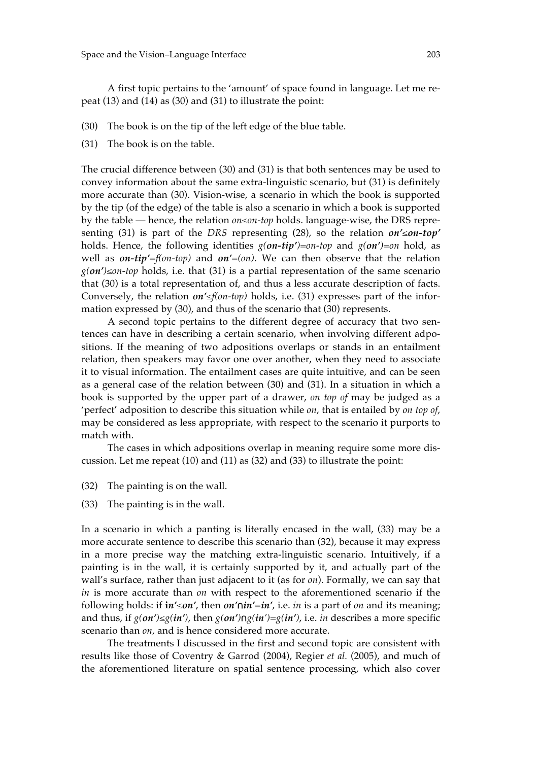A first topic pertains to the 'amount' of space found in language. Let me repeat (13) and (14) as (30) and (31) to illustrate the point:

- (30) The book is on the tip of the left edge of the blue table.
- (31) The book is on the table.

The crucial difference between (30) and (31) is that both sentences may be used to convey information about the same extra-linguistic scenario, but (31) is definitely more accurate than (30). Vision-wise, a scenario in which the book is supported by the tip (of the edge) of the table is also a scenario in which a book is supported by the table — hence, the relation *on≤on-top* holds. language-wise, the DRS representing (31) is part of the *DRS* representing (28), so the relation *on'≤on-top'* holds. Hence, the following identities *g(on-tip')=on-top* and *g(on')=on* hold, as well as *on-tip'=f(on-top)* and *on'=(on)*. We can then observe that the relation *g(on')≤on-top* holds, i.e. that (31) is a partial representation of the same scenario that (30) is a total representation of, and thus a less accurate description of facts. Conversely, the relation *on'≤f(on-top)* holds, i.e. (31) expresses part of the information expressed by (30), and thus of the scenario that (30) represents.

A second topic pertains to the different degree of accuracy that two sentences can have in describing a certain scenario, when involving different adpositions. If the meaning of two adpositions overlaps or stands in an entailment relation, then speakers may favor one over another, when they need to associate it to visual information. The entailment cases are quite intuitive, and can be seen as a general case of the relation between (30) and (31). In a situation in which a book is supported by the upper part of a drawer, *on top of* may be judged as a 'perfect' adposition to describe this situation while *on*, that is entailed by *on top of*, may be considered as less appropriate, with respect to the scenario it purports to match with.

The cases in which adpositions overlap in meaning require some more discussion. Let me repeat (10) and (11) as (32) and (33) to illustrate the point:

- (32) The painting is on the wall.
- (33) The painting is in the wall.

In a scenario in which a panting is literally encased in the wall, (33) may be a more accurate sentence to describe this scenario than (32), because it may express in a more precise way the matching extra-linguistic scenario. Intuitively, if a painting is in the wall, it is certainly supported by it, and actually part of the wall's surface, rather than just adjacent to it (as for *on*). Formally, we can say that *in* is more accurate than *on* with respect to the aforementioned scenario if the following holds: if **i***n'≤on'*, then *on'*∩*in'=in'*, i.e. *in* is a part of *on* and its meaning; and thus, if  $g(\textit{on'}) \leq g(\textit{in'})$ , then  $g(\textit{on'}) \cap g(\textit{in'}) = g(\textit{in'})$ , i.e. *in* describes a more specific scenario than *on*, and is hence considered more accurate.

The treatments I discussed in the first and second topic are consistent with results like those of Coventry & Garrod (2004), Regier *et al.* (2005), and much of the aforementioned literature on spatial sentence processing, which also cover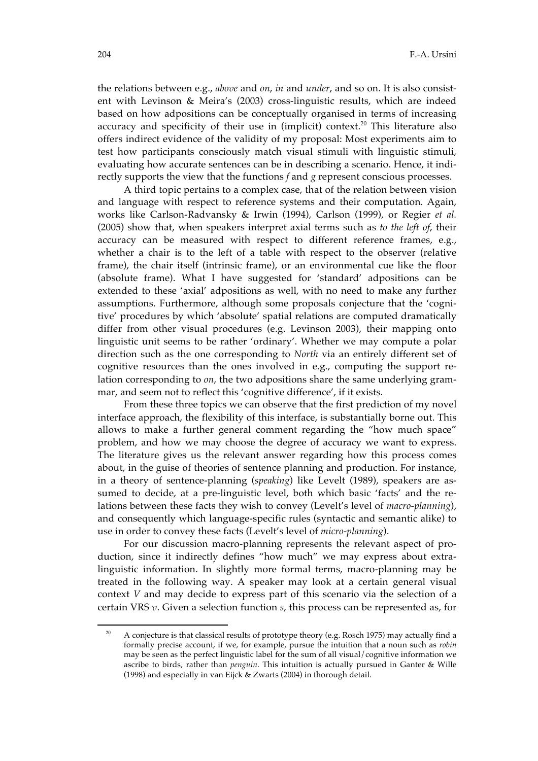the relations between e.g., *above* and *on*, *in* and *under*, and so on. It is also consistent with Levinson & Meira's (2003) cross-linguistic results, which are indeed based on how adpositions can be conceptually organised in terms of increasing accuracy and specificity of their use in (implicit) context.<sup>20</sup> This literature also offers indirect evidence of the validity of my proposal: Most experiments aim to test how participants consciously match visual stimuli with linguistic stimuli, evaluating how accurate sentences can be in describing a scenario. Hence, it indirectly supports the view that the functions *f* and *g* represent conscious processes.

A third topic pertains to a complex case, that of the relation between vision and language with respect to reference systems and their computation. Again, works like Carlson-Radvansky & Irwin (1994), Carlson (1999), or Regier *et al.* (2005) show that, when speakers interpret axial terms such as *to the left of*, their accuracy can be measured with respect to different reference frames, e.g., whether a chair is to the left of a table with respect to the observer (relative frame), the chair itself (intrinsic frame), or an environmental cue like the floor (absolute frame). What I have suggested for 'standard' adpositions can be extended to these 'axial' adpositions as well, with no need to make any further assumptions. Furthermore, although some proposals conjecture that the 'cognitive' procedures by which 'absolute' spatial relations are computed dramatically differ from other visual procedures (e.g. Levinson 2003), their mapping onto linguistic unit seems to be rather 'ordinary'. Whether we may compute a polar direction such as the one corresponding to *North* via an entirely different set of cognitive resources than the ones involved in e.g., computing the support relation corresponding to *on*, the two adpositions share the same underlying grammar, and seem not to reflect this 'cognitive difference', if it exists.

From these three topics we can observe that the first prediction of my novel interface approach, the flexibility of this interface, is substantially borne out. This allows to make a further general comment regarding the "how much space" problem, and how we may choose the degree of accuracy we want to express. The literature gives us the relevant answer regarding how this process comes about, in the guise of theories of sentence planning and production. For instance, in a theory of sentence-planning (*speaking*) like Levelt (1989), speakers are assumed to decide, at a pre-linguistic level, both which basic 'facts' and the relations between these facts they wish to convey (Levelt's level of *macro-planning*), and consequently which language-specific rules (syntactic and semantic alike) to use in order to convey these facts (Levelt's level of *micro-planning*).

For our discussion macro-planning represents the relevant aspect of production, since it indirectly defines "how much" we may express about extralinguistic information. In slightly more formal terms, macro-planning may be treated in the following way. A speaker may look at a certain general visual context *V* and may decide to express part of this scenario via the selection of a certain VRS *v*. Given a selection function *s*, this process can be represented as, for

 $\overline{a}$ 

<sup>&</sup>lt;sup>20</sup> A conjecture is that classical results of prototype theory (e.g. Rosch 1975) may actually find a formally precise account, if we, for example, pursue the intuition that a noun such as *robin* may be seen as the perfect linguistic label for the sum of all visual/cognitive information we ascribe to birds, rather than *penguin*. This intuition is actually pursued in Ganter & Wille (1998) and especially in van Eijck & Zwarts (2004) in thorough detail.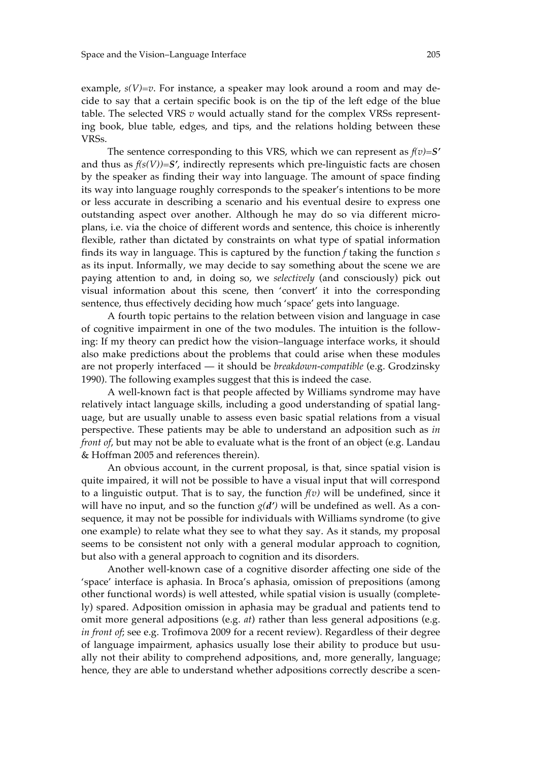example,  $s(V)=v$ . For instance, a speaker may look around a room and may decide to say that a certain specific book is on the tip of the left edge of the blue table. The selected VRS *v* would actually stand for the complex VRSs representing book, blue table, edges, and tips, and the relations holding between these VRSs.

The sentence corresponding to this VRS, which we can represent as *f(v)=S'* and thus as  $f(s(V)) = S'$ , indirectly represents which pre-linguistic facts are chosen by the speaker as finding their way into language. The amount of space finding its way into language roughly corresponds to the speaker's intentions to be more or less accurate in describing a scenario and his eventual desire to express one outstanding aspect over another. Although he may do so via different microplans, i.e. via the choice of different words and sentence, this choice is inherently flexible, rather than dictated by constraints on what type of spatial information finds its way in language. This is captured by the function *f* taking the function *s* as its input. Informally, we may decide to say something about the scene we are paying attention to and, in doing so, we *selectively* (and consciously) pick out visual information about this scene, then 'convert' it into the corresponding sentence, thus effectively deciding how much 'space' gets into language.

A fourth topic pertains to the relation between vision and language in case of cognitive impairment in one of the two modules. The intuition is the following: If my theory can predict how the vision–language interface works, it should also make predictions about the problems that could arise when these modules are not properly interfaced — it should be *breakdown-compatible* (e.g. Grodzinsky 1990). The following examples suggest that this is indeed the case.

A well-known fact is that people affected by Williams syndrome may have relatively intact language skills, including a good understanding of spatial language, but are usually unable to assess even basic spatial relations from a visual perspective. These patients may be able to understand an adposition such as *in front of*, but may not be able to evaluate what is the front of an object (e.g. Landau & Hoffman 2005 and references therein).

An obvious account, in the current proposal, is that, since spatial vision is quite impaired, it will not be possible to have a visual input that will correspond to a linguistic output. That is to say, the function  $f(v)$  will be undefined, since it will have no input, and so the function  $g(d')$  will be undefined as well. As a consequence, it may not be possible for individuals with Williams syndrome (to give one example) to relate what they see to what they say. As it stands, my proposal seems to be consistent not only with a general modular approach to cognition, but also with a general approach to cognition and its disorders.

Another well-known case of a cognitive disorder affecting one side of the 'space' interface is aphasia. In Broca's aphasia, omission of prepositions (among other functional words) is well attested, while spatial vision is usually (completely) spared. Adposition omission in aphasia may be gradual and patients tend to omit more general adpositions (e.g. *at*) rather than less general adpositions (e.g. *in front of*; see e.g. Trofimova 2009 for a recent review). Regardless of their degree of language impairment, aphasics usually lose their ability to produce but usually not their ability to comprehend adpositions, and, more generally, language; hence, they are able to understand whether adpositions correctly describe a scen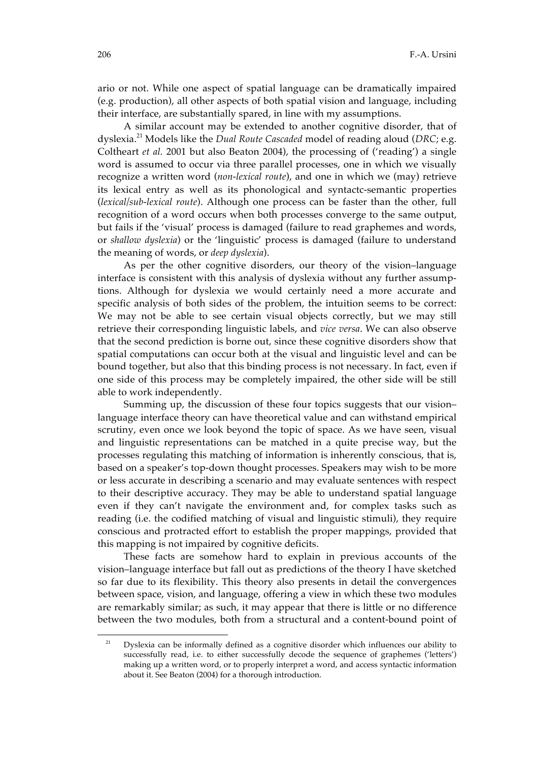ario or not. While one aspect of spatial language can be dramatically impaired (e.g. production), all other aspects of both spatial vision and language, including their interface, are substantially spared, in line with my assumptions.

A similar account may be extended to another cognitive disorder, that of dyslexia. 21 Models like the *Dual Route Cascaded* model of reading aloud (*DRC*; e.g. Coltheart *et al.* 2001 but also Beaton 2004), the processing of ('reading') a single word is assumed to occur via three parallel processes, one in which we visually recognize a written word (*non-lexical route*), and one in which we (may) retrieve its lexical entry as well as its phonological and syntactc-semantic properties (*lexical/sub-lexical route*). Although one process can be faster than the other, full recognition of a word occurs when both processes converge to the same output, but fails if the 'visual' process is damaged (failure to read graphemes and words, or *shallow dyslexia*) or the 'linguistic' process is damaged (failure to understand the meaning of words, or *deep dyslexia*).

As per the other cognitive disorders, our theory of the vision–language interface is consistent with this analysis of dyslexia without any further assumptions. Although for dyslexia we would certainly need a more accurate and specific analysis of both sides of the problem, the intuition seems to be correct: We may not be able to see certain visual objects correctly, but we may still retrieve their corresponding linguistic labels, and *vice versa*. We can also observe that the second prediction is borne out, since these cognitive disorders show that spatial computations can occur both at the visual and linguistic level and can be bound together, but also that this binding process is not necessary. In fact, even if one side of this process may be completely impaired, the other side will be still able to work independently.

Summing up, the discussion of these four topics suggests that our vision– language interface theory can have theoretical value and can withstand empirical scrutiny, even once we look beyond the topic of space. As we have seen, visual and linguistic representations can be matched in a quite precise way, but the processes regulating this matching of information is inherently conscious, that is, based on a speaker's top-down thought processes. Speakers may wish to be more or less accurate in describing a scenario and may evaluate sentences with respect to their descriptive accuracy. They may be able to understand spatial language even if they can't navigate the environment and, for complex tasks such as reading (i.e. the codified matching of visual and linguistic stimuli), they require conscious and protracted effort to establish the proper mappings, provided that this mapping is not impaired by cognitive deficits.

These facts are somehow hard to explain in previous accounts of the vision–language interface but fall out as predictions of the theory I have sketched so far due to its flexibility. This theory also presents in detail the convergences between space, vision, and language, offering a view in which these two modules are remarkably similar; as such, it may appear that there is little or no difference between the two modules, both from a structural and a content-bound point of

<u>.</u>

 $21$  Dyslexia can be informally defined as a cognitive disorder which influences our ability to successfully read, i.e. to either successfully decode the sequence of graphemes ('letters') making up a written word, or to properly interpret a word, and access syntactic information about it. See Beaton (2004) for a thorough introduction.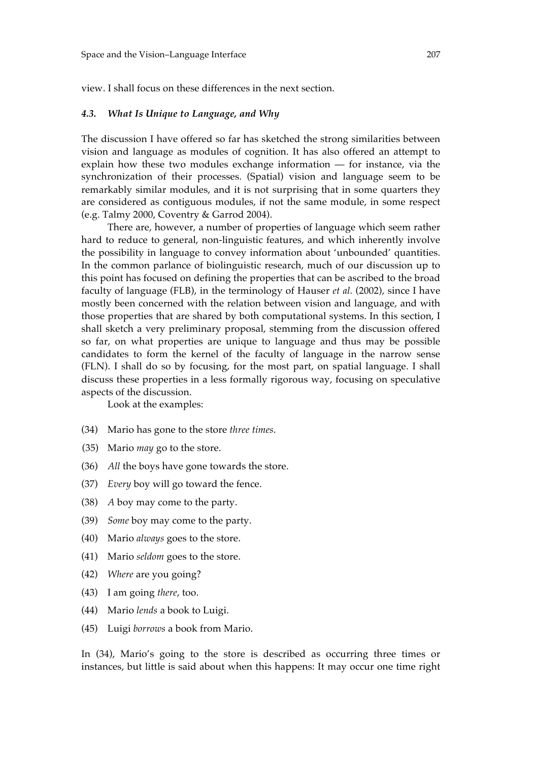view. I shall focus on these differences in the next section.

## *4.3. What Is Unique to Language, and Why*

The discussion I have offered so far has sketched the strong similarities between vision and language as modules of cognition. It has also offered an attempt to explain how these two modules exchange information — for instance, via the synchronization of their processes. (Spatial) vision and language seem to be remarkably similar modules, and it is not surprising that in some quarters they are considered as contiguous modules, if not the same module, in some respect (e.g. Talmy 2000, Coventry & Garrod 2004).

There are, however, a number of properties of language which seem rather hard to reduce to general, non-linguistic features, and which inherently involve the possibility in language to convey information about 'unbounded' quantities. In the common parlance of biolinguistic research, much of our discussion up to this point has focused on defining the properties that can be ascribed to the broad faculty of language (FLB), in the terminology of Hauser *et al.* (2002), since I have mostly been concerned with the relation between vision and language, and with those properties that are shared by both computational systems. In this section, I shall sketch a very preliminary proposal, stemming from the discussion offered so far, on what properties are unique to language and thus may be possible candidates to form the kernel of the faculty of language in the narrow sense (FLN). I shall do so by focusing, for the most part, on spatial language. I shall discuss these properties in a less formally rigorous way, focusing on speculative aspects of the discussion.

Look at the examples:

- (34) Mario has gone to the store *three times*.
- (35) Mario *may* go to the store.
- (36) *All* the boys have gone towards the store.
- (37) *Every* boy will go toward the fence.
- (38) *A* boy may come to the party.
- (39) *Some* boy may come to the party.
- (40) Mario *always* goes to the store.
- (41) Mario *seldom* goes to the store.
- (42) *Where* are you going?
- (43) I am going *there*, too.
- (44) Mario *lends* a book to Luigi.
- (45) Luigi *borrows* a book from Mario.

In (34), Mario's going to the store is described as occurring three times or instances, but little is said about when this happens: It may occur one time right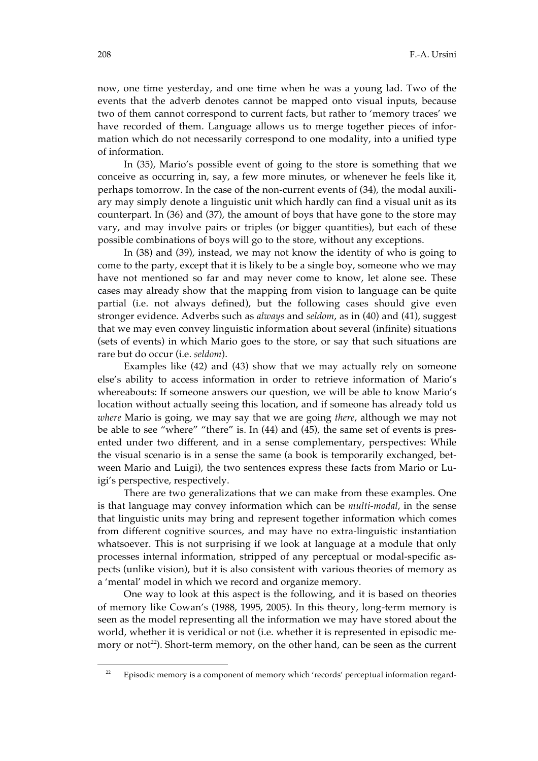now, one time yesterday, and one time when he was a young lad. Two of the events that the adverb denotes cannot be mapped onto visual inputs, because two of them cannot correspond to current facts, but rather to 'memory traces' we have recorded of them. Language allows us to merge together pieces of information which do not necessarily correspond to one modality, into a unified type of information.

In (35), Mario's possible event of going to the store is something that we conceive as occurring in, say, a few more minutes, or whenever he feels like it, perhaps tomorrow. In the case of the non-current events of (34), the modal auxiliary may simply denote a linguistic unit which hardly can find a visual unit as its counterpart. In (36) and (37), the amount of boys that have gone to the store may vary, and may involve pairs or triples (or bigger quantities), but each of these possible combinations of boys will go to the store, without any exceptions.

In (38) and (39), instead, we may not know the identity of who is going to come to the party, except that it is likely to be a single boy, someone who we may have not mentioned so far and may never come to know, let alone see. These cases may already show that the mapping from vision to language can be quite partial (i.e. not always defined), but the following cases should give even stronger evidence. Adverbs such as *always* and *seldom*, as in (40) and (41), suggest that we may even convey linguistic information about several (infinite) situations (sets of events) in which Mario goes to the store, or say that such situations are rare but do occur (i.e. *seldom*).

Examples like (42) and (43) show that we may actually rely on someone else's ability to access information in order to retrieve information of Mario's whereabouts: If someone answers our question, we will be able to know Mario's location without actually seeing this location, and if someone has already told us *where* Mario is going, we may say that we are going *there*, although we may not be able to see "where" "there" is. In (44) and (45), the same set of events is presented under two different, and in a sense complementary, perspectives: While the visual scenario is in a sense the same (a book is temporarily exchanged, between Mario and Luigi), the two sentences express these facts from Mario or Luigi's perspective, respectively.

There are two generalizations that we can make from these examples. One is that language may convey information which can be *multi-modal*, in the sense that linguistic units may bring and represent together information which comes from different cognitive sources, and may have no extra-linguistic instantiation whatsoever. This is not surprising if we look at language at a module that only processes internal information, stripped of any perceptual or modal-specific aspects (unlike vision), but it is also consistent with various theories of memory as a 'mental' model in which we record and organize memory.

One way to look at this aspect is the following, and it is based on theories of memory like Cowan's (1988, 1995, 2005). In this theory, long-term memory is seen as the model representing all the information we may have stored about the world, whether it is veridical or not (i.e. whether it is represented in episodic memory or not<sup>22</sup>). Short-term memory, on the other hand, can be seen as the current

 $\ddot{ }$ 

<sup>&</sup>lt;sup>22</sup> Episodic memory is a component of memory which 'records' perceptual information regard-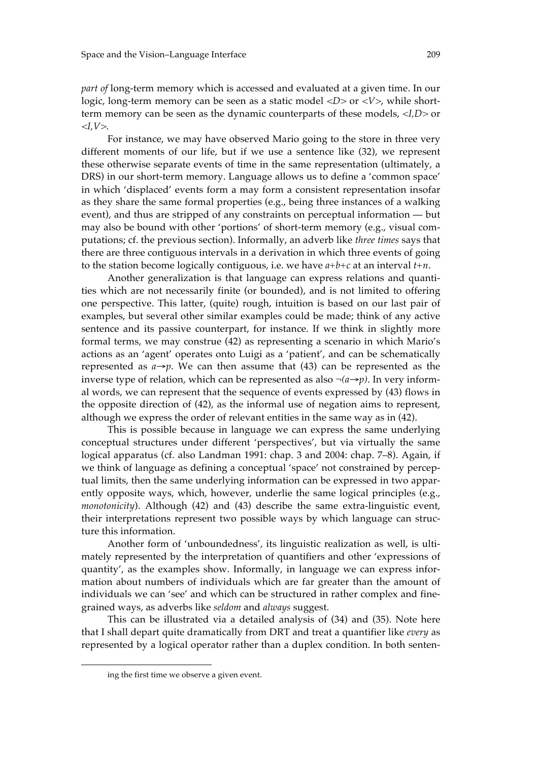*part of long-term memory which is accessed and evaluated at a given time. In our* logic, long-term memory can be seen as a static model  $\langle D \rangle$  or  $\langle V \rangle$ , while shortterm memory can be seen as the dynamic counterparts of these models, *<I,D>* or *<I,V>*.

For instance, we may have observed Mario going to the store in three very different moments of our life, but if we use a sentence like (32), we represent these otherwise separate events of time in the same representation (ultimately, a DRS) in our short-term memory. Language allows us to define a 'common space' in which 'displaced' events form a may form a consistent representation insofar as they share the same formal properties (e.g., being three instances of a walking event), and thus are stripped of any constraints on perceptual information — but may also be bound with other 'portions' of short-term memory (e.g., visual computations; cf. the previous section). Informally, an adverb like *three times* says that there are three contiguous intervals in a derivation in which three events of going to the station become logically contiguous, i.e. we have *a+b+c* at an interval *t+n*.

Another generalization is that language can express relations and quantities which are not necessarily finite (or bounded), and is not limited to offering one perspective. This latter, (quite) rough, intuition is based on our last pair of examples, but several other similar examples could be made; think of any active sentence and its passive counterpart, for instance. If we think in slightly more formal terms, we may construe (42) as representing a scenario in which Mario's actions as an 'agent' operates onto Luigi as a 'patient', and can be schematically represented as  $a \rightarrow p$ . We can then assume that (43) can be represented as the inverse type of relation, which can be represented as also  $\neg(a \rightarrow p)$ . In very informal words, we can represent that the sequence of events expressed by (43) flows in the opposite direction of (42), as the informal use of negation aims to represent, although we express the order of relevant entities in the same way as in (42).

This is possible because in language we can express the same underlying conceptual structures under different 'perspectives', but via virtually the same logical apparatus (cf. also Landman 1991: chap. 3 and 2004: chap. 7–8). Again, if we think of language as defining a conceptual 'space' not constrained by perceptual limits, then the same underlying information can be expressed in two apparently opposite ways, which, however, underlie the same logical principles (e.g., *monotonicity*). Although (42) and (43) describe the same extra-linguistic event, their interpretations represent two possible ways by which language can structure this information.

Another form of 'unboundedness', its linguistic realization as well, is ultimately represented by the interpretation of quantifiers and other 'expressions of quantity', as the examples show. Informally, in language we can express information about numbers of individuals which are far greater than the amount of individuals we can 'see' and which can be structured in rather complex and finegrained ways, as adverbs like *seldom* and *always* suggest.

This can be illustrated via a detailed analysis of (34) and (35). Note here that I shall depart quite dramatically from DRT and treat a quantifier like *every* as represented by a logical operator rather than a duplex condition. In both senten-

 $\ddot{ }$ 

ing the first time we observe a given event.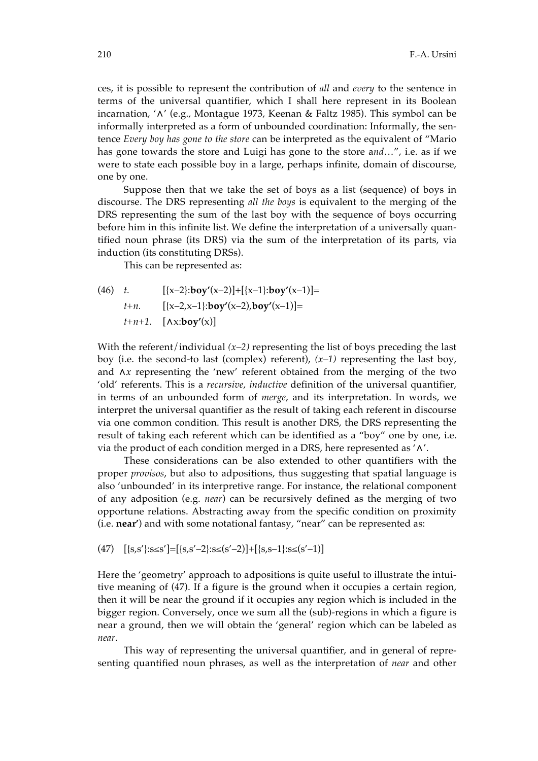ces, it is possible to represent the contribution of *all* and *every* to the sentence in terms of the universal quantifier, which I shall here represent in its Boolean incarnation, '∧' (e.g., Montague 1973, Keenan & Faltz 1985). This symbol can be informally interpreted as a form of unbounded coordination: Informally, the sentence *Every boy has gone to the store* can be interpreted as the equivalent of "Mario has gone towards the store and Luigi has gone to the store a*nd*…", i.e. as if we were to state each possible boy in a large, perhaps infinite, domain of discourse, one by one.

Suppose then that we take the set of boys as a list (sequence) of boys in discourse. The DRS representing *all the boys* is equivalent to the merging of the DRS representing the sum of the last boy with the sequence of boys occurring before him in this infinite list. We define the interpretation of a universally quantified noun phrase (its DRS) via the sum of the interpretation of its parts, via induction (its constituting DRSs).

This can be represented as:

(46) *t.* [{x–2}:**boy'**(x–2)]+[{x–1}:**boy'**(x–1)]= *t+n.* [{x–2,x–1}:**boy'**(x–2),**boy'**(x–1)]= *t+n+1.* [∧x:**boy'**(x)]

With the referent/individual  $(x-2)$  representing the list of boys preceding the last boy (i.e. the second-to last (complex) referent), *(x–1)* representing the last boy, and ∧*x* representing the 'new' referent obtained from the merging of the two 'old' referents. This is a *recursive*, *inductive* definition of the universal quantifier, in terms of an unbounded form of *merge*, and its interpretation. In words, we interpret the universal quantifier as the result of taking each referent in discourse via one common condition. This result is another DRS, the DRS representing the result of taking each referent which can be identified as a "boy" one by one, i.e. via the product of each condition merged in a DRS, here represented as ' $\wedge'$ .

These considerations can be also extended to other quantifiers with the proper *provisos*, but also to adpositions, thus suggesting that spatial language is also 'unbounded' in its interpretive range. For instance, the relational component of any adposition (e.g. *near*) can be recursively defined as the merging of two opportune relations. Abstracting away from the specific condition on proximity (i.e. **near'**) and with some notational fantasy, "near" can be represented as:

(47)  $\left[\{s,s'\}:s\le s'\right] = \left[\{s,s'-2\}:s\le (s'-2)\right] + \left[\{s,s-1\}:s\le (s'-1)\right]$ 

Here the 'geometry' approach to adpositions is quite useful to illustrate the intuitive meaning of (47). If a figure is the ground when it occupies a certain region, then it will be near the ground if it occupies any region which is included in the bigger region. Conversely, once we sum all the (sub)-regions in which a figure is near a ground, then we will obtain the 'general' region which can be labeled as *near*.

This way of representing the universal quantifier, and in general of representing quantified noun phrases, as well as the interpretation of *near* and other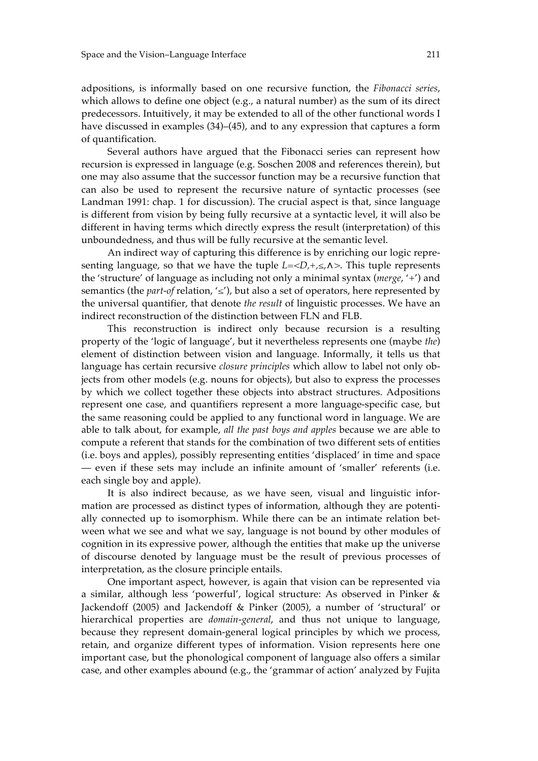adpositions, is informally based on one recursive function, the *Fibonacci series*, which allows to define one object (e.g., a natural number) as the sum of its direct predecessors. Intuitively, it may be extended to all of the other functional words I have discussed in examples (34)–(45), and to any expression that captures a form of quantification.

Several authors have argued that the Fibonacci series can represent how recursion is expressed in language (e.g. Soschen 2008 and references therein), but one may also assume that the successor function may be a recursive function that can also be used to represent the recursive nature of syntactic processes (see Landman 1991: chap. 1 for discussion). The crucial aspect is that, since language is different from vision by being fully recursive at a syntactic level, it will also be different in having terms which directly express the result (interpretation) of this unboundedness, and thus will be fully recursive at the semantic level.

An indirect way of capturing this difference is by enriching our logic representing language, so that we have the tuple *L=<D,+,≤,*∧*>*. This tuple represents the 'structure' of language as including not only a minimal syntax (*merge*, '+') and semantics (the *part-of* relation, '*≤*'), but also a set of operators, here represented by the universal quantifier, that denote *the result* of linguistic processes. We have an indirect reconstruction of the distinction between FLN and FLB.

This reconstruction is indirect only because recursion is a resulting property of the 'logic of language', but it nevertheless represents one (maybe *the*) element of distinction between vision and language. Informally, it tells us that language has certain recursive *closure principles* which allow to label not only objects from other models (e.g. nouns for objects), but also to express the processes by which we collect together these objects into abstract structures. Adpositions represent one case, and quantifiers represent a more language-specific case, but the same reasoning could be applied to any functional word in language. We are able to talk about, for example, *all the past boys and apples* because we are able to compute a referent that stands for the combination of two different sets of entities (i.e. boys and apples), possibly representing entities 'displaced' in time and space — even if these sets may include an infinite amount of 'smaller' referents (i.e. each single boy and apple).

It is also indirect because, as we have seen, visual and linguistic information are processed as distinct types of information, although they are potentially connected up to isomorphism. While there can be an intimate relation between what we see and what we say, language is not bound by other modules of cognition in its expressive power, although the entities that make up the universe of discourse denoted by language must be the result of previous processes of interpretation, as the closure principle entails.

One important aspect, however, is again that vision can be represented via a similar, although less 'powerful', logical structure: As observed in Pinker & Jackendoff (2005) and Jackendoff & Pinker (2005), a number of 'structural' or hierarchical properties are *domain-general*, and thus not unique to language, because they represent domain-general logical principles by which we process, retain, and organize different types of information. Vision represents here one important case, but the phonological component of language also offers a similar case, and other examples abound (e.g., the 'grammar of action' analyzed by Fujita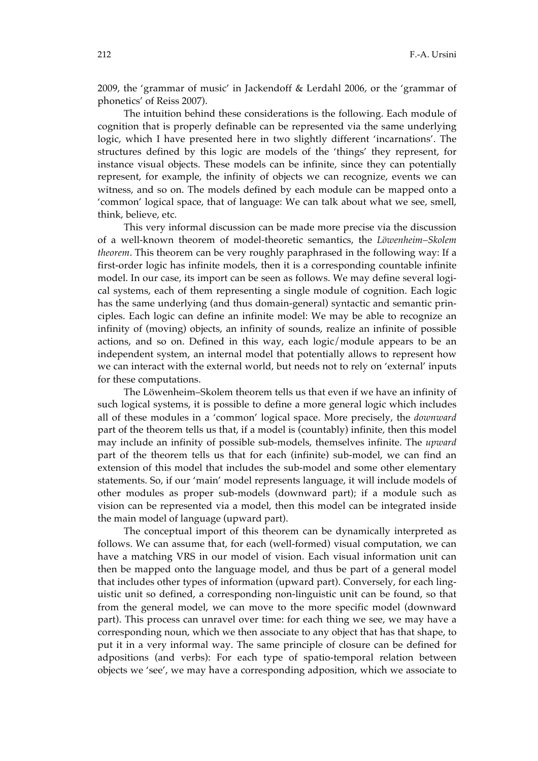2009, the 'grammar of music' in Jackendoff & Lerdahl 2006, or the 'grammar of phonetics' of Reiss 2007).

The intuition behind these considerations is the following. Each module of cognition that is properly definable can be represented via the same underlying logic, which I have presented here in two slightly different 'incarnations'. The structures defined by this logic are models of the 'things' they represent, for instance visual objects. These models can be infinite, since they can potentially represent, for example, the infinity of objects we can recognize, events we can witness, and so on. The models defined by each module can be mapped onto a 'common' logical space, that of language: We can talk about what we see, smell, think, believe, etc.

This very informal discussion can be made more precise via the discussion of a well-known theorem of model-theoretic semantics, the *Löwenheim–Skolem theorem*. This theorem can be very roughly paraphrased in the following way: If a first-order logic has infinite models, then it is a corresponding countable infinite model. In our case, its import can be seen as follows. We may define several logical systems, each of them representing a single module of cognition. Each logic has the same underlying (and thus domain-general) syntactic and semantic principles. Each logic can define an infinite model: We may be able to recognize an infinity of (moving) objects, an infinity of sounds, realize an infinite of possible actions, and so on. Defined in this way, each logic/module appears to be an independent system, an internal model that potentially allows to represent how we can interact with the external world, but needs not to rely on 'external' inputs for these computations.

The Löwenheim–Skolem theorem tells us that even if we have an infinity of such logical systems, it is possible to define a more general logic which includes all of these modules in a 'common' logical space. More precisely, the *downward* part of the theorem tells us that, if a model is (countably) infinite, then this model may include an infinity of possible sub-models, themselves infinite. The *upward* part of the theorem tells us that for each (infinite) sub-model, we can find an extension of this model that includes the sub-model and some other elementary statements. So, if our 'main' model represents language, it will include models of other modules as proper sub-models (downward part); if a module such as vision can be represented via a model, then this model can be integrated inside the main model of language (upward part).

The conceptual import of this theorem can be dynamically interpreted as follows. We can assume that, for each (well-formed) visual computation, we can have a matching VRS in our model of vision. Each visual information unit can then be mapped onto the language model, and thus be part of a general model that includes other types of information (upward part). Conversely, for each linguistic unit so defined, a corresponding non-linguistic unit can be found, so that from the general model, we can move to the more specific model (downward part). This process can unravel over time: for each thing we see, we may have a corresponding noun, which we then associate to any object that has that shape, to put it in a very informal way. The same principle of closure can be defined for adpositions (and verbs): For each type of spatio-temporal relation between objects we 'see', we may have a corresponding adposition, which we associate to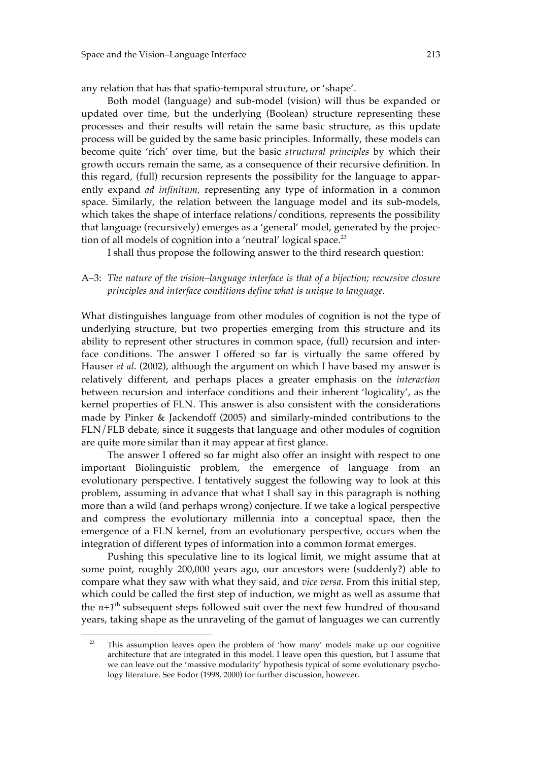any relation that has that spatio-temporal structure, or 'shape'.

Both model (language) and sub-model (vision) will thus be expanded or updated over time, but the underlying (Boolean) structure representing these processes and their results will retain the same basic structure, as this update process will be guided by the same basic principles. Informally, these models can become quite 'rich' over time, but the basic *structural principles* by which their growth occurs remain the same, as a consequence of their recursive definition. In this regard, (full) recursion represents the possibility for the language to apparently expand *ad infinitum*, representing any type of information in a common space. Similarly, the relation between the language model and its sub-models, which takes the shape of interface relations/conditions, represents the possibility that language (recursively) emerges as a 'general' model, generated by the projection of all models of cognition into a 'neutral' logical space. $^{23}$ 

I shall thus propose the following answer to the third research question:

## A–3: *The nature of the vision–language interface is that of a bijection; recursive closure principles and interface conditions define what is unique to language.*

What distinguishes language from other modules of cognition is not the type of underlying structure, but two properties emerging from this structure and its ability to represent other structures in common space, (full) recursion and interface conditions. The answer I offered so far is virtually the same offered by Hauser *et al*. (2002), although the argument on which I have based my answer is relatively different, and perhaps places a greater emphasis on the *interaction* between recursion and interface conditions and their inherent 'logicality', as the kernel properties of FLN. This answer is also consistent with the considerations made by Pinker & Jackendoff (2005) and similarly-minded contributions to the FLN/FLB debate, since it suggests that language and other modules of cognition are quite more similar than it may appear at first glance.

The answer I offered so far might also offer an insight with respect to one important Biolinguistic problem, the emergence of language from an evolutionary perspective. I tentatively suggest the following way to look at this problem, assuming in advance that what I shall say in this paragraph is nothing more than a wild (and perhaps wrong) conjecture. If we take a logical perspective and compress the evolutionary millennia into a conceptual space, then the emergence of a FLN kernel, from an evolutionary perspective, occurs when the integration of different types of information into a common format emerges.

Pushing this speculative line to its logical limit, we might assume that at some point, roughly 200,000 years ago, our ancestors were (suddenly?) able to compare what they saw with what they said, and *vice versa*. From this initial step, which could be called the first step of induction, we might as well as assume that the  $n+1$ <sup>th</sup> subsequent steps followed suit over the next few hundred of thousand years, taking shape as the unraveling of the gamut of languages we can currently

 $\overline{a}$ 

<sup>&</sup>lt;sup>23</sup> This assumption leaves open the problem of 'how many' models make up our cognitive architecture that are integrated in this model. I leave open this question, but I assume that we can leave out the 'massive modularity' hypothesis typical of some evolutionary psychology literature. See Fodor (1998, 2000) for further discussion, however.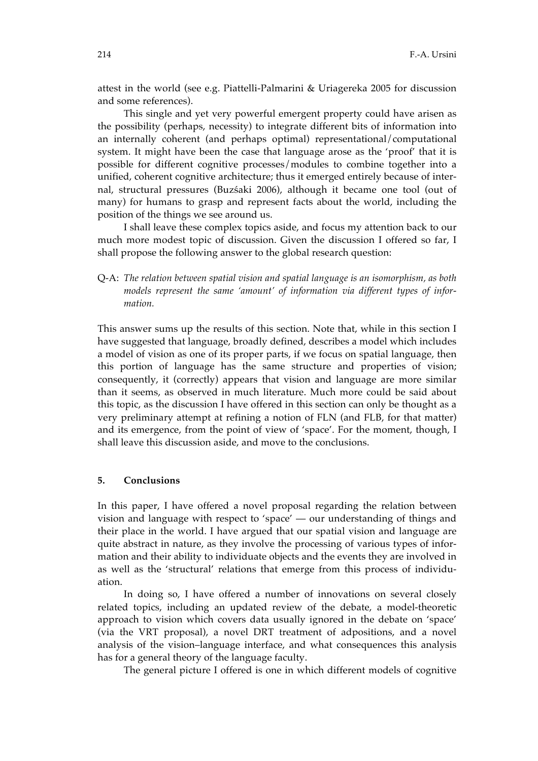attest in the world (see e.g. Piattelli-Palmarini & Uriagereka 2005 for discussion and some references).

This single and yet very powerful emergent property could have arisen as the possibility (perhaps, necessity) to integrate different bits of information into an internally coherent (and perhaps optimal) representational/computational system. It might have been the case that language arose as the 'proof' that it is possible for different cognitive processes/modules to combine together into a unified, coherent cognitive architecture; thus it emerged entirely because of internal, structural pressures (Buzśaki 2006), although it became one tool (out of many) for humans to grasp and represent facts about the world, including the position of the things we see around us.

I shall leave these complex topics aside, and focus my attention back to our much more modest topic of discussion. Given the discussion I offered so far, I shall propose the following answer to the global research question:

Q-A: *The relation between spatial vision and spatial language is an isomorphism, as both models represent the same 'amount' of information via different types of information.*

This answer sums up the results of this section. Note that, while in this section I have suggested that language, broadly defined, describes a model which includes a model of vision as one of its proper parts, if we focus on spatial language, then this portion of language has the same structure and properties of vision; consequently, it (correctly) appears that vision and language are more similar than it seems, as observed in much literature. Much more could be said about this topic, as the discussion I have offered in this section can only be thought as a very preliminary attempt at refining a notion of FLN (and FLB, for that matter) and its emergence, from the point of view of 'space'. For the moment, though, I shall leave this discussion aside, and move to the conclusions.

## **5. Conclusions**

In this paper, I have offered a novel proposal regarding the relation between vision and language with respect to 'space' — our understanding of things and their place in the world. I have argued that our spatial vision and language are quite abstract in nature, as they involve the processing of various types of information and their ability to individuate objects and the events they are involved in as well as the 'structural' relations that emerge from this process of individuation.

In doing so, I have offered a number of innovations on several closely related topics, including an updated review of the debate, a model-theoretic approach to vision which covers data usually ignored in the debate on 'space' (via the VRT proposal), a novel DRT treatment of adpositions, and a novel analysis of the vision–language interface, and what consequences this analysis has for a general theory of the language faculty.

The general picture I offered is one in which different models of cognitive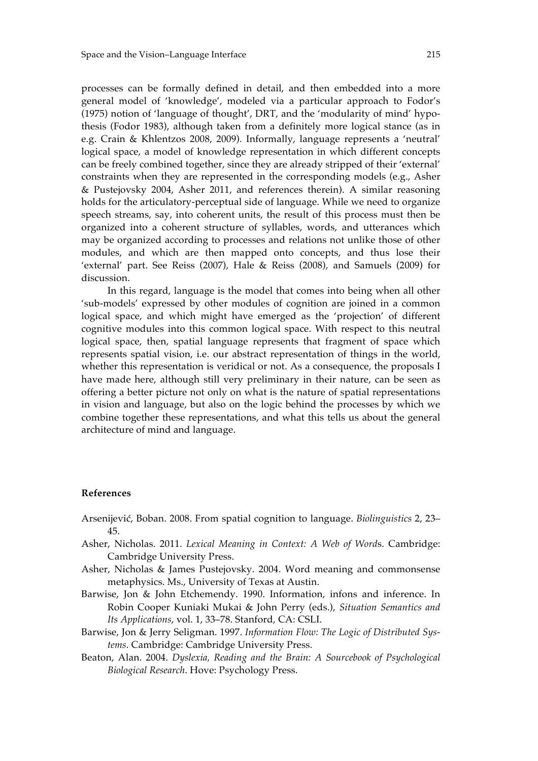processes can be formally defined in detail, and then embedded into a more general model of 'knowledge', modeled via a particular approach to Fodor's (1975) notion of 'language of thought', DRT, and the 'modularity of mind' hypothesis (Fodor 1983), although taken from a definitely more logical stance (as in e.g. Crain & Khlentzos 2008, 2009). Informally, language represents a 'neutral' logical space, a model of knowledge representation in which different concepts can be freely combined together, since they are already stripped of their 'external' constraints when they are represented in the corresponding models (e.g., Asher & Pustejovsky 2004, Asher 2011, and references therein). A similar reasoning holds for the articulatory-perceptual side of language. While we need to organize speech streams, say, into coherent units, the result of this process must then be organized into a coherent structure of syllables, words, and utterances which may be organized according to processes and relations not unlike those of other modules, and which are then mapped onto concepts, and thus lose their 'external' part. See Reiss (2007), Hale & Reiss (2008), and Samuels (2009) for discussion.

In this regard, language is the model that comes into being when all other 'sub-models' expressed by other modules of cognition are joined in a common logical space, and which might have emerged as the 'projection' of different cognitive modules into this common logical space. With respect to this neutral logical space, then, spatial language represents that fragment of space which represents spatial vision, i.e. our abstract representation of things in the world, whether this representation is veridical or not. As a consequence, the proposals I have made here, although still very preliminary in their nature, can be seen as offering a better picture not only on what is the nature of spatial representations in vision and language, but also on the logic behind the processes by which we combine together these representations, and what this tells us about the general architecture of mind and language.

#### **References**

- Arsenijević, Boban. 2008. From spatial cognition to language. *Biolinguistics* 2, 23– 45.
- Asher, Nicholas. 2011. *Lexical Meaning in Context: A Web of Word*s. Cambridge: Cambridge University Press.
- Asher, Nicholas & James Pustejovsky. 2004. Word meaning and commonsense metaphysics. Ms., University of Texas at Austin.
- Barwise, Jon & John Etchemendy. 1990. Information, infons and inference. In Robin Cooper Kuniaki Mukai & John Perry (eds.), *Situation Semantics and Its Applications*, vol. 1, 33–78. Stanford, CA: CSLI.
- Barwise, Jon & Jerry Seligman. 1997. *Information Flow: The Logic of Distributed Systems*. Cambridge: Cambridge University Press.
- Beaton, Alan. 2004. *Dyslexia, Reading and the Brain: A Sourcebook of Psychological Biological Research*. Hove: Psychology Press.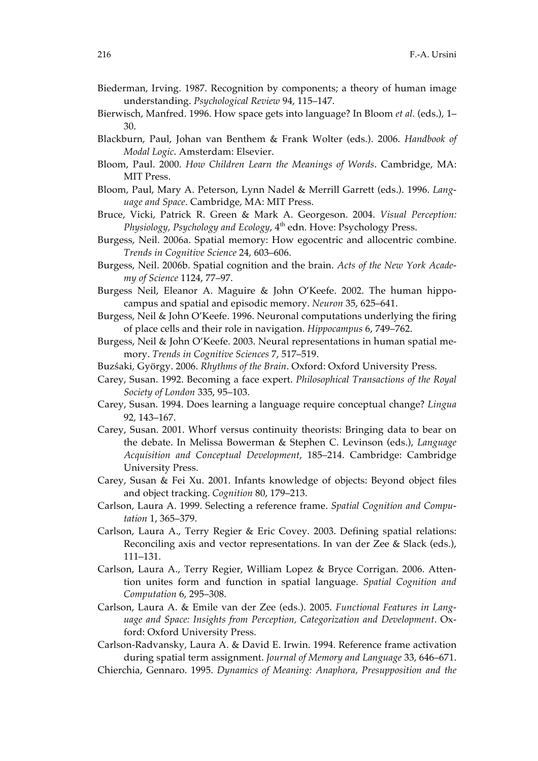- Biederman, Irving. 1987. Recognition by components; a theory of human image understanding. *Psychological Review* 94, 115–147.
- Bierwisch, Manfred. 1996. How space gets into language? In Bloom *et al.* (eds.), 1– 30.
- Blackburn, Paul, Johan van Benthem & Frank Wolter (eds.). 2006. *Handbook of Modal Logic*. Amsterdam: Elsevier.
- Bloom, Paul. 2000. *How Children Learn the Meanings of Words*. Cambridge, MA: MIT Press.
- Bloom, Paul, Mary A. Peterson, Lynn Nadel & Merrill Garrett (eds.). 1996. *Language and Space*. Cambridge, MA: MIT Press.
- Bruce, Vicki, Patrick R. Green & Mark A. Georgeson. 2004. *Visual Perception:*  Physiology, Psychology and Ecology, 4<sup>th</sup> edn. Hove: Psychology Press.
- Burgess, Neil. 2006a. Spatial memory: How egocentric and allocentric combine. *Trends in Cognitive Science* 24, 603–606.
- Burgess, Neil. 2006b. Spatial cognition and the brain. *Acts of the New York Academy of Science* 1124, 77–97.
- Burgess Neil, Eleanor A. Maguire & John O'Keefe. 2002. The human hippocampus and spatial and episodic memory. *Neuron* 35, 625–641.
- Burgess, Neil & John O'Keefe. 1996. Neuronal computations underlying the firing of place cells and their role in navigation. *Hippocampus* 6, 749–762.
- Burgess, Neil & John O'Keefe. 2003. Neural representations in human spatial memory. *Trends in Cognitive Sciences* 7, 517–519.
- Buzśaki, György. 2006. *Rhythms of the Brain*. Oxford: Oxford University Press.
- Carey, Susan. 1992. Becoming a face expert. *Philosophical Transactions of the Royal Society of London* 335, 95–103.
- Carey, Susan. 1994. Does learning a language require conceptual change? *Lingua*  92, 143–167.
- Carey, Susan. 2001. Whorf versus continuity theorists: Bringing data to bear on the debate. In Melissa Bowerman & Stephen C. Levinson (eds.), *Language Acquisition and Conceptual Development*, 185–214. Cambridge: Cambridge University Press.
- Carey, Susan & Fei Xu. 2001. Infants knowledge of objects: Beyond object files and object tracking. *Cognition* 80, 179–213.
- Carlson, Laura A. 1999. Selecting a reference frame. *Spatial Cognition and Computation* 1, 365–379.
- Carlson, Laura A., Terry Regier & Eric Covey. 2003. Defining spatial relations: Reconciling axis and vector representations. In van der Zee & Slack (eds.), 111–131.
- Carlson, Laura A., Terry Regier, William Lopez & Bryce Corrigan. 2006. Attention unites form and function in spatial language. *Spatial Cognition and Computation* 6, 295–308.
- Carlson, Laura A. & Emile van der Zee (eds.). 2005. *Functional Features in Language and Space: Insights from Perception, Categorization and Development*. Oxford: Oxford University Press.
- Carlson-Radvansky, Laura A. & David E. Irwin. 1994. Reference frame activation during spatial term assignment. *Journal of Memory and Language* 33, 646–671.
- Chierchia, Gennaro. 1995. *Dynamics of Meaning: Anaphora, Presupposition and the*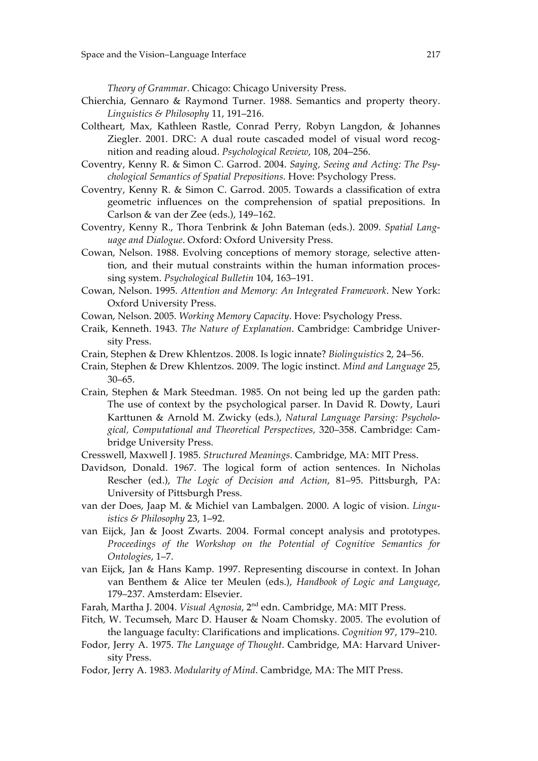*Theory of Grammar*. Chicago: Chicago University Press.

- Chierchia, Gennaro & Raymond Turner. 1988. Semantics and property theory. *Linguistics & Philosophy* 11, 191–216.
- Coltheart, Max, Kathleen Rastle, Conrad Perry, Robyn Langdon, & Johannes Ziegler. 2001. DRC: A dual route cascaded model of visual word recognition and reading aloud. *Psychological Review*, 108, 204–256.
- Coventry, Kenny R. & Simon C. Garrod. 2004. *Saying, Seeing and Acting: The Psychological Semantics of Spatial Prepositions*. Hove: Psychology Press.
- Coventry, Kenny R. & Simon C. Garrod. 2005. Towards a classification of extra geometric influences on the comprehension of spatial prepositions. In Carlson & van der Zee (eds.), 149–162.
- Coventry, Kenny R., Thora Tenbrink & John Bateman (eds.). 2009. *Spatial Language and Dialogue*. Oxford: Oxford University Press.
- Cowan, Nelson. 1988. Evolving conceptions of memory storage, selective attention, and their mutual constraints within the human information processing system. *Psychological Bulletin* 104, 163–191.
- Cowan, Nelson. 1995. *Attention and Memory: An Integrated Framework*. New York: Oxford University Press.
- Cowan, Nelson. 2005. *Working Memory Capacity*. Hove: Psychology Press.
- Craik, Kenneth. 1943. *The Nature of Explanation*. Cambridge: Cambridge University Press.
- Crain, Stephen & Drew Khlentzos. 2008. Is logic innate? *Biolinguistics* 2, 24–56.
- Crain, Stephen & Drew Khlentzos. 2009. The logic instinct. *Mind and Language* 25, 30–65.
- Crain, Stephen & Mark Steedman. 1985. On not being led up the garden path: The use of context by the psychological parser. In David R. Dowty, Lauri Karttunen & Arnold M. Zwicky (eds.), *Natural Language Parsing: Psychological, Computational and Theoretical Perspectives,* 320–358. Cambridge: Cambridge University Press.
- Cresswell, Maxwell J. 1985. *Structured Meanings*. Cambridge, MA: MIT Press.
- Davidson, Donald. 1967. The logical form of action sentences. In Nicholas Rescher (ed.), *The Logic of Decision and Action*, 81–95. Pittsburgh, PA: University of Pittsburgh Press.
- van der Does, Jaap M. & Michiel van Lambalgen. 2000. A logic of vision. *Linguistics & Philosophy* 23, 1–92.
- van Eijck, Jan & Joost Zwarts. 2004. Formal concept analysis and prototypes. *Proceedings of the Workshop on the Potential of Cognitive Semantics for Ontologies*, 1–7.
- van Eijck, Jan & Hans Kamp. 1997. Representing discourse in context. In Johan van Benthem & Alice ter Meulen (eds.), *Handbook of Logic and Language*, 179–237. Amsterdam: Elsevier.
- Farah, Martha J. 2004. *Visual Agnosia*, 2<sup>nd</sup> edn. Cambridge, MA: MIT Press.
- Fitch, W. Tecumseh, Marc D. Hauser & Noam Chomsky. 2005. The evolution of the language faculty: Clarifications and implications. *Cognition* 97, 179–210.
- Fodor, Jerry A. 1975. *The Language of Thought*. Cambridge, MA: Harvard University Press.
- Fodor, Jerry A. 1983. *Modularity of Mind*. Cambridge, MA: The MIT Press.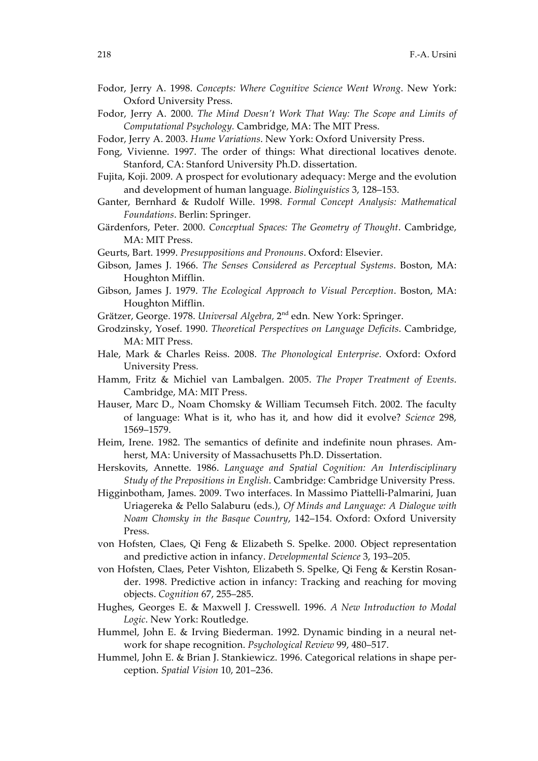- Fodor, Jerry A. 1998. *Concepts: Where Cognitive Science Went Wrong*. New York: Oxford University Press.
- Fodor, Jerry A. 2000. *The Mind Doesn't Work That Way: The Scope and Limits of Computational Psychology.* Cambridge, MA: The MIT Press.
- Fodor, Jerry A. 2003. *Hume Variations*. New York: Oxford University Press.
- Fong, Vivienne. 1997. The order of things: What directional locatives denote. Stanford, CA: Stanford University Ph.D. dissertation.
- Fujita, Koji. 2009. A prospect for evolutionary adequacy: Merge and the evolution and development of human language. *Biolinguistics* 3, 128–153.
- Ganter, Bernhard & Rudolf Wille. 1998. *Formal Concept Analysis: Mathematical Foundations*. Berlin: Springer.
- Gärdenfors, Peter. 2000. *Conceptual Spaces: The Geometry of Thought*. Cambridge, MA: MIT Press.
- Geurts, Bart. 1999. *Presuppositions and Pronouns*. Oxford: Elsevier.
- Gibson, James J. 1966. *The Senses Considered as Perceptual Systems*. Boston, MA: Houghton Mifflin.
- Gibson, James J. 1979. *The Ecological Approach to Visual Perception*. Boston, MA: Houghton Mifflin.
- Grätzer, George. 1978. *Universal Algebra,* 2nd edn*.* New York: Springer.
- Grodzinsky, Yosef. 1990. *Theoretical Perspectives on Language Deficits*. Cambridge, MA: MIT Press.
- Hale, Mark & Charles Reiss. 2008. *The Phonological Enterprise*. Oxford: Oxford University Press.
- Hamm, Fritz & Michiel van Lambalgen. 2005. *The Proper Treatment of Events*. Cambridge, MA: MIT Press.
- Hauser, Marc D., Noam Chomsky & William Tecumseh Fitch. 2002. The faculty of language: What is it, who has it, and how did it evolve? *Science* 298, 1569–1579.
- Heim, Irene. 1982. The semantics of definite and indefinite noun phrases. Amherst, MA: University of Massachusetts Ph.D. Dissertation.
- Herskovits, Annette. 1986. *Language and Spatial Cognition: An Interdisciplinary Study of the Prepositions in English*. Cambridge: Cambridge University Press.
- Higginbotham, James. 2009. Two interfaces. In Massimo Piattelli-Palmarini, Juan Uriagereka & Pello Salaburu (eds.), *Of Minds and Language: A Dialogue with Noam Chomsky in the Basque Country*, 142–154. Oxford: Oxford University Press.
- von Hofsten, Claes, Qi Feng & Elizabeth S. Spelke. 2000. Object representation and predictive action in infancy. *Developmental Science* 3, 193–205.
- von Hofsten, Claes, Peter Vishton, Elizabeth S. Spelke, Qi Feng & Kerstin Rosander. 1998. Predictive action in infancy: Tracking and reaching for moving objects. *Cognition* 67, 255–285.
- Hughes, Georges E. & Maxwell J. Cresswell. 1996. *A New Introduction to Modal Logic*. New York: Routledge.
- Hummel, John E. & Irving Biederman. 1992. Dynamic binding in a neural network for shape recognition. *Psychological Review* 99, 480–517.
- Hummel, John E. & Brian J. Stankiewicz. 1996. Categorical relations in shape perception. *Spatial Vision* 10, 201–236.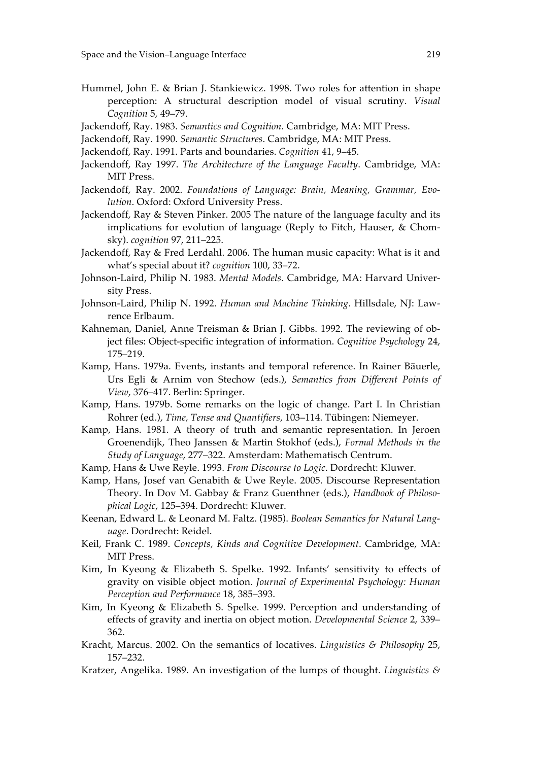- Hummel, John E. & Brian J. Stankiewicz. 1998. Two roles for attention in shape perception: A structural description model of visual scrutiny. *Visual Cognition* 5, 49–79.
- Jackendoff, Ray. 1983. *Semantics and Cognition*. Cambridge, MA: MIT Press.
- Jackendoff, Ray. 1990. *Semantic Structures*. Cambridge, MA: MIT Press.
- Jackendoff, Ray. 1991. Parts and boundaries. *Cognition* 41, 9–45.
- Jackendoff, Ray 1997. *The Architecture of the Language Faculty*. Cambridge, MA: MIT Press.
- Jackendoff, Ray. 2002. *Foundations of Language: Brain, Meaning, Grammar, Evolution*. Oxford: Oxford University Press.
- Jackendoff, Ray & Steven Pinker. 2005 The nature of the language faculty and its implications for evolution of language (Reply to Fitch, Hauser, & Chomsky). *cognition* 97, 211–225.
- Jackendoff, Ray & Fred Lerdahl. 2006. The human music capacity: What is it and what's special about it? *cognition* 100, 33–72.
- Johnson-Laird, Philip N. 1983. *Mental Models*. Cambridge, MA: Harvard University Press.
- Johnson-Laird, Philip N. 1992. *Human and Machine Thinking*. Hillsdale, NJ: Lawrence Erlbaum.
- Kahneman, Daniel, Anne Treisman & Brian J. Gibbs. 1992. The reviewing of object files: Object-specific integration of information. *Cognitive Psychology* 24, 175–219.
- Kamp, Hans. 1979a. Events, instants and temporal reference. In Rainer Bäuerle, Urs Egli & Arnim von Stechow (eds.), *Semantics from Different Points of View*, 376–417. Berlin: Springer.
- Kamp, Hans. 1979b. Some remarks on the logic of change. Part I. In Christian Rohrer (ed.), *Time, Tense and Quantifiers*, 103–114. Tübingen: Niemeyer.
- Kamp, Hans. 1981. A theory of truth and semantic representation. In Jeroen Groenendijk, Theo Janssen & Martin Stokhof (eds.), *Formal Methods in the Study of Language*, 277–322. Amsterdam: Mathematisch Centrum.
- Kamp, Hans & Uwe Reyle. 1993. *From Discourse to Logic*. Dordrecht: Kluwer.
- Kamp, Hans, Josef van Genabith & Uwe Reyle. 2005. Discourse Representation Theory. In Dov M. Gabbay & Franz Guenthner (eds.), *Handbook of Philosophical Logic*, 125–394. Dordrecht: Kluwer.
- Keenan, Edward L. & Leonard M. Faltz. (1985). *Boolean Semantics for Natural Language*. Dordrecht: Reidel.
- Keil, Frank C. 1989. *Concepts, Kinds and Cognitive Development*. Cambridge, MA: MIT Press.
- Kim, In Kyeong & Elizabeth S. Spelke. 1992. Infants' sensitivity to effects of gravity on visible object motion. *Journal of Experimental Psychology: Human Perception and Performance* 18, 385–393.
- Kim, In Kyeong & Elizabeth S. Spelke. 1999. Perception and understanding of effects of gravity and inertia on object motion. *Developmental Science* 2, 339– 362.
- Kracht, Marcus. 2002. On the semantics of locatives. *Linguistics & Philosophy* 25, 157–232.
- Kratzer, Angelika. 1989. An investigation of the lumps of thought. *Linguistics &*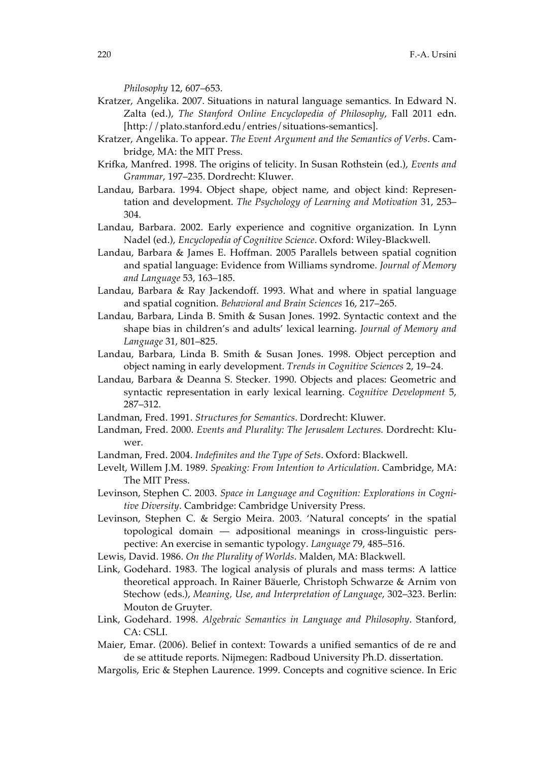*Philosophy* 12, 607–653.

- Kratzer, Angelika. 2007. Situations in natural language semantics. In Edward N. Zalta (ed.), *The Stanford Online Encyclopedia of Philosophy*, Fall 2011 edn. [http://plato.stanford.edu/entries/situations-semantics].
- Kratzer, Angelika. To appear. *The Event Argument and the Semantics of Verbs*. Cambridge, MA: the MIT Press.
- Krifka, Manfred. 1998. The origins of telicity. In Susan Rothstein (ed.), *Events and Grammar*, 197–235. Dordrecht: Kluwer.
- Landau, Barbara. 1994. Object shape, object name, and object kind: Representation and development. *The Psychology of Learning and Motivation* 31, 253– 304.
- Landau, Barbara. 2002. Early experience and cognitive organization. In Lynn Nadel (ed.), *Encyclopedia of Cognitive Science*. Oxford: Wiley-Blackwell.
- Landau, Barbara & James E. Hoffman. 2005 Parallels between spatial cognition and spatial language: Evidence from Williams syndrome. *Journal of Memory and Language* 53, 163–185.
- Landau, Barbara & Ray Jackendoff. 1993. What and where in spatial language and spatial cognition. *Behavioral and Brain Sciences* 16, 217–265.
- Landau, Barbara, Linda B. Smith & Susan Jones. 1992. Syntactic context and the shape bias in children's and adults' lexical learning. *Journal of Memory and Language* 31, 801–825.
- Landau, Barbara, Linda B. Smith & Susan Jones. 1998. Object perception and object naming in early development. *Trends in Cognitive Sciences* 2, 19–24.
- Landau, Barbara & Deanna S. Stecker. 1990. Objects and places: Geometric and syntactic representation in early lexical learning. *Cognitive Development* 5, 287–312.
- Landman, Fred. 1991. *Structures for Semantics*. Dordrecht: Kluwer.
- Landman, Fred. 2000. *Events and Plurality: The Jerusalem Lectures.* Dordrecht: Kluwer.
- Landman, Fred. 2004. *Indefinites and the Type of Sets*. Oxford: Blackwell.
- Levelt, Willem J.M. 1989. *Speaking: From Intention to Articulation*. Cambridge, MA: The MIT Press.
- Levinson, Stephen C. 2003. *Space in Language and Cognition: Explorations in Cognitive Diversity*. Cambridge: Cambridge University Press.
- Levinson, Stephen C. & Sergio Meira. 2003. 'Natural concepts' in the spatial topological domain — adpositional meanings in cross-linguistic perspective: An exercise in semantic typology. *Language* 79, 485–516.
- Lewis, David. 1986. *On the Plurality of Worlds*. Malden, MA: Blackwell.
- Link, Godehard. 1983. The logical analysis of plurals and mass terms: A lattice theoretical approach. In Rainer Bäuerle, Christoph Schwarze & Arnim von Stechow (eds.), *Meaning, Use, and Interpretation of Language*, 302–323. Berlin: Mouton de Gruyter.
- Link, Godehard. 1998. *Algebraic Semantics in Language and Philosophy*. Stanford, CA: CSLI.
- Maier, Emar. (2006). Belief in context: Towards a unified semantics of de re and de se attitude reports. Nijmegen: Radboud University Ph.D. dissertation.
- Margolis, Eric & Stephen Laurence. 1999. Concepts and cognitive science. In Eric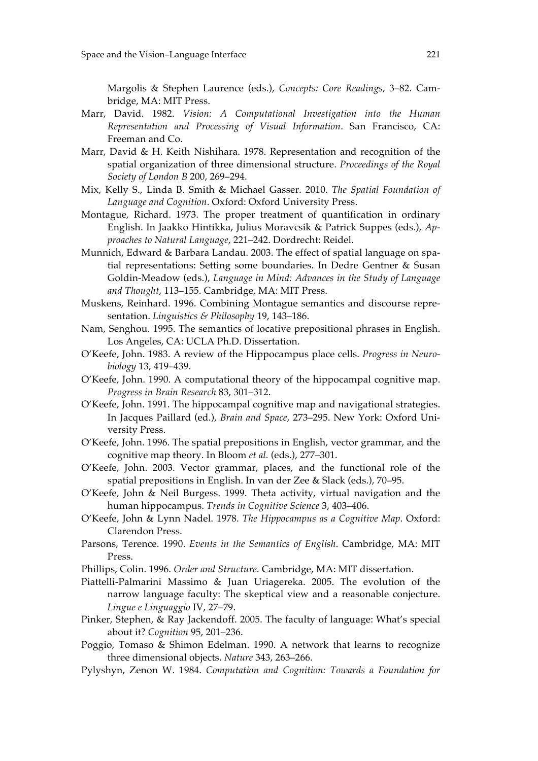Margolis & Stephen Laurence (eds.), *Concepts: Core Readings*, 3–82. Cambridge, MA: MIT Press.

- Marr, David. 1982. *Vision: A Computational Investigation into the Human Representation and Processing of Visual Information*. San Francisco, CA: Freeman and Co.
- Marr, David & H. Keith Nishihara. 1978. Representation and recognition of the spatial organization of three dimensional structure. *Proceedings of the Royal Society of London B* 200, 269–294.
- Mix, Kelly S., Linda B. Smith & Michael Gasser. 2010. *The Spatial Foundation of Language and Cognition*. Oxford: Oxford University Press.
- Montague, Richard. 1973. The proper treatment of quantification in ordinary English. In Jaakko Hintikka, Julius Moravcsik & Patrick Suppes (eds.), *Approaches to Natural Language*, 221–242. Dordrecht: Reidel.
- Munnich, Edward & Barbara Landau. 2003. The effect of spatial language on spatial representations: Setting some boundaries. In Dedre Gentner & Susan Goldin-Meadow (eds.), *Language in Mind: Advances in the Study of Language and Thought*, 113–155. Cambridge, MA: MIT Press.
- Muskens, Reinhard. 1996. Combining Montague semantics and discourse representation. *Linguistics & Philosophy* 19, 143–186.
- Nam, Senghou. 1995. The semantics of locative prepositional phrases in English. Los Angeles, CA: UCLA Ph.D. Dissertation.
- O'Keefe, John. 1983. A review of the Hippocampus place cells. *Progress in Neurobiology* 13, 419–439.
- O'Keefe, John. 1990. A computational theory of the hippocampal cognitive map. *Progress in Brain Research* 83, 301–312.
- O'Keefe, John. 1991. The hippocampal cognitive map and navigational strategies. In Jacques Paillard (ed.), *Brain and Space*, 273–295. New York: Oxford University Press.
- O'Keefe, John. 1996. The spatial prepositions in English, vector grammar, and the cognitive map theory. In Bloom *et al.* (eds.), 277–301.
- O'Keefe, John. 2003. Vector grammar, places, and the functional role of the spatial prepositions in English. In van der Zee & Slack (eds.), 70–95.
- O'Keefe, John & Neil Burgess. 1999. Theta activity, virtual navigation and the human hippocampus. *Trends in Cognitive Science* 3, 403–406.
- O'Keefe, John & Lynn Nadel. 1978. *The Hippocampus as a Cognitive Map*. Oxford: Clarendon Press.
- Parsons, Terence. 1990. *Events in the Semantics of English*. Cambridge, MA: MIT Press.
- Phillips, Colin. 1996. *Order and Structure*. Cambridge, MA: MIT dissertation.
- Piattelli-Palmarini Massimo & Juan Uriagereka. 2005. The evolution of the narrow language faculty: The skeptical view and a reasonable conjecture. *Lingue e Linguaggio* IV, 27–79.
- Pinker, Stephen, & Ray Jackendoff. 2005. The faculty of language: What's special about it? *Cognition* 95, 201–236.
- Poggio, Tomaso & Shimon Edelman. 1990. A network that learns to recognize three dimensional objects. *Nature* 343, 263–266.
- Pylyshyn, Zenon W. 1984. *Computation and Cognition: Towards a Foundation for*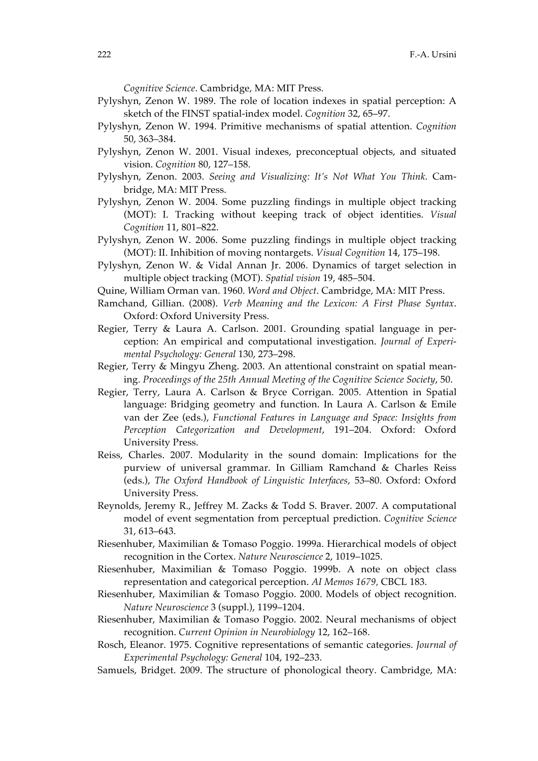*Cognitive Science*. Cambridge, MA: MIT Press.

- Pylyshyn, Zenon W. 1989. The role of location indexes in spatial perception: A sketch of the FINST spatial-index model. *Cognition* 32, 65–97.
- Pylyshyn, Zenon W. 1994. Primitive mechanisms of spatial attention. *Cognition*  50, 363–384.
- Pylyshyn, Zenon W. 2001. Visual indexes, preconceptual objects, and situated vision. *Cognition* 80, 127–158.
- Pylyshyn, Zenon. 2003. *Seeing and Visualizing: It's Not What You Think*. Cambridge, MA: MIT Press.
- Pylyshyn, Zenon W. 2004. Some puzzling findings in multiple object tracking (MOT): I. Tracking without keeping track of object identities. *Visual Cognition* 11, 801–822.
- Pylyshyn, Zenon W. 2006. Some puzzling findings in multiple object tracking (MOT): II. Inhibition of moving nontargets. *Visual Cognition* 14, 175–198.
- Pylyshyn, Zenon W. & Vidal Annan Jr. 2006. Dynamics of target selection in multiple object tracking (MOT). *Spatial vision* 19, 485–504.
- Quine, William Orman van. 1960. *Word and Object*. Cambridge, MA: MIT Press.
- Ramchand, Gillian. (2008). *Verb Meaning and the Lexicon: A First Phase Syntax*. Oxford: Oxford University Press.
- Regier, Terry & Laura A. Carlson. 2001. Grounding spatial language in perception: An empirical and computational investigation. *Journal of Experimental Psychology: General* 130, 273–298.
- Regier, Terry & Mingyu Zheng. 2003. An attentional constraint on spatial meaning. *Proceedings of the 25th Annual Meeting of the Cognitive Science Society*, 50.
- Regier, Terry, Laura A. Carlson & Bryce Corrigan. 2005. Attention in Spatial language: Bridging geometry and function. In Laura A. Carlson & Emile van der Zee (eds.), *Functional Features in Language and Space: Insights from Perception Categorization and Development*, 191–204. Oxford: Oxford University Press.
- Reiss, Charles. 2007. Modularity in the sound domain: Implications for the purview of universal grammar. In Gilliam Ramchand & Charles Reiss (eds.), *The Oxford Handbook of Linguistic Interfaces*, 53–80. Oxford: Oxford University Press.
- Reynolds, Jeremy R., Jeffrey M. Zacks & Todd S. Braver. 2007. A computational model of event segmentation from perceptual prediction. *Cognitive Science* 31, 613–643.
- Riesenhuber, Maximilian & Tomaso Poggio. 1999a. Hierarchical models of object recognition in the Cortex. *Nature Neuroscience* 2, 1019–1025.
- Riesenhuber, Maximilian & Tomaso Poggio. 1999b. A note on object class representation and categorical perception. *AI Memos 1679,* CBCL 183.
- Riesenhuber, Maximilian & Tomaso Poggio. 2000. Models of object recognition. *Nature Neuroscience* 3 (suppl.), 1199–1204.
- Riesenhuber, Maximilian & Tomaso Poggio. 2002. Neural mechanisms of object recognition. *Current Opinion in Neurobiology* 12, 162–168.
- Rosch, Eleanor. 1975. Cognitive representations of semantic categories. *Journal of Experimental Psychology: General* 104, 192–233.
- Samuels, Bridget. 2009. The structure of phonological theory. Cambridge, MA: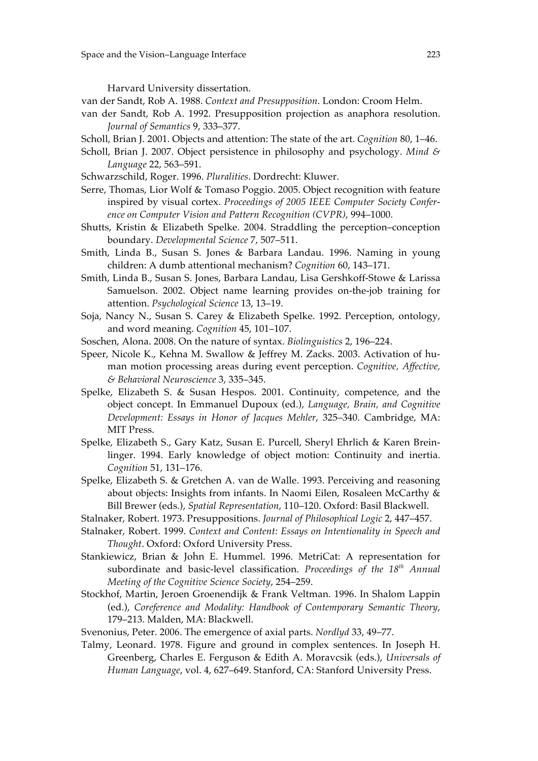Harvard University dissertation.

van der Sandt, Rob A. 1988. *Context and Presupposition*. London: Croom Helm.

- van der Sandt, Rob A. 1992. Presupposition projection as anaphora resolution. *Journal of Semantics* 9, 333–377.
- Scholl, Brian J. 2001. Objects and attention: The state of the art. *Cognition* 80, 1–46.
- Scholl, Brian J. 2007. Object persistence in philosophy and psychology. *Mind & Language* 22, 563–591.
- Schwarzschild, Roger. 1996. *Pluralities*. Dordrecht: Kluwer.
- Serre, Thomas, Lior Wolf & Tomaso Poggio. 2005. Object recognition with feature inspired by visual cortex. *Proceedings of 2005 IEEE Computer Society Conference on Computer Vision and Pattern Recognition (CVPR)*, 994–1000.
- Shutts, Kristin & Elizabeth Spelke. 2004. Straddling the perception–conception boundary. *Developmental Science* 7, 507–511.
- Smith, Linda B., Susan S. Jones & Barbara Landau. 1996. Naming in young children: A dumb attentional mechanism? *Cognition* 60, 143–171.
- Smith, Linda B., Susan S. Jones, Barbara Landau, Lisa Gershkoff-Stowe & Larissa Samuelson. 2002. Object name learning provides on-the-job training for attention. *Psychological Science* 13, 13–19.
- Soja, Nancy N., Susan S. Carey & Elizabeth Spelke. 1992. Perception, ontology, and word meaning. *Cognition* 45, 101–107.
- Soschen, Alona. 2008. On the nature of syntax. *Biolinguistics* 2, 196–224.
- Speer, Nicole K., Kehna M. Swallow & Jeffrey M. Zacks. 2003. Activation of human motion processing areas during event perception. *Cognitive, Affective, & Behavioral Neuroscience* 3, 335–345.
- Spelke, Elizabeth S. & Susan Hespos. 2001. Continuity, competence, and the object concept. In Emmanuel Dupoux (ed.), *Language, Brain, and Cognitive Development: Essays in Honor of Jacques Mehler*, 325–340. Cambridge, MA: MIT Press.
- Spelke, Elizabeth S., Gary Katz, Susan E. Purcell, Sheryl Ehrlich & Karen Breinlinger. 1994. Early knowledge of object motion: Continuity and inertia. *Cognition* 51, 131–176.
- Spelke, Elizabeth S. & Gretchen A. van de Walle. 1993. Perceiving and reasoning about objects: Insights from infants. In Naomi Eilen, Rosaleen McCarthy & Bill Brewer (eds.), *Spatial Representation*, 110–120. Oxford: Basil Blackwell.
- Stalnaker, Robert. 1973. Presuppositions. *Journal of Philosophical Logic* 2, 447–457.
- Stalnaker, Robert. 1999. *Context and Content: Essays on Intentionality in Speech and Thought*. Oxford: Oxford University Press.
- Stankiewicz, Brian & John E. Hummel. 1996. MetriCat: A representation for subordinate and basic-level classification. *Proceedings of the 18th Annual Meeting of the Cognitive Science Society*, 254–259.
- Stockhof, Martin, Jeroen Groenendijk & Frank Veltman. 1996. In Shalom Lappin (ed.), *Coreference and Modality: Handbook of Contemporary Semantic Theory*, 179–213. Malden, MA: Blackwell.
- Svenonius, Peter. 2006. The emergence of axial parts. *Nordlyd* 33, 49–77.
- Talmy, Leonard. 1978. Figure and ground in complex sentences. In Joseph H. Greenberg, Charles E. Ferguson & Edith A. Moravcsik (eds.), *Universals of Human Language*, vol. 4, 627–649. Stanford, CA: Stanford University Press.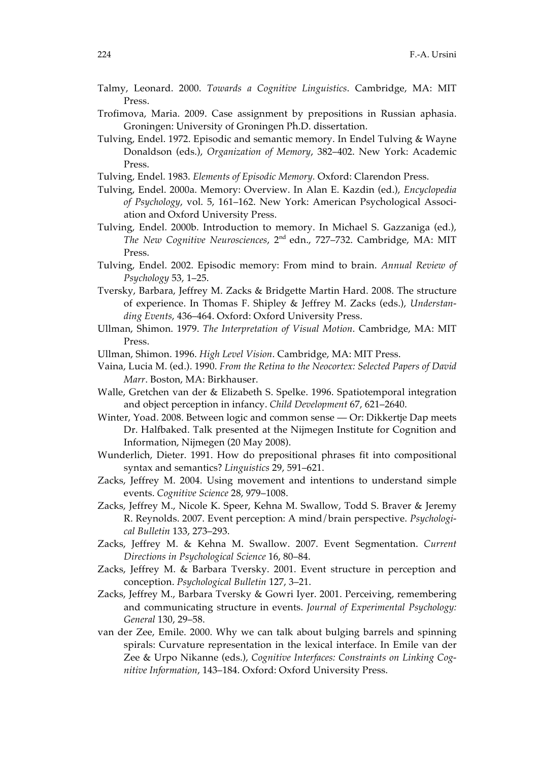- Talmy, Leonard. 2000. *Towards a Cognitive Linguistics*. Cambridge, MA: MIT Press.
- Trofimova, Maria. 2009. Case assignment by prepositions in Russian aphasia. Groningen: University of Groningen Ph.D. dissertation.
- Tulving, Endel. 1972. Episodic and semantic memory. In Endel Tulving & Wayne Donaldson (eds.), *Organization of Memory*, 382–402. New York: Academic Press.
- Tulving, Endel. 1983. *Elements of Episodic Memory.* Oxford: Clarendon Press.
- Tulving, Endel. 2000a. Memory: Overview. In Alan E. Kazdin (ed.), *Encyclopedia of Psychology*, vol. 5, 161–162. New York: American Psychological Association and Oxford University Press.
- Tulving, Endel. 2000b. Introduction to memory. In Michael S. Gazzaniga (ed.), *The New Cognitive Neurosciences*, 2nd edn., 727–732. Cambridge, MA: MIT Press.
- Tulving, Endel. 2002. Episodic memory: From mind to brain. *Annual Review of Psychology* 53, 1–25.
- Tversky, Barbara, Jeffrey M. Zacks & Bridgette Martin Hard. 2008. The structure of experience. In Thomas F. Shipley & Jeffrey M. Zacks (eds.), *Understanding Events*, 436–464. Oxford: Oxford University Press.
- Ullman, Shimon. 1979. *The Interpretation of Visual Motion*. Cambridge, MA: MIT Press.
- Ullman, Shimon. 1996. *High Level Vision*. Cambridge, MA: MIT Press.
- Vaina, Lucia M. (ed.). 1990. *From the Retina to the Neocortex: Selected Papers of David Marr*. Boston, MA: Birkhauser.
- Walle, Gretchen van der & Elizabeth S. Spelke. 1996. Spatiotemporal integration and object perception in infancy. *Child Development* 67, 621–2640.
- Winter, Yoad. 2008. Between logic and common sense Or: Dikkertje Dap meets Dr. Halfbaked. Talk presented at the Nijmegen Institute for Cognition and Information, Nijmegen (20 May 2008).
- Wunderlich, Dieter. 1991. How do prepositional phrases fit into compositional syntax and semantics? *Linguistics* 29, 591–621.
- Zacks, Jeffrey M. 2004. Using movement and intentions to understand simple events. *Cognitive Science* 28, 979–1008.
- Zacks, Jeffrey M., Nicole K. Speer, Kehna M. Swallow, Todd S. Braver & Jeremy R. Reynolds. 2007. Event perception: A mind/brain perspective. *Psychological Bulletin* 133, 273–293.
- Zacks, Jeffrey M. & Kehna M. Swallow. 2007. Event Segmentation. *Current Directions in Psychological Science* 16, 80–84.
- Zacks, Jeffrey M. & Barbara Tversky. 2001. Event structure in perception and conception. *Psychological Bulletin* 127, 3–21.
- Zacks, Jeffrey M., Barbara Tversky & Gowri Iyer. 2001. Perceiving, remembering and communicating structure in events. *Journal of Experimental Psychology: General* 130, 29–58.
- van der Zee, Emile. 2000. Why we can talk about bulging barrels and spinning spirals: Curvature representation in the lexical interface. In Emile van der Zee & Urpo Nikanne (eds.), *Cognitive Interfaces: Constraints on Linking Cognitive Information*, 143–184. Oxford: Oxford University Press.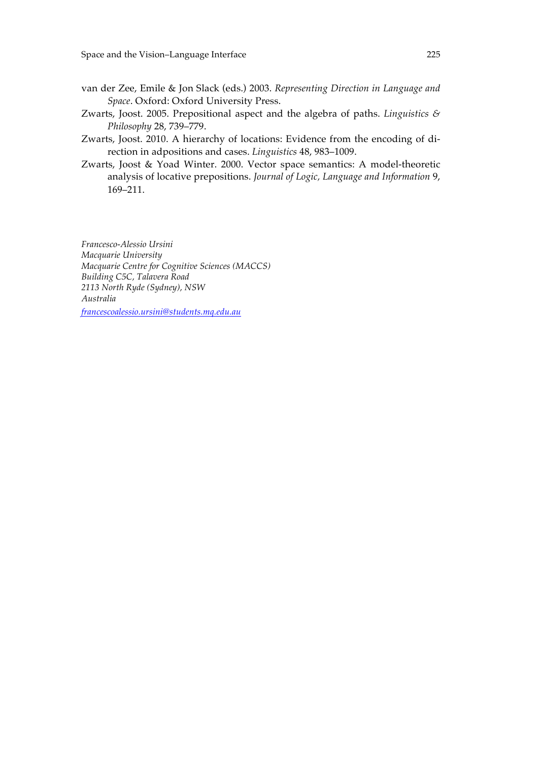- van der Zee, Emile & Jon Slack (eds.) 2003. *Representing Direction in Language and Space*. Oxford: Oxford University Press.
- Zwarts, Joost. 2005. Prepositional aspect and the algebra of paths. *Linguistics & Philosophy* 28, 739–779.
- Zwarts, Joost. 2010. A hierarchy of locations: Evidence from the encoding of direction in adpositions and cases. *Linguistics* 48, 983–1009.
- Zwarts, Joost & Yoad Winter. 2000. Vector space semantics: A model-theoretic analysis of locative prepositions. *Journal of Logic, Language and Information* 9, 169–211.

*Francesco-Alessio Ursini Macquarie University Macquarie Centre for Cognitive Sciences (MACCS) Building C5C, Talavera Road 2113 North Ryde (Sydney), NSW Australia*

*francescoalessio.ursini@students.mq.edu.au*